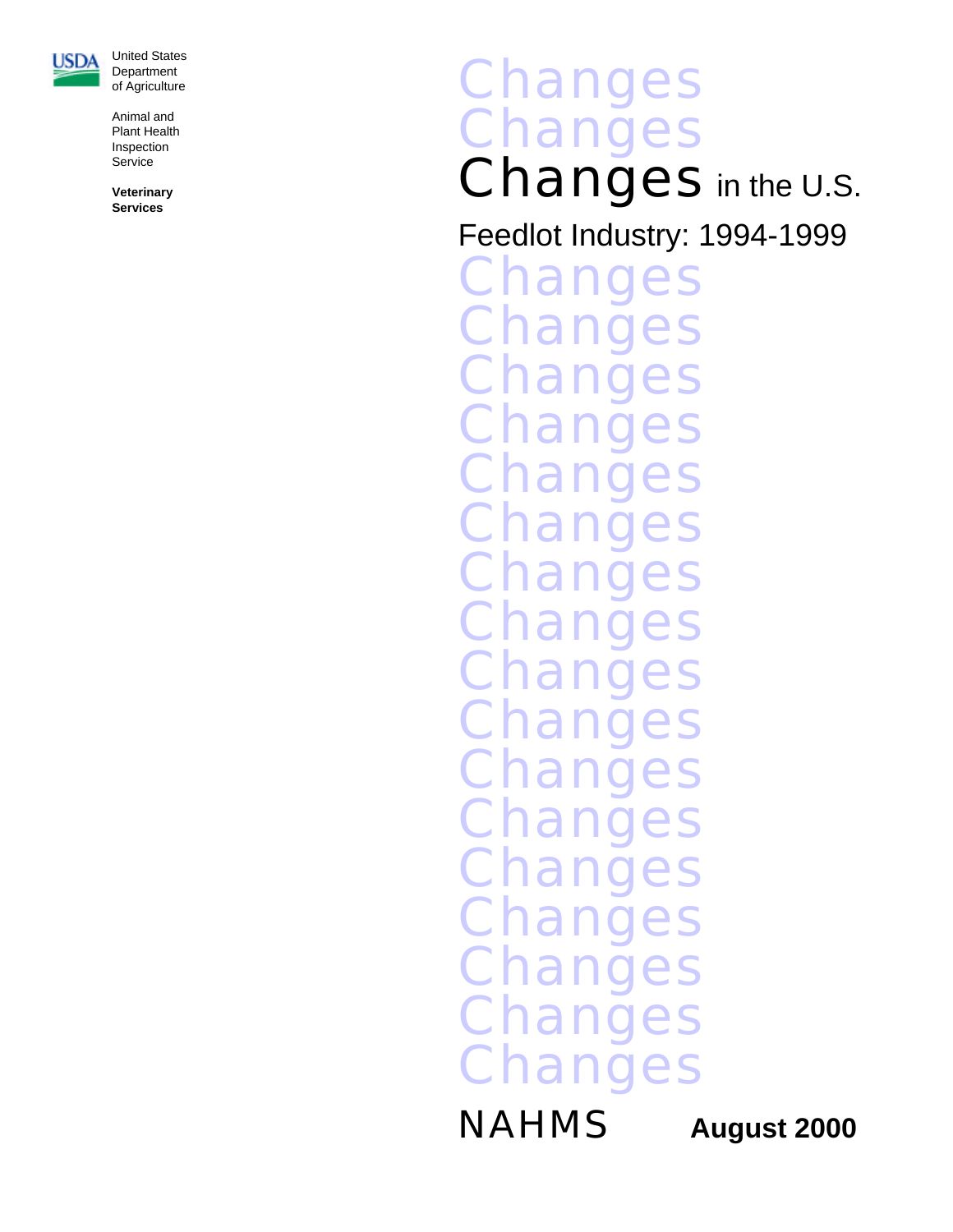

United State s **Department** of Agricultur e

Animal an d Plant Health Inspectio n Servic e

**Veterinar y Services**

# **Changes** Chang s Changes in the U.S.

Feedlot Industry: 1994-199 9

Change s **Change** s **Change** s **Change** s **Change** s **Change** s **Change** s **Change** s **Change** s **Change** s **Change** s **Change** s **Change** s **Change** s **Change** s **Change** s **Change** s

**NAHMS** 

**August 2000**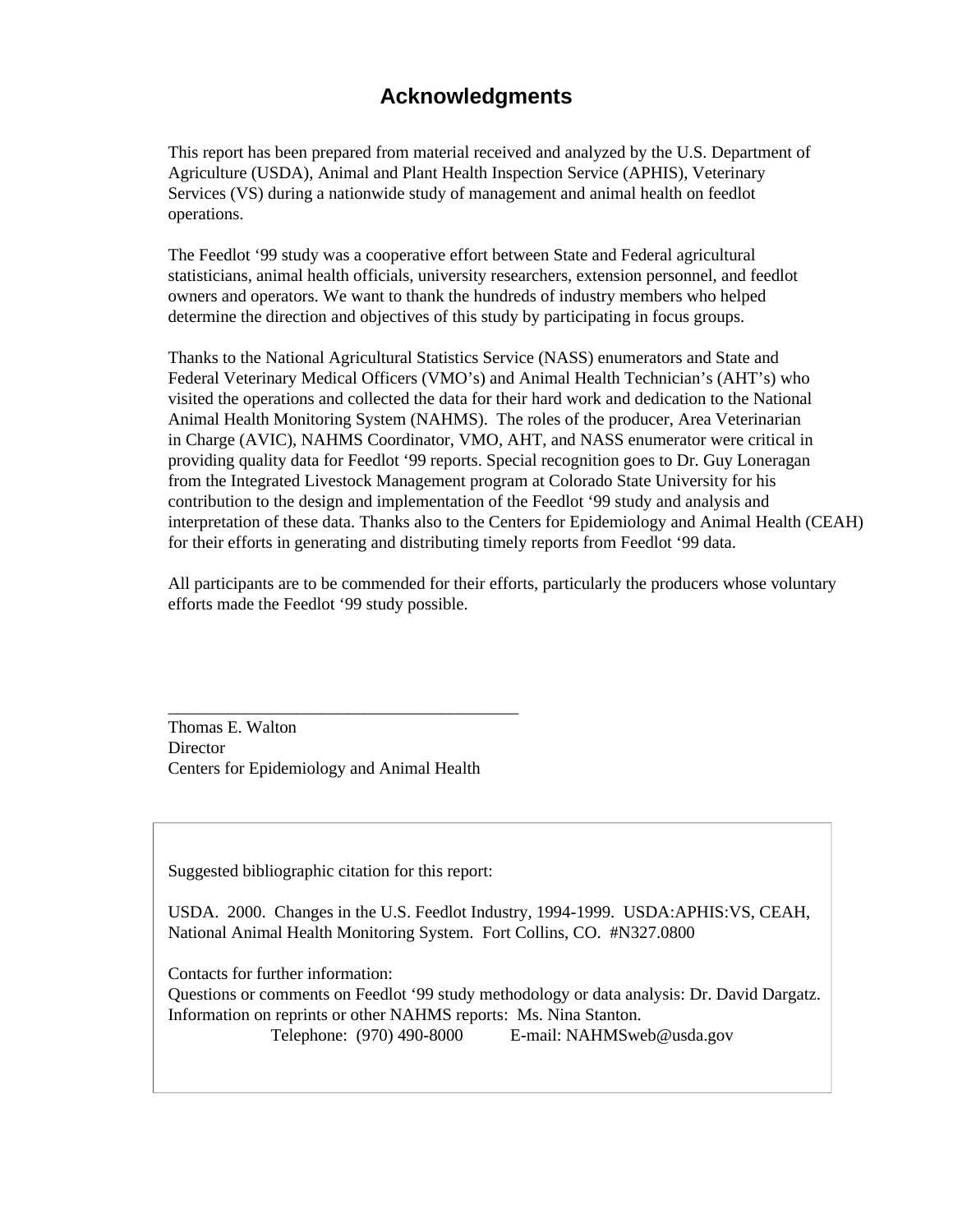### **Ac knowl edg ments**

This report has been prepared from material received and analyzed by the U.S. Department of Agriculture (USDA), Animal and Plant Health Inspection Service (APHIS), Veterinary Services (VS) during a nationwide study of management and animal health on feedlot operations.

The Feedlot '99 study was a cooperative effort between State and Federal agricultural statisticians, animal health officials, university researchers, extension personnel, and feedlot owners and operators. We want to thank the hundreds of industry members who helped determine the direction and objectives of this study by participating in focus groups.

Thanks to the National Agricultural Statistics Service (NASS) enumerators and State and Federal Veterinary Medical Officers (VMO's) and Animal Health Technician's (AHT's) who visited the operations and collected the data for their hard work and dedication to the National Animal Health Monitoring System (NAHMS). The roles of the producer, Area Veterinarian in Charge (AVIC), NAHMS Coordinator, VMO, AHT, and NASS enumerator were critical in providing quality data for Feedlot '99 reports. Special recognition goes to Dr. Guy Loneragan from the Integrated Livestock Management program at Colorado State University for his contribution to the design and implementation of the Feedlot '99 study and analysis and interpretation of these data. Thanks also to the Centers for Epidemiology and Animal Health (CEAH) for their efforts in generating and distributing timely reports from Feedlot '99 data.

All participants are to be commended for their efforts, particularly the producers whose voluntary efforts made the Feedlot '99 study possible.

Thomas E. Walton **Director** Centers for Epidemiology and Animal Health

\_\_\_\_\_\_\_\_\_\_\_\_\_\_\_\_\_\_\_\_\_\_\_\_\_\_\_\_\_\_\_\_\_\_\_\_\_\_\_\_\_

Suggested bibliographic citation for this report:

USDA. 2000. Changes in the U.S. Feedlot Industry, 1994-1999. USDA:APHIS:VS, CEAH, National Animal Health Monitoring System. Fort Collins, CO. #N327.0800

Contacts for further information: Questions or comments on Feedlot '99 study methodology or data analysis: Dr. David Dargatz. Information on reprints or other NAHMS reports: Ms. Nina Stanton.

Telephone: (970) 490-8000 E-mail: NAHMSweb@usda.gov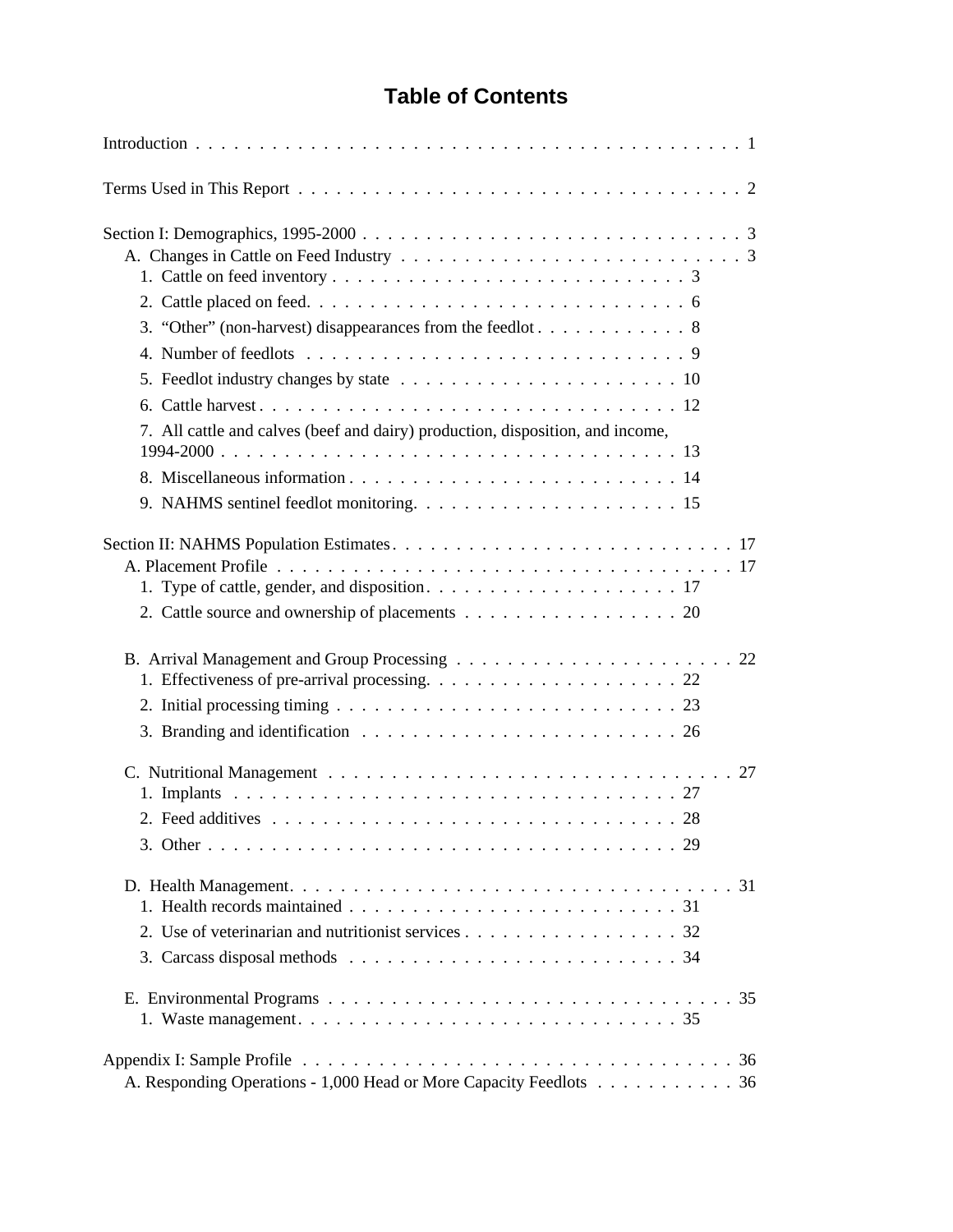### **Table of Contents**

| 7. All cattle and calves (beef and dairy) production, disposition, and income,                     |
|----------------------------------------------------------------------------------------------------|
|                                                                                                    |
| 2. Cattle source and ownership of placements 20                                                    |
| 3. Branding and identification $\ldots \ldots \ldots \ldots \ldots \ldots \ldots \ldots \ldots 26$ |
|                                                                                                    |
| 2. Use of veterinarian and nutritionist services 32                                                |
|                                                                                                    |
| A. Responding Operations - 1,000 Head or More Capacity Feedlots 36                                 |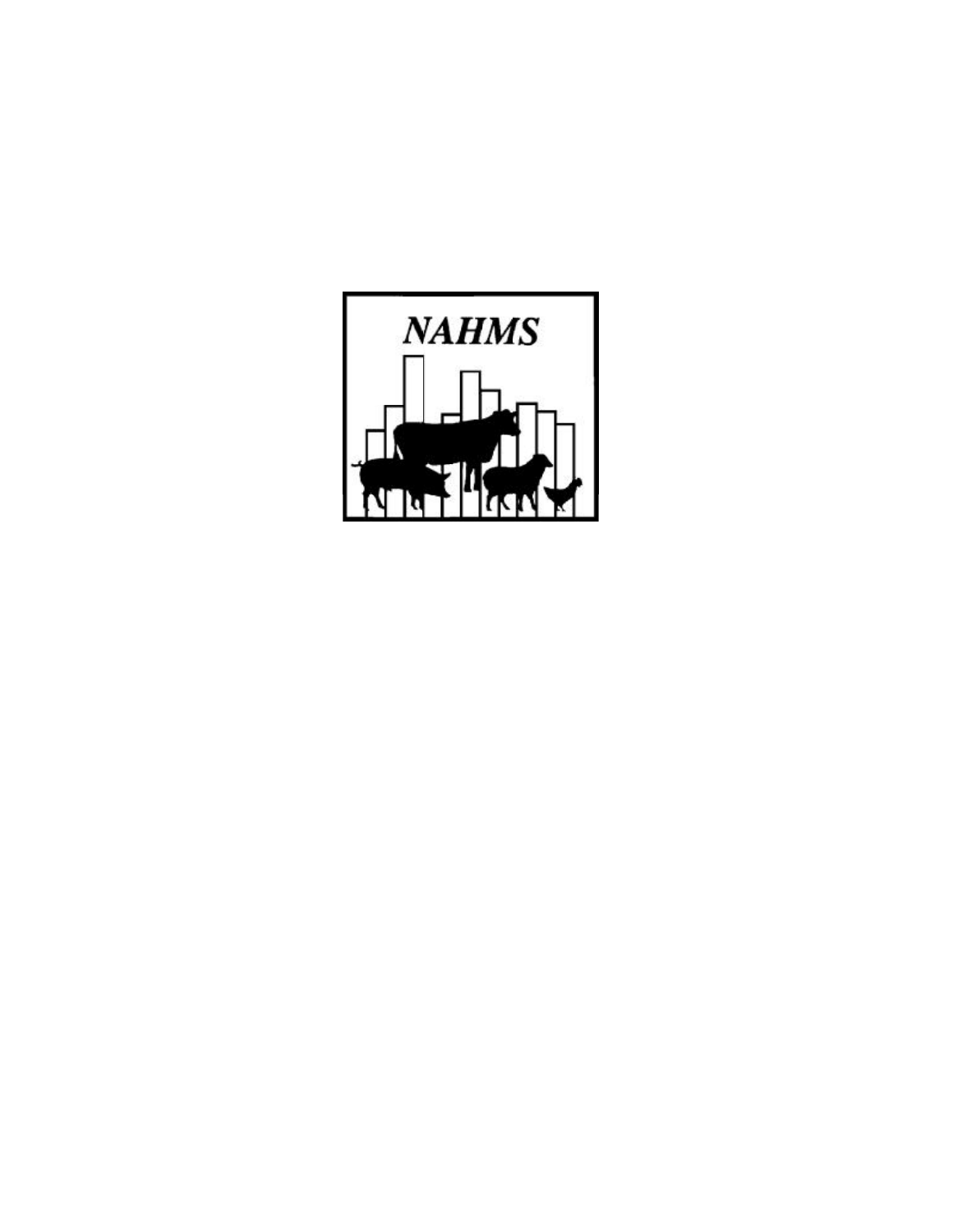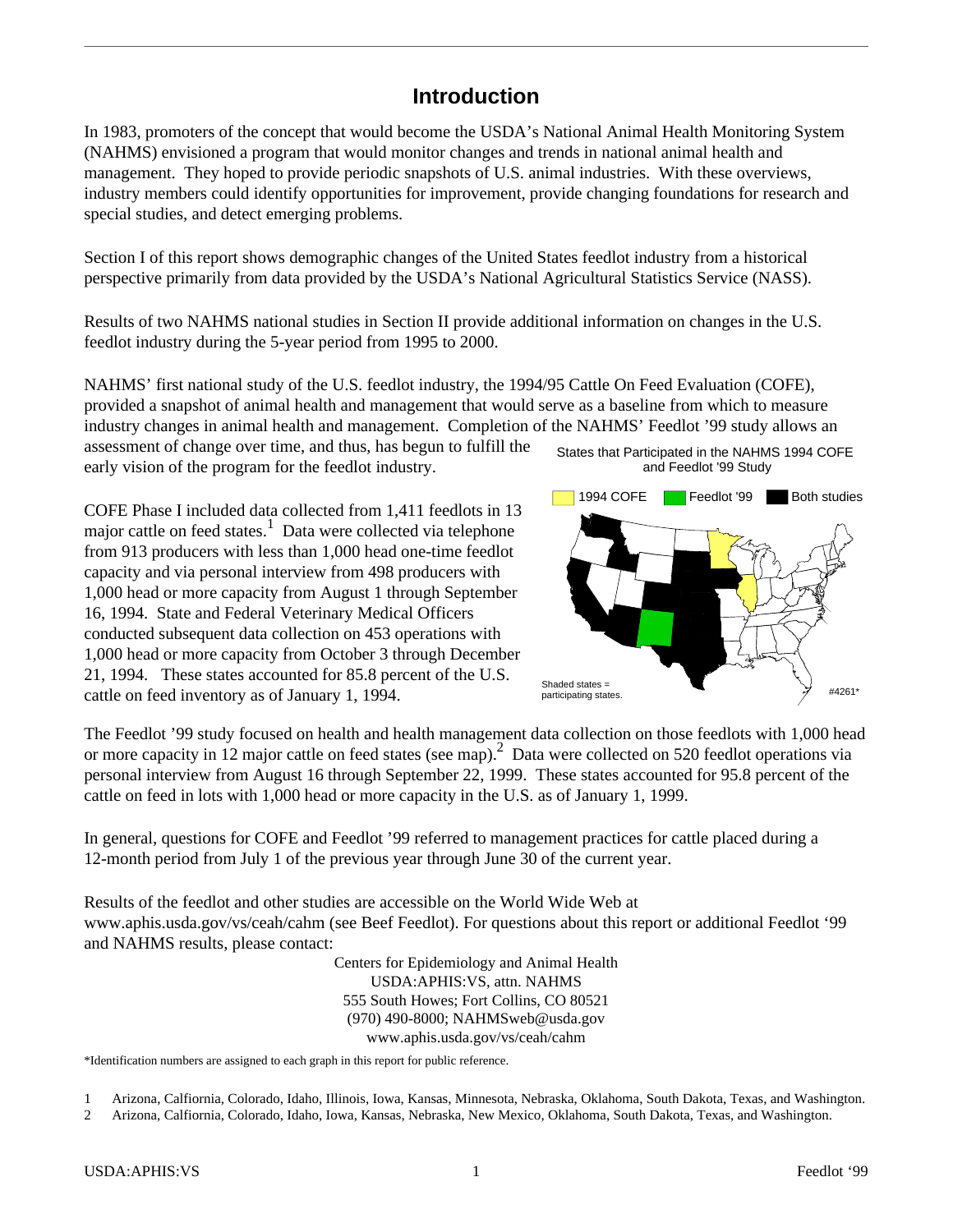#### **In tro duc tion**

In 1983, promoters of the concept that would become the USDA's National Animal Health Monitoring System (NAHMS) envisioned a program that would monitor changes and trends in national animal health and man agement. They hoped to provide periodic snapshots of U.S. animal industries. With these overviews, industry members could identify opportunities for improvement, provide changing foundations for research and special studies, and detect emerging problems.

Section I of this report shows demographic changes of the United States feed lot industry from a historical per spective primarily from data provided by the USDA's National Agricultural Statistics Service (NASS).

Results of two NAHMS national studies in Section II provide additional information on changes in the U.S. feed lot industry during the 5-year period from 1995 to 2000.

NAHMS' first national study of the U.S. feed lot industry, the 1994/95 Cattle On Feed Evaluation (COFE), provided a snapshot of animal health and management that would serve as a baseline from which to measure industry changes in animal health and management. Completion of the NAHMS' Feedlot '99 study allows an

as as assessment of change over time, and thus, has begun to fulfill the early vision of the program for the feed lot industry.

COFE Phase I included data collected from 1,411 feedlots in 13 major cattle on feed states.<sup>1</sup> Data were collected via telephone from 913 producers with less than 1,000 head one-time feedlot capacity and via personal interview from 498 producers with 1,000 head or more capacity from August 1 through September 16, 1994. State and Federal Veterinary Medical Officers conducted subsequent data collection on 453 operations with 1,000 head or more capacity from October 3 through December 21, 1994. These states accounted for 85.8 percent of the U.S. cattle on feed inventory as of January 1, 1994.





The Feedlot '99 study focused on health and health management data collection on those feedlots with 1,000 head or more capacity in 12 major cattle on feed states (see map).<sup>2</sup> Data were collected on 520 feedlot operations via personal interview from August 16 through September 22, 1999. These states accounted for 95.8 percent of the cattle on feed in lots with 1,000 head or more capacity in the U.S. as of January 1, 1999.

In general, questions for COFE and Feedlot '99 referred to management practices for cattle placed during a 12-month period from July 1 of the previous year through June 30 of the current year.

Results of the feed lot and other studies are accessible on the World Wide Web at www.aphis.usda.gov/vs/ceah/cahm (see Beef Feedlot). For questions about this report or additional Feedlot '99 and NAHMS results, please contact:

> Centers for Epidemiology and Animal Health USDA:APHIS:VS, attn. NAHMS 555 South Howes; Fort Collins, CO 80521 (970) 490-8000; NAHMSweb@usda.gov www.aphis.usda.gov/vs/ceah/cahm

\*Identification numbers are assigned to each graph in this report for public reference.

1 Arizona, Calfiornia, Colorado, Idaho, Illinois, Iowa, Kansas, Minnesota, Nebraska, Oklahoma, South Dakota, Texas, and Washington.

2 Arizona, Calfiornia, Colorado, Idaho, Iowa, Kansas, Nebraska, New Mexico, Oklahoma, South Dakota, Texas, and Washington.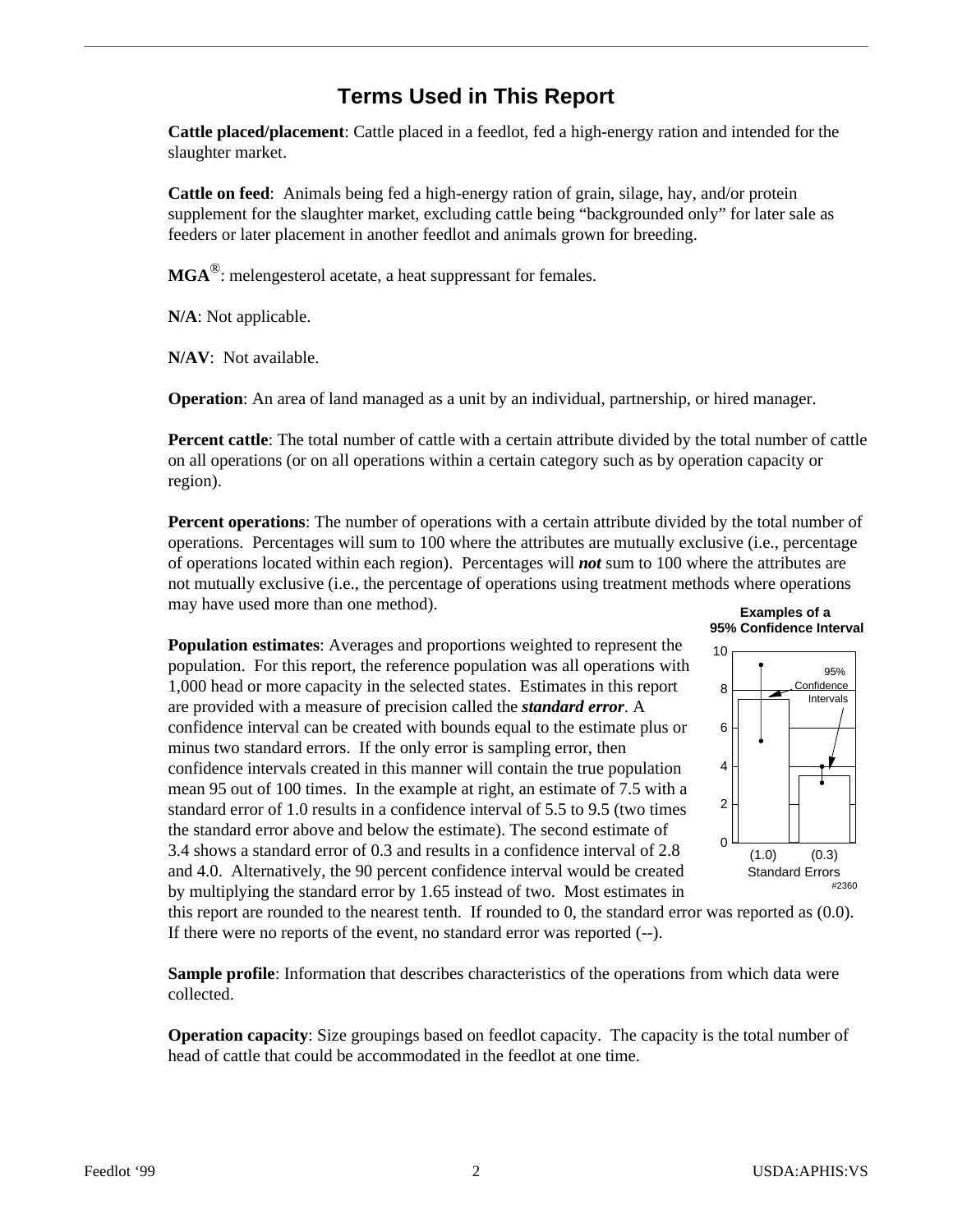### **Terms Used in This Report**

**Cattle placed/placement**: Cattle placed in a feed lot, fed a high-energy ration and intended for the slaughter market.

**Cattle on feed**: Animals being fed a high-energy ration of grain, silage, hay, and/or protein supplement for the slaughter market, excluding cattle being "backgrounded only" for later sale as feeders or later placement in another feed lot and animals grown for breeding.

**MGA** ® : melengesterol acetate, a heat suppressant for females.

**N/A**: Not applicable.

**N/AV**: Not available.

**Operation**: An area of land managed as a unit by an individual, partnership, or hired manager.

**Percent cattle**: The total number of cattle with a certain attribute divided by the total number of cattle on all operations (or on all operations within a certain category such as by operation capacity or region).

**Percent operations**: The number of operations with a certain attribute divided by the total number of operations. Percentages will sum to  $100$  where the attributes are mutually exclusive (i.e., percentage of operations located within each region). Percentages will **not** sum to 100 where the attributes are not mutually exclusive (i.e., the percentage of operations using treatment methods where operations may have used more than one method). **Examples of a** 

**Population estimates:** Averages and proportions weighted to represent the population. For this report, the reference population was all operations with 1,000 head or more capacity in the selected states. Estimates in this report are provided with a measure of precision called the *standard error*. A confidence interval can be created with bounds equal to the estimate plus or minus two standard errors. If the only error is sampling error, then confidence intervals created in this manner will contain the true population mean 95 out of 100 times. In the example at right, an estimate of 7.5 with a standard error of 1.0 results in a confidence interval of 5.5 to 9.5 (two times the standard error above and below the estimate). The second estimate of 3.4 shows a standard error of 0.3 and results in a confidence interval of 2.8 and 4.0. Alternatively, the 90 percent confidence interval would be created by multiplying the standard error by 1.65 instead of two. Most estimates in



this report are rounded to the nearest tenth. If rounded to 0, the standard error was reported as  $(0.0)$ . If there were no reports of the event, no standard error was reported (--).

**Sample profile**: Information that describes characteristics of the operations from which data were collected.

**Operation capacity**: Size groupings based on feed lot capacity. The capacity is the total number of head of cattle that could be accommodated in the feed lot at one time.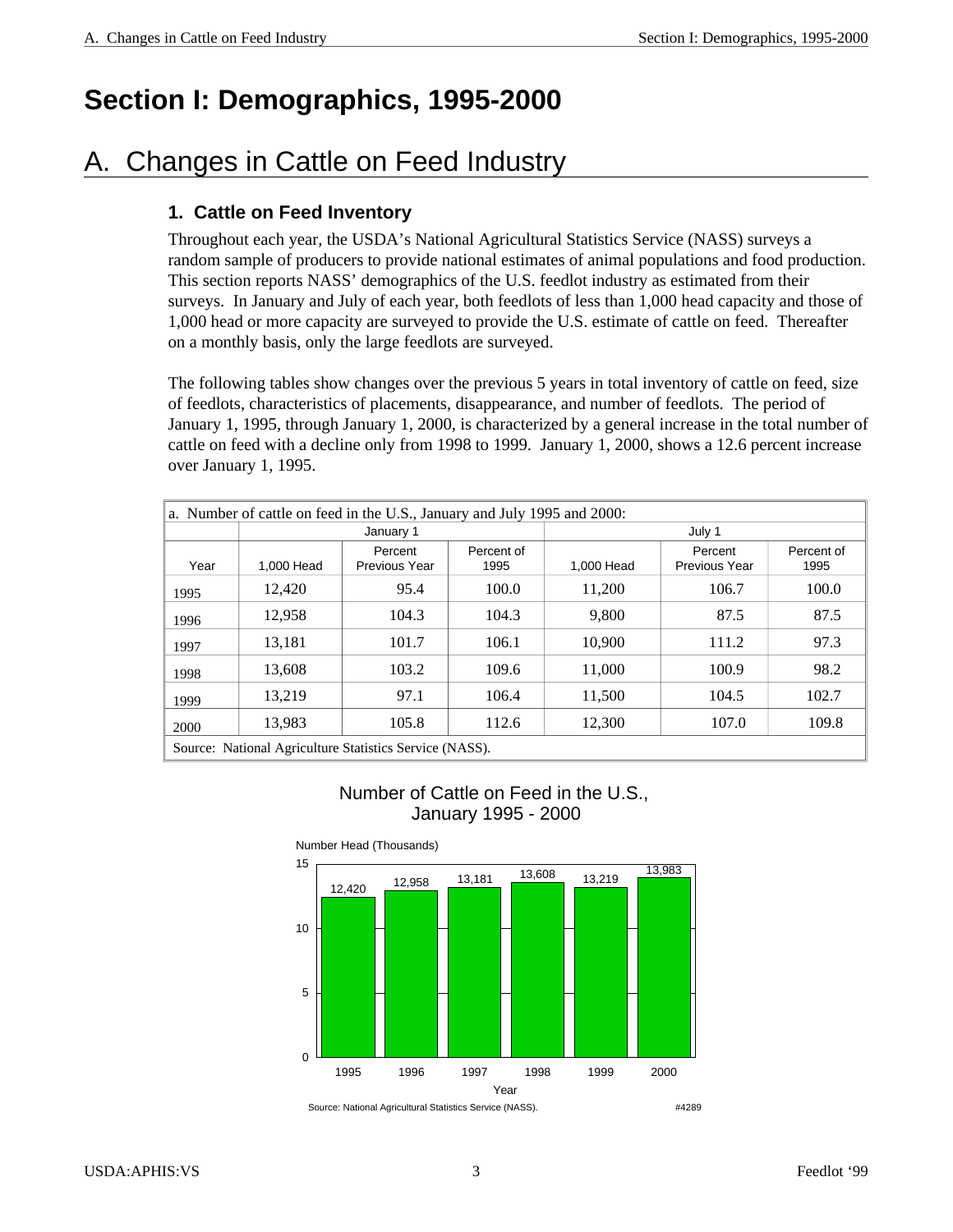## **Section I: Demographics, 1995-2000**

### A. Changes in Cattle on Feed Industry

#### **1. Cattle on Feed Inventory**

Throughout each year, the USDA's National Agricultural Statistics Service (NASS) surveys a random sample of producers to provide national estimates of animal populations and food production. This section reports NASS' demographics of the U.S. feedlot industry as estimated from their surveys. In January and July of each year, both feedlots of less than 1,000 head capacity and those of 1,000 head or more capacity are surveyed to provide the U.S. estimate of cattle on feed. Thereafter on a monthly basis, only the large feedlots are surveyed.

The following tables show changes over the previous 5 years in total inventory of cattle on feed, size of feedlots, characteristics of placements, disappearance, and number of feedlots. The period of January 1, 1995, through January 1, 2000, is characterized by a general increase in the total number of cattle on feed with a decline only from 1998 to 1999. January 1, 2000, shows a 12.6 percent increase over January 1, 1995.

| a. Number of cattle on feed in the U.S., January and July 1995 and 2000: |            |                                                         |                    |            |                          |                    |  |  |  |
|--------------------------------------------------------------------------|------------|---------------------------------------------------------|--------------------|------------|--------------------------|--------------------|--|--|--|
|                                                                          |            | January 1                                               |                    |            | July 1                   |                    |  |  |  |
| Year                                                                     | 1,000 Head | Percent<br><b>Previous Year</b>                         | Percent of<br>1995 | 1.000 Head | Percent<br>Previous Year | Percent of<br>1995 |  |  |  |
| 1995                                                                     | 12.420     | 95.4                                                    | 100.0              | 11.200     | 106.7                    | 100.0              |  |  |  |
| 1996                                                                     | 12,958     | 104.3                                                   | 104.3              | 9.800      | 87.5                     | 87.5               |  |  |  |
| 1997                                                                     | 13.181     | 101.7                                                   | 106.1              | 10.900     | 111.2                    | 97.3               |  |  |  |
| 1998                                                                     | 13.608     | 103.2                                                   | 109.6              | 11,000     | 100.9                    | 98.2               |  |  |  |
| 1999                                                                     | 13.219     | 97.1                                                    | 106.4              | 11,500     | 104.5                    | 102.7              |  |  |  |
| 2000                                                                     | 13,983     | 105.8                                                   | 112.6              | 12,300     | 107.0                    | 109.8              |  |  |  |
|                                                                          |            | Source: National Agriculture Statistics Service (NASS). |                    |            |                          |                    |  |  |  |

Number of Cattle on Feed in the U.S., January 1995 - 2000



Number Head (Thousands)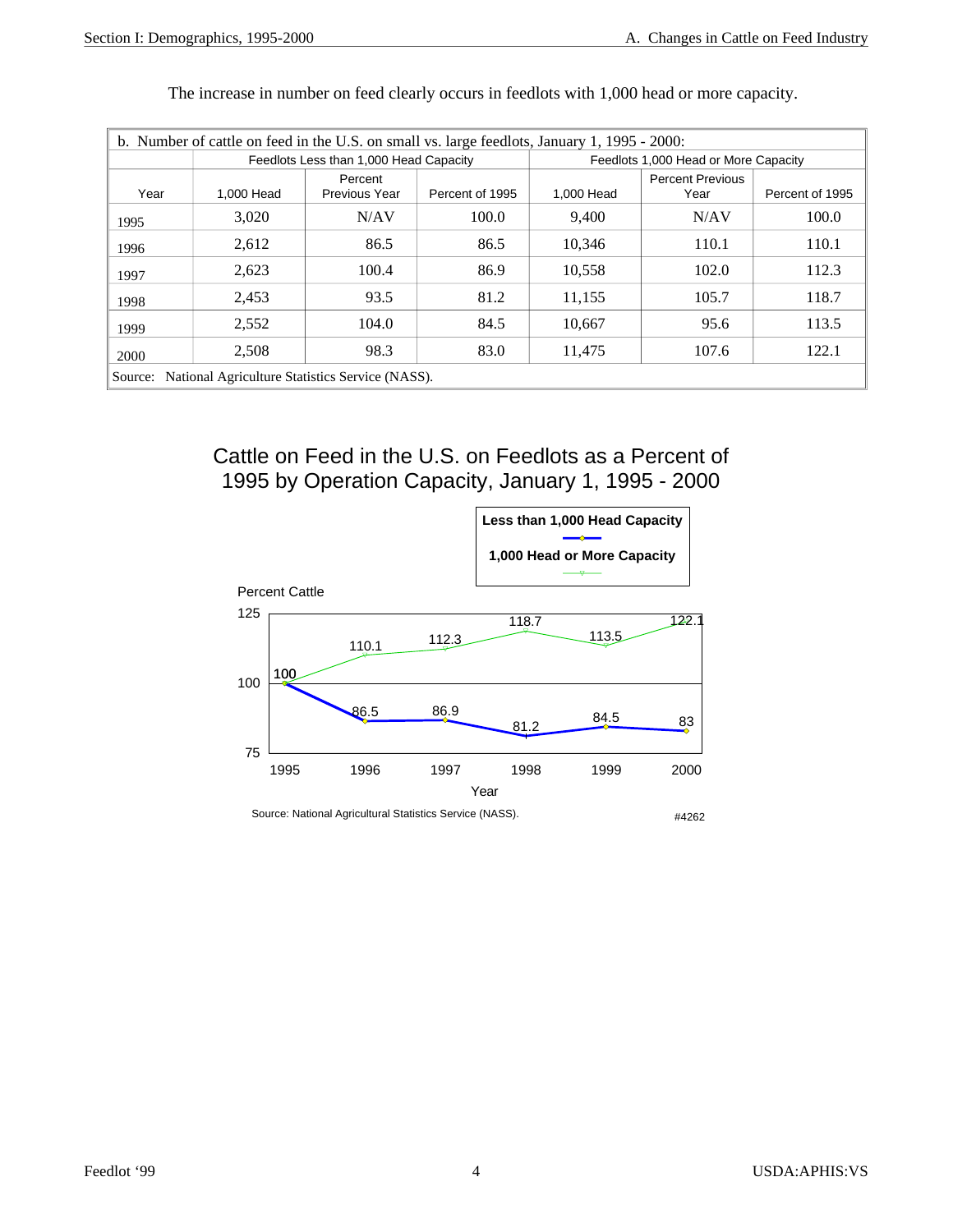| b. Number of cattle on feed in the U.S. on small vs. large feedlots, January 1, 1995 - 2000: |                                                 |                                        |                 |                                      |                                 |                 |  |  |  |
|----------------------------------------------------------------------------------------------|-------------------------------------------------|----------------------------------------|-----------------|--------------------------------------|---------------------------------|-----------------|--|--|--|
|                                                                                              |                                                 | Feedlots Less than 1,000 Head Capacity |                 | Feedlots 1,000 Head or More Capacity |                                 |                 |  |  |  |
| Year                                                                                         | 1,000 Head                                      | Percent<br>Previous Year               | Percent of 1995 | 1,000 Head                           | <b>Percent Previous</b><br>Year | Percent of 1995 |  |  |  |
| 1995                                                                                         | 3,020                                           | N/AV                                   | 100.0           | 9,400                                | N/AV                            | 100.0           |  |  |  |
| 1996                                                                                         | 2,612                                           | 86.5                                   | 86.5            | 10.346                               | 110.1                           | 110.1           |  |  |  |
| 1997                                                                                         | 2,623                                           | 100.4                                  | 86.9            | 10,558                               | 102.0                           | 112.3           |  |  |  |
| 1998                                                                                         | 2,453                                           | 93.5                                   | 81.2            | 11.155                               | 105.7                           | 118.7           |  |  |  |
| 1999                                                                                         | 2,552                                           | 104.0                                  | 84.5            | 10.667                               | 95.6                            | 113.5           |  |  |  |
| 2000                                                                                         | 2,508                                           | 98.3                                   | 83.0            | 11.475                               | 107.6                           | 122.1           |  |  |  |
| Source:                                                                                      | National Agriculture Statistics Service (NASS). |                                        |                 |                                      |                                 |                 |  |  |  |

The increase in number on feed clearly occurs in feedlots with 1,000 head or more capacity.

Cattle on Feed in the U.S. on Feedlots as a Percent of 1995 by Operation Capacity, January 1, 1995 - 2000

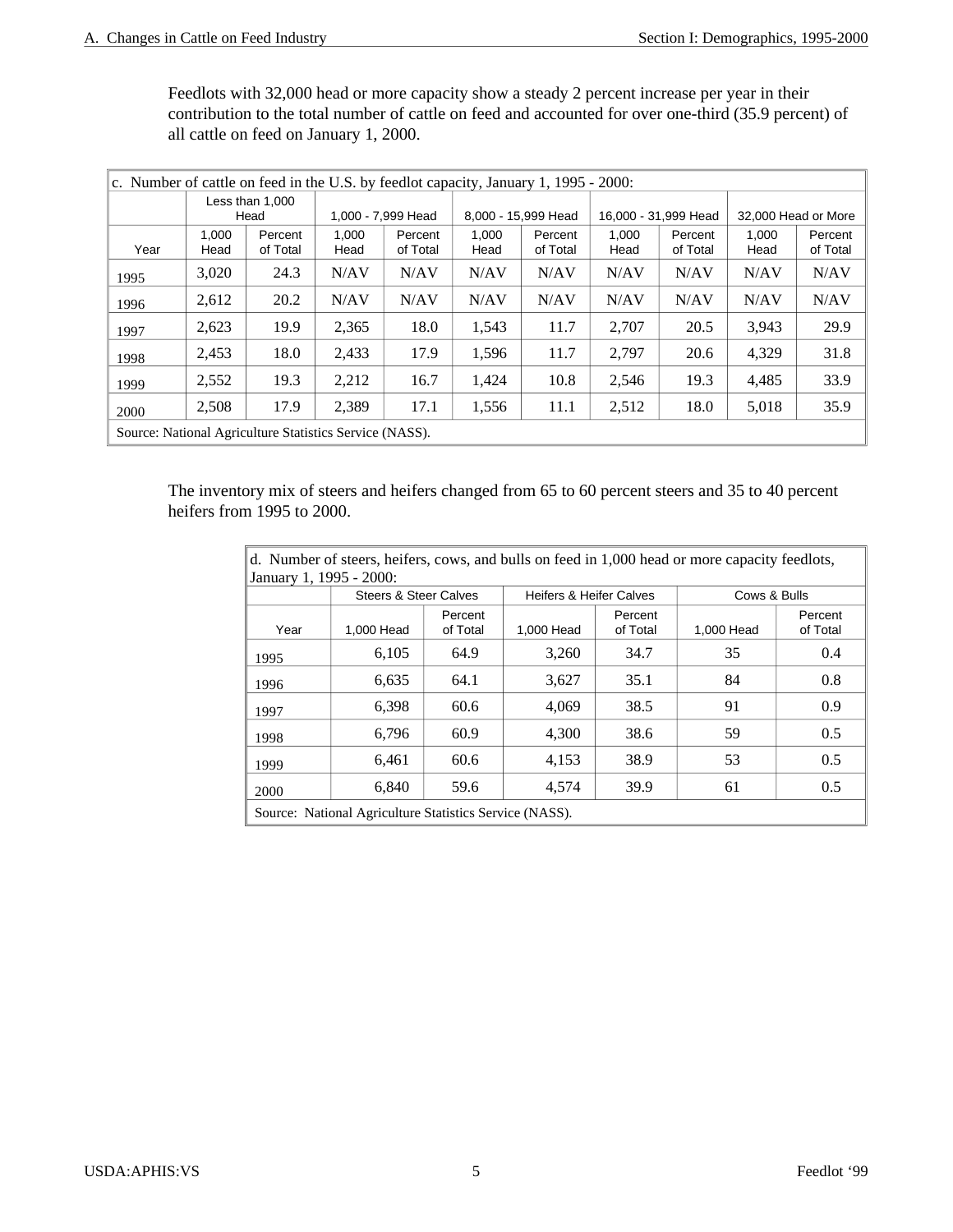Feedlots with 32,000 head or more capacity show a steady 2 percent increase per year in their contribution to the total number of cattle on feed and accounted for over one-third (35.9 percent) of all cattle on feed on January 1, 2000.

| c. Number of cattle on feed in the U.S. by feedlot capacity, January 1, 1995 - 2000: |                         |                     |               |                     |               |                     |               |                      |               |                     |  |
|--------------------------------------------------------------------------------------|-------------------------|---------------------|---------------|---------------------|---------------|---------------------|---------------|----------------------|---------------|---------------------|--|
|                                                                                      | Less than 1,000<br>Head |                     |               | 1,000 - 7,999 Head  |               | 8,000 - 15,999 Head |               | 16,000 - 31,999 Head |               | 32,000 Head or More |  |
| Year                                                                                 | 1,000<br>Head           | Percent<br>of Total | 1,000<br>Head | Percent<br>of Total | 1.000<br>Head | Percent<br>of Total | 1,000<br>Head | Percent<br>of Total  | 1.000<br>Head | Percent<br>of Total |  |
| 1995                                                                                 | 3,020                   | 24.3                | N/AV          | N/AV                | N/AV          | N/AV                | N/AV          | N/AV                 | N/AV          | N/AV                |  |
| 1996                                                                                 | 2,612                   | 20.2                | N/AV          | N/AV                | N/AV          | N/AV                | N/AV          | N/AV                 | N/AV          | N/AV                |  |
| 1997                                                                                 | 2,623                   | 19.9                | 2,365         | 18.0                | 1,543         | 11.7                | 2,707         | 20.5                 | 3.943         | 29.9                |  |
| 1998                                                                                 | 2,453                   | 18.0                | 2,433         | 17.9                | 1,596         | 11.7                | 2,797         | 20.6                 | 4,329         | 31.8                |  |
| 1999                                                                                 | 2,552                   | 19.3                | 2,212         | 16.7                | 1,424         | 10.8                | 2,546         | 19.3                 | 4.485         | 33.9                |  |
| 2000                                                                                 | 2,508                   | 17.9                | 2,389         | 17.1                | 1,556         | 11.1                | 2,512         | 18.0                 | 5,018         | 35.9                |  |
| Source: National Agriculture Statistics Service (NASS).                              |                         |                     |               |                     |               |                     |               |                      |               |                     |  |

The inventory mix of steers and heifers changed from 65 to 60 percent steers and 35 to 40 percent heifers from 1995 to 2000.

| d. Number of steers, heifers, cows, and bulls on feed in 1,000 head or more capacity feedlots,<br>January 1, 1995 - 2000: |                                                         |                     |                                    |                     |              |                     |  |  |  |
|---------------------------------------------------------------------------------------------------------------------------|---------------------------------------------------------|---------------------|------------------------------------|---------------------|--------------|---------------------|--|--|--|
|                                                                                                                           | <b>Steers &amp; Steer Calves</b>                        |                     | <b>Heifers &amp; Heifer Calves</b> |                     | Cows & Bulls |                     |  |  |  |
| Year                                                                                                                      | 1,000 Head                                              | Percent<br>of Total | 1,000 Head                         | Percent<br>of Total | 1,000 Head   | Percent<br>of Total |  |  |  |
| 1995                                                                                                                      | 6,105                                                   | 64.9                | 3,260                              | 34.7                | 35           | 0.4                 |  |  |  |
| 1996                                                                                                                      | 6,635                                                   | 64.1                | 3,627                              | 35.1                | 84           | 0.8                 |  |  |  |
| 1997                                                                                                                      | 6,398                                                   | 60.6                | 4,069                              | 38.5                | 91           | 0.9                 |  |  |  |
| 1998                                                                                                                      | 6,796                                                   | 60.9                | 4,300                              | 38.6                | 59           | 0.5                 |  |  |  |
| 1999                                                                                                                      | 6,461                                                   | 60.6                | 4,153                              | 38.9                | 53           | 0.5                 |  |  |  |
| 2000                                                                                                                      | 6,840                                                   | 59.6                | 4,574                              | 39.9                | 61           | 0.5                 |  |  |  |
|                                                                                                                           | Source: National Agriculture Statistics Service (NASS). |                     |                                    |                     |              |                     |  |  |  |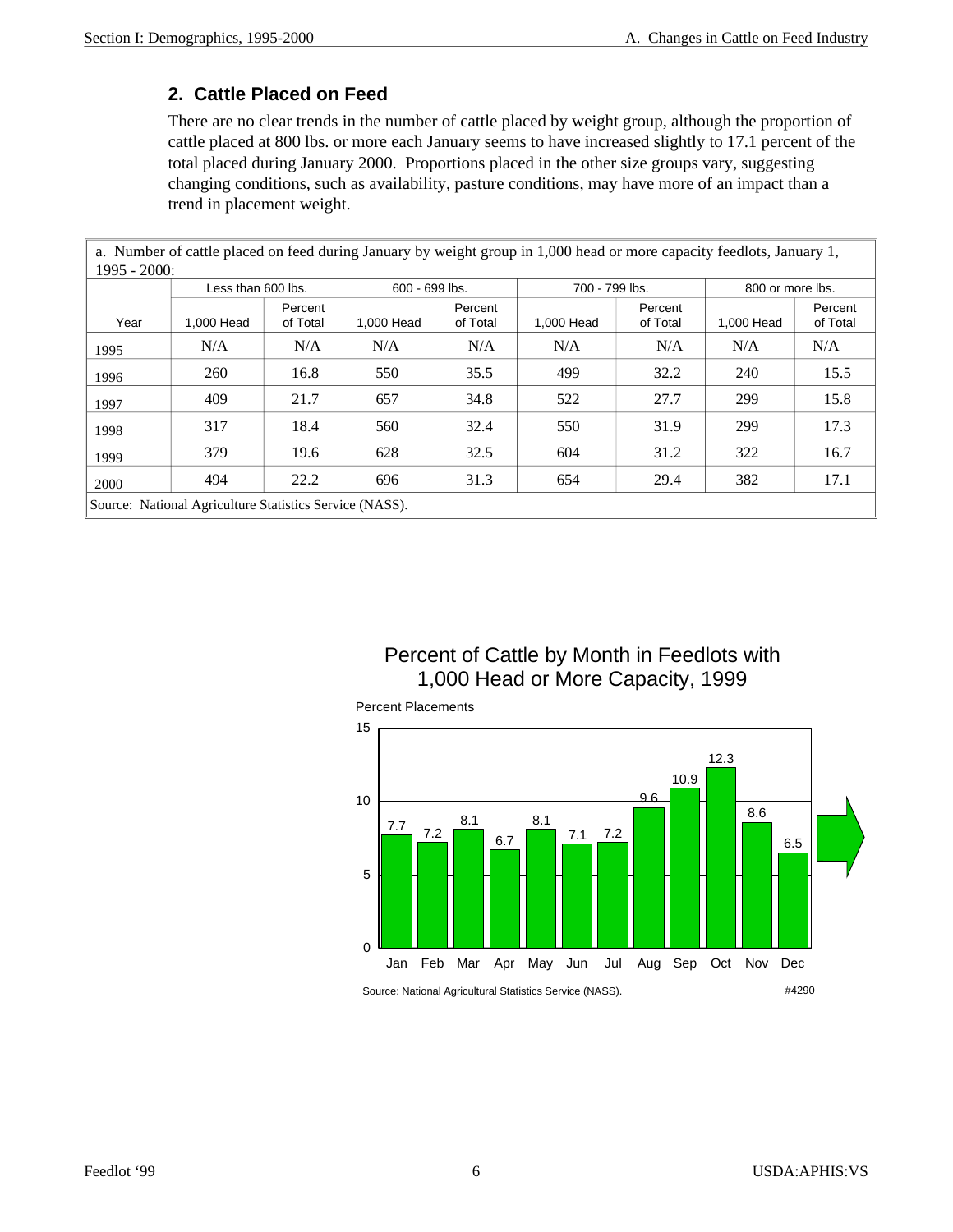#### **2. Cattle Placed on Feed**

There are no clear trends in the number of cattle placed by weight group, although the proportion of cattle placed at 800 lbs. or more each January seems to have increased slightly to 17.1 percent of the total placed during January 2000. Proportions placed in the other size groups vary, suggesting changing conditions, such as availability, pasture conditions, may have more of an impact than a trend in placement weight.

a. Number of cattle placed on feed during January by weight group in 1,000 head or more capacity feedlots, January 1, 1995 - 2000:

|      | Less than 600 lbs.                                      |                     | 600 - 699 lbs. |                     | 700 - 799 lbs. |                     | 800 or more lbs. |                     |
|------|---------------------------------------------------------|---------------------|----------------|---------------------|----------------|---------------------|------------------|---------------------|
| Year | 1,000 Head                                              | Percent<br>of Total | 1,000 Head     | Percent<br>of Total | 1,000 Head     | Percent<br>of Total | 1.000 Head       | Percent<br>of Total |
| 1995 | N/A                                                     | N/A                 | N/A            | N/A                 | N/A            | N/A                 | N/A              | N/A                 |
| 1996 | 260                                                     | 16.8                | 550            | 35.5                | 499            | 32.2                | 240              | 15.5                |
| 1997 | 409                                                     | 21.7                | 657            | 34.8                | 522            | 27.7                | 299              | 15.8                |
| 1998 | 317                                                     | 18.4                | 560            | 32.4                | 550            | 31.9                | 299              | 17.3                |
| 1999 | 379                                                     | 19.6                | 628            | 32.5                | 604            | 31.2                | 322              | 16.7                |
| 2000 | 494                                                     | 22.2                | 696            | 31.3                | 654            | 29.4                | 382              | 17.1                |
|      | Source: National Agriculture Statistics Service (NASS). |                     |                |                     |                |                     |                  |                     |

Percent of Cattle by Month in Feedlots with 1,000 Head or More Capacity, 1999

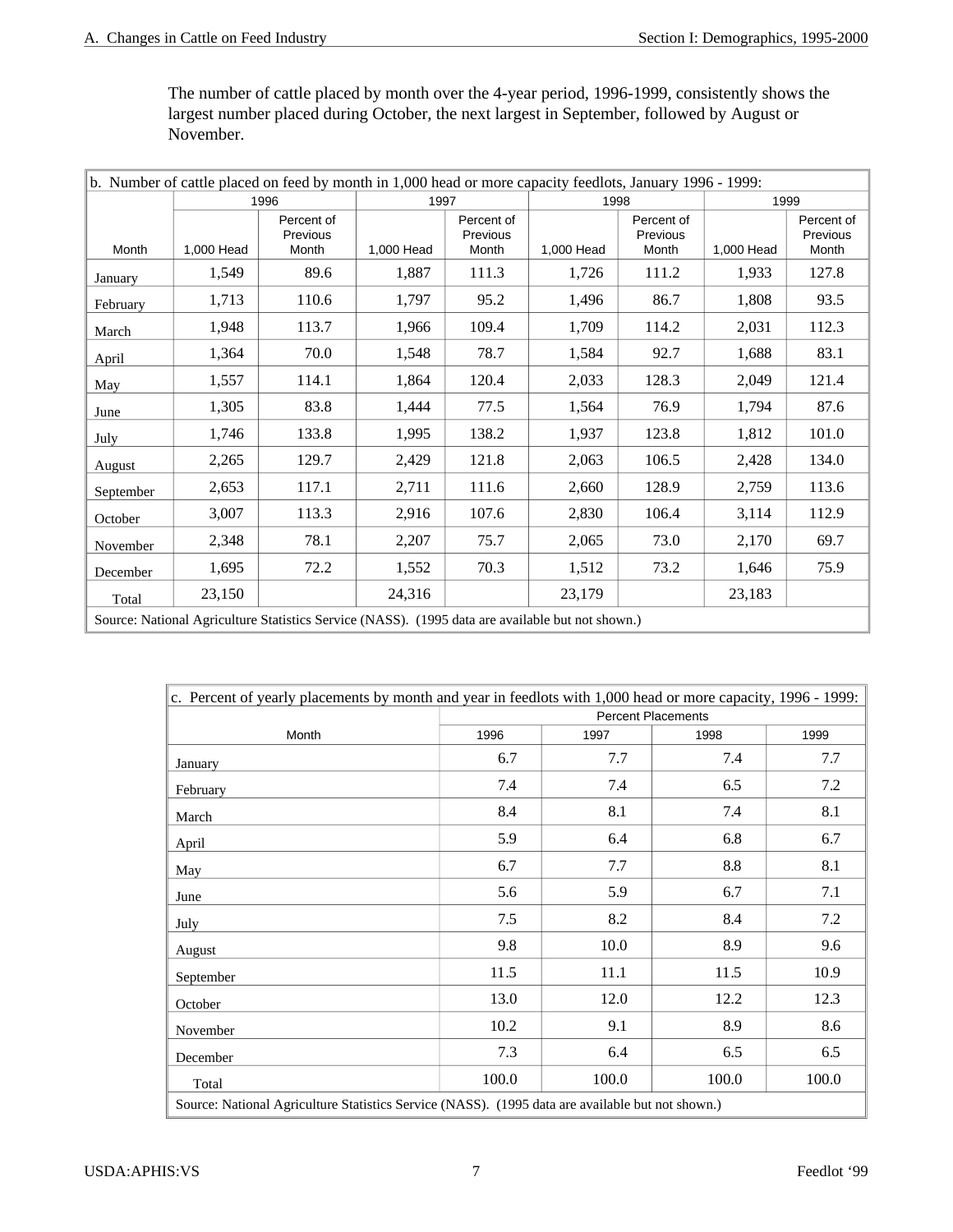The number of cattle placed by month over the 4-year period, 1996-1999, consistently shows the largest number placed during October, the next largest in September, followed by August or November.

| b. Number of cattle placed on feed by month in 1,000 head or more capacity feedlots, January 1996 - 1999: |            |                                                                                                |            |                                 |            |                                 |            |                                 |  |  |
|-----------------------------------------------------------------------------------------------------------|------------|------------------------------------------------------------------------------------------------|------------|---------------------------------|------------|---------------------------------|------------|---------------------------------|--|--|
|                                                                                                           |            | 1996                                                                                           | 1997       |                                 | 1998       |                                 |            | 1999                            |  |  |
| Month                                                                                                     | 1,000 Head | Percent of<br>Previous<br>Month                                                                | 1,000 Head | Percent of<br>Previous<br>Month | 1,000 Head | Percent of<br>Previous<br>Month | 1,000 Head | Percent of<br>Previous<br>Month |  |  |
| January                                                                                                   | 1,549      | 89.6                                                                                           | 1,887      | 111.3                           | 1,726      | 111.2                           | 1,933      | 127.8                           |  |  |
| February                                                                                                  | 1,713      | 110.6                                                                                          | 1,797      | 95.2                            | 1,496      | 86.7                            | 1,808      | 93.5                            |  |  |
| March                                                                                                     | 1,948      | 113.7                                                                                          | 1,966      | 109.4                           | 1,709      | 114.2                           | 2,031      | 112.3                           |  |  |
| April                                                                                                     | 1,364      | 70.0                                                                                           | 1,548      | 78.7                            | 1,584      | 92.7                            | 1,688      | 83.1                            |  |  |
| May                                                                                                       | 1,557      | 114.1                                                                                          | 1,864      | 120.4                           | 2,033      | 128.3                           | 2,049      | 121.4                           |  |  |
| June                                                                                                      | 1,305      | 83.8                                                                                           | 1,444      | 77.5                            | 1,564      | 76.9                            | 1,794      | 87.6                            |  |  |
| July                                                                                                      | 1,746      | 133.8                                                                                          | 1,995      | 138.2                           | 1,937      | 123.8                           | 1,812      | 101.0                           |  |  |
| August                                                                                                    | 2,265      | 129.7                                                                                          | 2,429      | 121.8                           | 2,063      | 106.5                           | 2,428      | 134.0                           |  |  |
| September                                                                                                 | 2,653      | 117.1                                                                                          | 2,711      | 111.6                           | 2,660      | 128.9                           | 2,759      | 113.6                           |  |  |
| October                                                                                                   | 3,007      | 113.3                                                                                          | 2,916      | 107.6                           | 2,830      | 106.4                           | 3,114      | 112.9                           |  |  |
| November                                                                                                  | 2,348      | 78.1                                                                                           | 2,207      | 75.7                            | 2,065      | 73.0                            | 2,170      | 69.7                            |  |  |
| December                                                                                                  | 1,695      | 72.2                                                                                           | 1,552      | 70.3                            | 1,512      | 73.2                            | 1,646      | 75.9                            |  |  |
| Total                                                                                                     | 23,150     |                                                                                                | 24,316     |                                 | 23,179     |                                 | 23,183     |                                 |  |  |
|                                                                                                           |            | Source: National Agriculture Statistics Service (NASS) (1005 data are available but not shown) |            |                                 |            |                                 |            |                                 |  |  |

| Source: National Agriculture Statistics Service (NASS). (1995 data are available but not shown.) |  |
|--------------------------------------------------------------------------------------------------|--|
|--------------------------------------------------------------------------------------------------|--|

| c. Percent of yearly placements by month and year in feedlots with 1,000 head or more capacity, 1996 - 1999: |                           |       |       |       |  |  |  |  |
|--------------------------------------------------------------------------------------------------------------|---------------------------|-------|-------|-------|--|--|--|--|
|                                                                                                              | <b>Percent Placements</b> |       |       |       |  |  |  |  |
| Month                                                                                                        | 1996<br>1997<br>1998      |       |       |       |  |  |  |  |
| January                                                                                                      | 6.7                       | 7.7   | 7.4   | 7.7   |  |  |  |  |
| February                                                                                                     | 7.4                       | 7.4   | 6.5   | 7.2   |  |  |  |  |
| March                                                                                                        | 8.4                       | 8.1   | 7.4   | 8.1   |  |  |  |  |
| April                                                                                                        | 5.9                       | 6.4   | 6.8   | 6.7   |  |  |  |  |
| May                                                                                                          | 6.7                       | 7.7   | 8.8   | 8.1   |  |  |  |  |
| June                                                                                                         | 5.6                       | 5.9   | 6.7   | 7.1   |  |  |  |  |
| July                                                                                                         | 7.5                       | 8.2   | 8.4   | 7.2   |  |  |  |  |
| August                                                                                                       | 9.8                       | 10.0  | 8.9   | 9.6   |  |  |  |  |
| September                                                                                                    | 11.5                      | 11.1  | 11.5  | 10.9  |  |  |  |  |
| October                                                                                                      | 13.0                      | 12.0  | 12.2  | 12.3  |  |  |  |  |
| November                                                                                                     | 10.2                      | 9.1   | 8.9   | 8.6   |  |  |  |  |
| December                                                                                                     | 7.3                       | 6.4   | 6.5   | 6.5   |  |  |  |  |
| Total                                                                                                        | 100.0                     | 100.0 | 100.0 | 100.0 |  |  |  |  |
| Source: National Agriculture Statistics Service (NASS). (1995 data are available but not shown.)             |                           |       |       |       |  |  |  |  |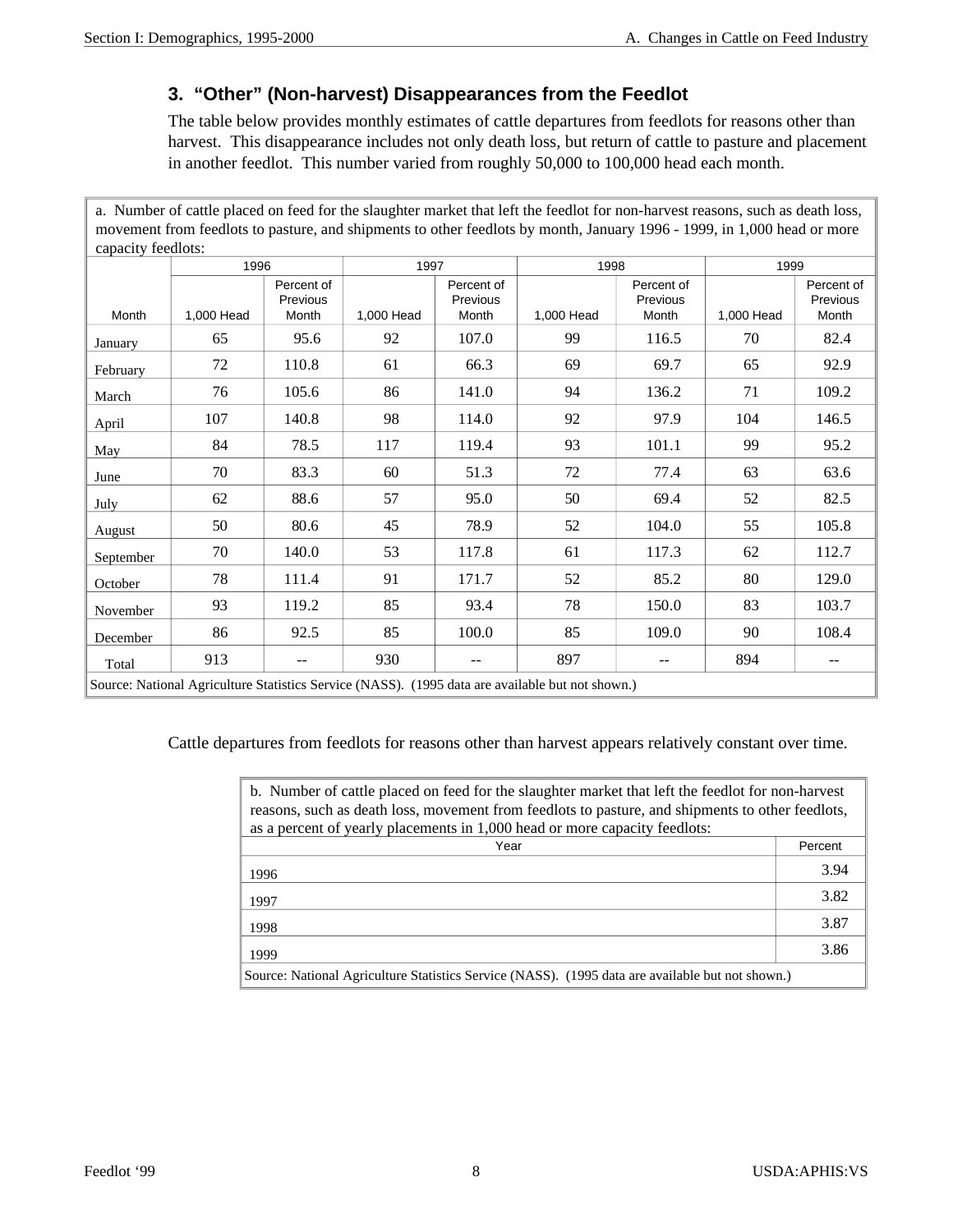#### **3. "Other" (Non-harvest) Disappearances from the Feedlot**

The table below provides monthly estimates of cattle departures from feedlots for reasons other than harvest. This disappearance includes not only death loss, but return of cattle to pasture and placement in another feedlot. This number varied from roughly 50,000 to 100,000 head each month.

| a. Number of cattle placed on feed for the slaughter market that left the feedlot for non-harvest reasons, such as death loss, |                                                                                                  |                                 |            |                                 |            |                                 |            |                                 |  |
|--------------------------------------------------------------------------------------------------------------------------------|--------------------------------------------------------------------------------------------------|---------------------------------|------------|---------------------------------|------------|---------------------------------|------------|---------------------------------|--|
| movement from feedlots to pasture, and shipments to other feedlots by month, January 1996 - 1999, in 1,000 head or more        |                                                                                                  |                                 |            |                                 |            |                                 |            |                                 |  |
| capacity feedlots:                                                                                                             |                                                                                                  |                                 |            |                                 |            |                                 |            |                                 |  |
|                                                                                                                                | 1996                                                                                             |                                 | 1997       |                                 | 1998       |                                 | 1999       |                                 |  |
| Month                                                                                                                          | 1,000 Head                                                                                       | Percent of<br>Previous<br>Month | 1,000 Head | Percent of<br>Previous<br>Month | 1,000 Head | Percent of<br>Previous<br>Month | 1,000 Head | Percent of<br>Previous<br>Month |  |
| January                                                                                                                        | 65                                                                                               | 95.6                            | 92         | 107.0                           | 99         | 116.5                           | 70         | 82.4                            |  |
| February                                                                                                                       | 72                                                                                               | 110.8                           | 61         | 66.3                            | 69         | 69.7                            | 65         | 92.9                            |  |
| March                                                                                                                          | 76                                                                                               | 105.6                           | 86         | 141.0                           | 94         | 136.2                           | 71         | 109.2                           |  |
| April                                                                                                                          | 107                                                                                              | 140.8                           | 98         | 114.0                           | 92         | 97.9                            | 104        | 146.5                           |  |
| May                                                                                                                            | 84                                                                                               | 78.5                            | 117        | 119.4                           | 93         | 101.1                           | 99         | 95.2                            |  |
| June                                                                                                                           | 70                                                                                               | 83.3                            | 60         | 51.3                            | 72         | 77.4                            | 63         | 63.6                            |  |
| July                                                                                                                           | 62                                                                                               | 88.6                            | 57         | 95.0                            | 50         | 69.4                            | 52         | 82.5                            |  |
| August                                                                                                                         | 50                                                                                               | 80.6                            | 45         | 78.9                            | 52         | 104.0                           | 55         | 105.8                           |  |
| September                                                                                                                      | 70                                                                                               | 140.0                           | 53         | 117.8                           | 61         | 117.3                           | 62         | 112.7                           |  |
| October                                                                                                                        | 78                                                                                               | 111.4                           | 91         | 171.7                           | 52         | 85.2                            | 80         | 129.0                           |  |
| November                                                                                                                       | 93                                                                                               | 119.2                           | 85         | 93.4                            | 78         | 150.0                           | 83         | 103.7                           |  |
| December                                                                                                                       | 86                                                                                               | 92.5                            | 85         | 100.0                           | 85         | 109.0                           | 90         | 108.4                           |  |
| Total                                                                                                                          | 913                                                                                              | $-$                             | 930        |                                 | 897        | --                              | 894        | $\overline{\phantom{a}}$        |  |
|                                                                                                                                | Source: National Agriculture Statistics Service (NASS). (1995 data are available but not shown.) |                                 |            |                                 |            |                                 |            |                                 |  |

Cattle departures from feedlots for reasons other than harvest appears relatively constant over time.

| b. Number of cattle placed on feed for the slaughter market that left the feedlot for non-harvest<br>reasons, such as death loss, movement from feedlots to pasture, and shipments to other feedlots,<br>as a percent of yearly placements in 1,000 head or more capacity feedlots: |         |
|-------------------------------------------------------------------------------------------------------------------------------------------------------------------------------------------------------------------------------------------------------------------------------------|---------|
| Year                                                                                                                                                                                                                                                                                | Percent |
| 1996                                                                                                                                                                                                                                                                                | 3.94    |
| 1997                                                                                                                                                                                                                                                                                | 3.82    |
| 1998                                                                                                                                                                                                                                                                                | 3.87    |
| 1999                                                                                                                                                                                                                                                                                | 3.86    |
| Source: National Agriculture Statistics Service (NASS). (1995 data are available but not shown.)                                                                                                                                                                                    |         |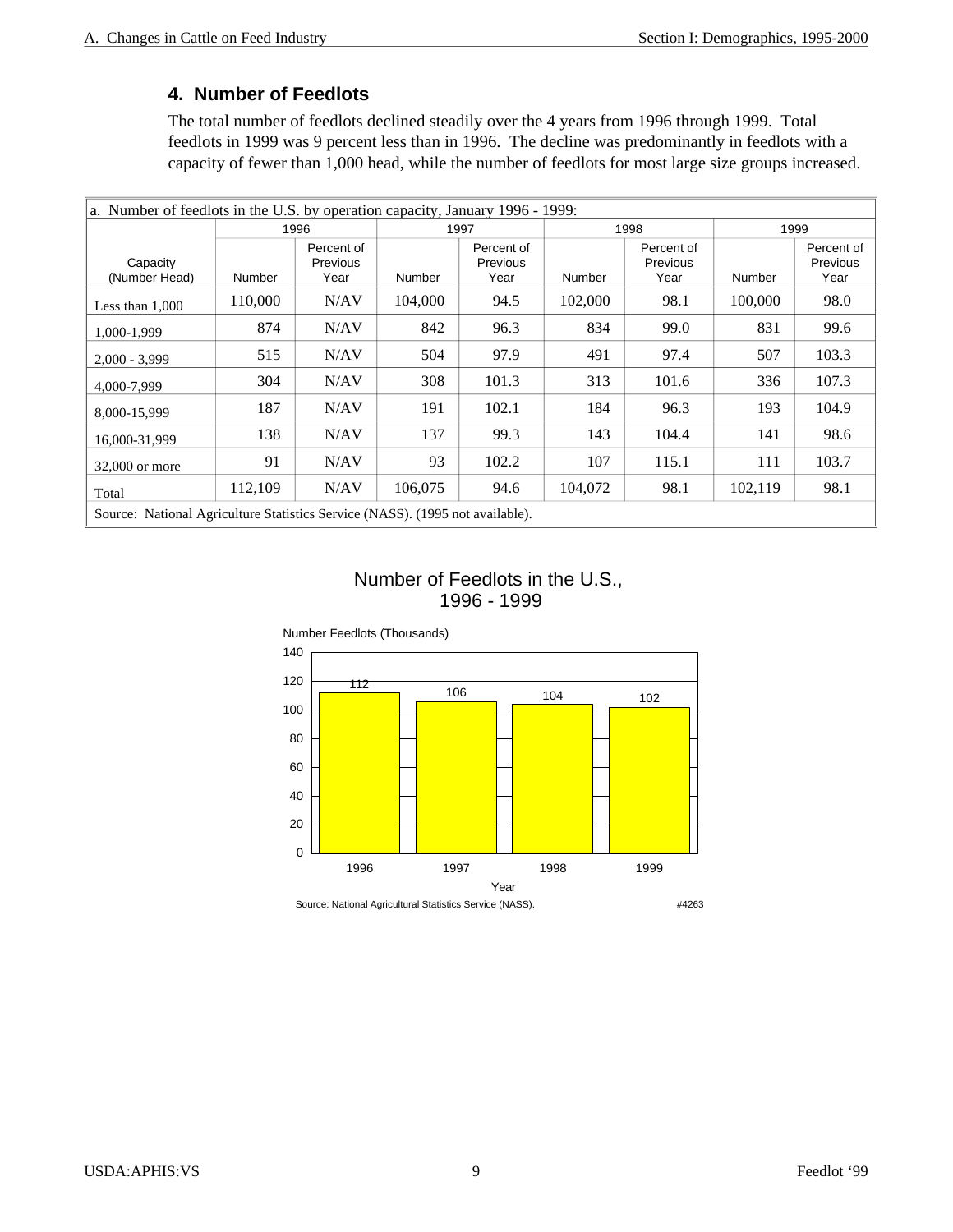#### **4. Number of Feedlots**

The total number of feedlots declined steadily over the 4 years from 1996 through 1999. Total feedlots in 1999 was 9 percent less than in 1996. The decline was predominantly in feedlots with a capacity of fewer than 1,000 head, while the number of feedlots for most large size groups increased.

| a. Number of feedlots in the U.S. by operation capacity, January 1996 - 1999: |         |                                |         |                                |         |                                |         |                                |  |
|-------------------------------------------------------------------------------|---------|--------------------------------|---------|--------------------------------|---------|--------------------------------|---------|--------------------------------|--|
|                                                                               |         | 1996<br>1997                   |         |                                | 1998    |                                |         | 1999                           |  |
| Capacity<br>(Number Head)                                                     | Number  | Percent of<br>Previous<br>Year | Number  | Percent of<br>Previous<br>Year | Number  | Percent of<br>Previous<br>Year | Number  | Percent of<br>Previous<br>Year |  |
| Less than $1,000$                                                             | 110,000 | N/AV                           | 104,000 | 94.5                           | 102,000 | 98.1                           | 100,000 | 98.0                           |  |
| 1.000-1.999                                                                   | 874     | N/AV                           | 842     | 96.3                           | 834     | 99.0                           | 831     | 99.6                           |  |
| $2,000 - 3,999$                                                               | 515     | N/AV                           | 504     | 97.9                           | 491     | 97.4                           | 507     | 103.3                          |  |
| 4,000-7,999                                                                   | 304     | N/AV                           | 308     | 101.3                          | 313     | 101.6                          | 336     | 107.3                          |  |
| 8,000-15,999                                                                  | 187     | N/AV                           | 191     | 102.1                          | 184     | 96.3                           | 193     | 104.9                          |  |
| 16,000-31,999                                                                 | 138     | N/AV                           | 137     | 99.3                           | 143     | 104.4                          | 141     | 98.6                           |  |
| 32,000 or more                                                                | 91      | N/AV                           | 93      | 102.2                          | 107     | 115.1                          | 111     | 103.7                          |  |
| Total                                                                         | 112,109 | N/AV                           | 106,075 | 94.6                           | 104,072 | 98.1                           | 102,119 | 98.1                           |  |
| Source: National Agriculture Statistics Service (NASS). (1995 not available). |         |                                |         |                                |         |                                |         |                                |  |

#### Number of Feedlots in the U.S., 1996 - 1999

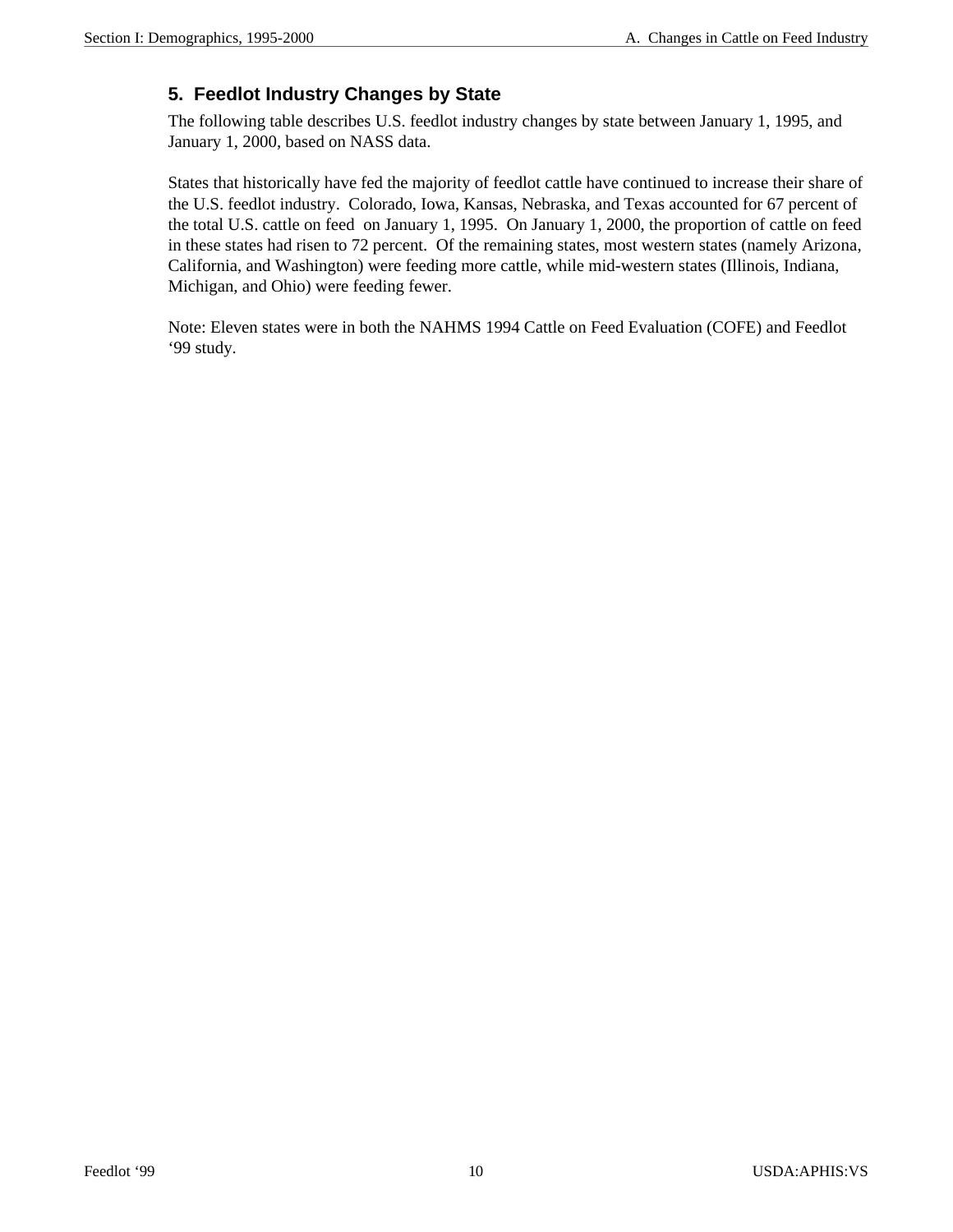#### **5. Feedlot Industry Changes by State**

The following table describes U.S. feedlot industry changes by state between January 1, 1995, and January 1, 2000, based on NASS data.

States that historically have fed the majority of feedlot cattle have continued to increase their share of the U.S. feedlot industry. Colorado, Iowa, Kansas, Nebraska, and Texas accounted for 67 percent of the total U.S. cattle on feed on January 1, 1995. On January 1, 2000, the proportion of cattle on feed in these states had risen to 72 percent. Of the remaining states, most western states (namely Arizona, California, and Washington) were feeding more cattle, while mid-western states (Illinois, Indiana, Michigan, and Ohio) were feeding fewer.

Note: Eleven states were in both the NAHMS 1994 Cattle on Feed Evaluation (COFE) and Feedlot '99 study.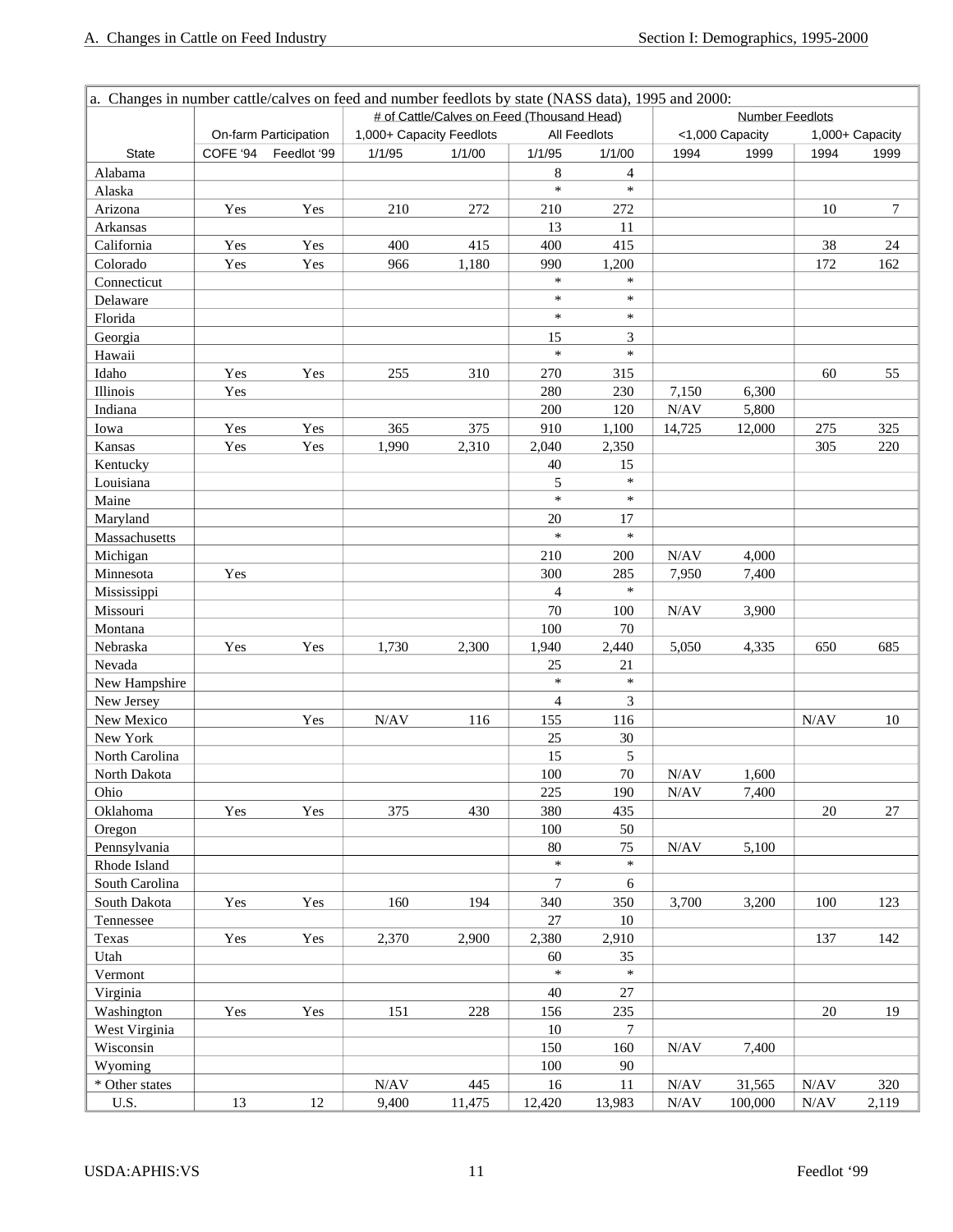| a. Changes in number cattle/calves on feed and number feedlots by state (NASS data), 1995 and 2000: |          |                       |                          |                                            |                |                     |                        |                 |      |                  |  |  |
|-----------------------------------------------------------------------------------------------------|----------|-----------------------|--------------------------|--------------------------------------------|----------------|---------------------|------------------------|-----------------|------|------------------|--|--|
|                                                                                                     |          |                       |                          | # of Cattle/Calves on Feed (Thousand Head) |                |                     | <b>Number Feedlots</b> |                 |      |                  |  |  |
|                                                                                                     |          | On-farm Participation | 1,000+ Capacity Feedlots |                                            |                | <b>All Feedlots</b> |                        | <1,000 Capacity |      | 1,000+ Capacity  |  |  |
| <b>State</b>                                                                                        | COFE '94 | Feedlot '99           | 1/1/95                   | 1/1/00                                     | 1/1/95         | 1/1/00              | 1994                   | 1999            | 1994 | 1999             |  |  |
| Alabama                                                                                             |          |                       |                          |                                            | 8              | $\overline{4}$      |                        |                 |      |                  |  |  |
| Alaska                                                                                              |          |                       |                          |                                            | $\ast$         | $\ast$              |                        |                 |      |                  |  |  |
| Arizona                                                                                             | Yes      | Yes                   | 210                      | 272                                        | 210            | 272                 |                        |                 | 10   | $\boldsymbol{7}$ |  |  |
| Arkansas                                                                                            |          |                       |                          |                                            | 13             | 11                  |                        |                 |      |                  |  |  |
| California                                                                                          | Yes      | Yes                   | 400                      | 415                                        | 400            | 415                 |                        |                 | 38   | $24\,$           |  |  |
| Colorado                                                                                            | Yes      | Yes                   | 966                      | 1,180                                      | 990            | 1,200               |                        |                 | 172  | 162              |  |  |
| Connecticut                                                                                         |          |                       |                          |                                            | $\ast$         | $\ast$              |                        |                 |      |                  |  |  |
| Delaware                                                                                            |          |                       |                          |                                            | $\ast$         | $\ast$              |                        |                 |      |                  |  |  |
| Florida                                                                                             |          |                       |                          |                                            | $\ast$         | $\ast$              |                        |                 |      |                  |  |  |
| Georgia                                                                                             |          |                       |                          |                                            | 15             | 3                   |                        |                 |      |                  |  |  |
| Hawaii                                                                                              |          |                       |                          |                                            | $\ast$         | $\ast$              |                        |                 |      |                  |  |  |
| Idaho                                                                                               | Yes      | Yes                   | 255                      | 310                                        | 270            | 315                 |                        |                 | 60   | 55               |  |  |
| Illinois                                                                                            | Yes      |                       |                          |                                            | 280            | 230                 | 7,150                  | 6,300           |      |                  |  |  |
| Indiana                                                                                             |          |                       |                          |                                            | 200            | 120                 | N/AV                   | 5,800           |      |                  |  |  |
| Iowa                                                                                                | Yes      | Yes                   | 365                      | 375                                        | 910            | 1,100               | 14,725                 | 12,000          | 275  | 325              |  |  |
| Kansas                                                                                              | Yes      | Yes                   | 1,990                    | 2,310                                      | 2,040          | 2,350               |                        |                 | 305  | 220              |  |  |
| Kentucky                                                                                            |          |                       |                          |                                            | 40             | 15                  |                        |                 |      |                  |  |  |
| Louisiana                                                                                           |          |                       |                          |                                            | 5              | $\ast$              |                        |                 |      |                  |  |  |
| Maine                                                                                               |          |                       |                          |                                            | $\ast$         | $\ast$              |                        |                 |      |                  |  |  |
| Maryland                                                                                            |          |                       |                          |                                            | 20             | 17                  |                        |                 |      |                  |  |  |
| Massachusetts                                                                                       |          |                       |                          |                                            | $\ast$         | $\ast$              |                        |                 |      |                  |  |  |
| Michigan                                                                                            |          |                       |                          |                                            | 210            | 200                 | N/AV                   | 4,000           |      |                  |  |  |
| Minnesota                                                                                           | Yes      |                       |                          |                                            | 300            | 285                 | 7,950                  | 7,400           |      |                  |  |  |
| Mississippi                                                                                         |          |                       |                          |                                            | $\overline{4}$ | $\ast$              |                        |                 |      |                  |  |  |
| Missouri                                                                                            |          |                       |                          |                                            | 70             | 100                 | N/AV                   | 3,900           |      |                  |  |  |
| Montana                                                                                             |          |                       |                          |                                            | 100            | $70\,$              |                        |                 |      |                  |  |  |
| Nebraska                                                                                            | Yes      | Yes                   | 1,730                    | 2,300                                      | 1,940          | 2,440               | 5,050                  | 4,335           | 650  | 685              |  |  |
| Nevada                                                                                              |          |                       |                          |                                            | 25             | 21                  |                        |                 |      |                  |  |  |
| New Hampshire                                                                                       |          |                       |                          |                                            | $\ast$         | $\ast$              |                        |                 |      |                  |  |  |
| New Jersey                                                                                          |          |                       |                          |                                            | $\overline{4}$ | 3                   |                        |                 |      |                  |  |  |
| New Mexico                                                                                          |          | Yes                   | N/AV                     | 116                                        | 155            | 116                 |                        |                 | N/AV | 10               |  |  |
| New York                                                                                            |          |                       |                          |                                            | 25             | 30                  |                        |                 |      |                  |  |  |
| North Carolina                                                                                      |          |                       |                          |                                            | 15             | 5                   |                        |                 |      |                  |  |  |
| North Dakota                                                                                        |          |                       |                          |                                            | 100            | $70\,$              | N/AV                   | 1,600           |      |                  |  |  |
| Ohio                                                                                                |          |                       |                          |                                            | 225            | 190                 | N/AV                   | 7,400           |      |                  |  |  |
| Oklahoma                                                                                            | Yes      | Yes                   | 375                      | 430                                        | 380            | 435                 |                        |                 | 20   | $27\,$           |  |  |
| Oregon                                                                                              |          |                       |                          |                                            | 100            | 50                  |                        |                 |      |                  |  |  |
| Pennsylvania                                                                                        |          |                       |                          |                                            | 80             | 75                  | N/AV                   | 5,100           |      |                  |  |  |
| Rhode Island                                                                                        |          |                       |                          |                                            | $\ast$         | $\ast$              |                        |                 |      |                  |  |  |
| South Carolina                                                                                      |          |                       |                          |                                            | 7              | 6                   |                        |                 |      |                  |  |  |
| South Dakota                                                                                        | Yes      | Yes                   | 160                      | 194                                        | 340            | 350                 | 3,700                  | 3,200           | 100  | 123              |  |  |
| Tennessee                                                                                           |          |                       |                          |                                            | 27             | 10                  |                        |                 |      |                  |  |  |
| Texas                                                                                               | Yes      | Yes                   | 2,370                    | 2,900                                      | 2,380          | 2,910               |                        |                 | 137  | 142              |  |  |
| Utah                                                                                                |          |                       |                          |                                            | 60             | 35                  |                        |                 |      |                  |  |  |
| Vermont                                                                                             |          |                       |                          |                                            | $\ast$         | $\ast$              |                        |                 |      |                  |  |  |
| Virginia                                                                                            |          |                       |                          |                                            | 40             | $27\,$              |                        |                 |      |                  |  |  |
| Washington                                                                                          | Yes      | Yes                   | 151                      | 228                                        | 156            | 235                 |                        |                 | 20   | 19               |  |  |
| West Virginia                                                                                       |          |                       |                          |                                            | 10             | 7                   |                        |                 |      |                  |  |  |
| Wisconsin                                                                                           |          |                       |                          |                                            | 150            | 160                 | N/AV                   | 7,400           |      |                  |  |  |
| Wyoming                                                                                             |          |                       |                          |                                            | 100            | 90                  |                        |                 |      |                  |  |  |
| * Other states                                                                                      |          |                       | $\rm N/AV$               | 445                                        | 16             | 11                  | N/AV                   | 31,565          | N/AV | 320              |  |  |
| U.S.                                                                                                | 13       | 12                    | 9,400                    | 11,475                                     | 12,420         | 13,983              | N/AV                   | 100,000         | N/AV | 2,119            |  |  |
|                                                                                                     |          |                       |                          |                                            |                |                     |                        |                 |      |                  |  |  |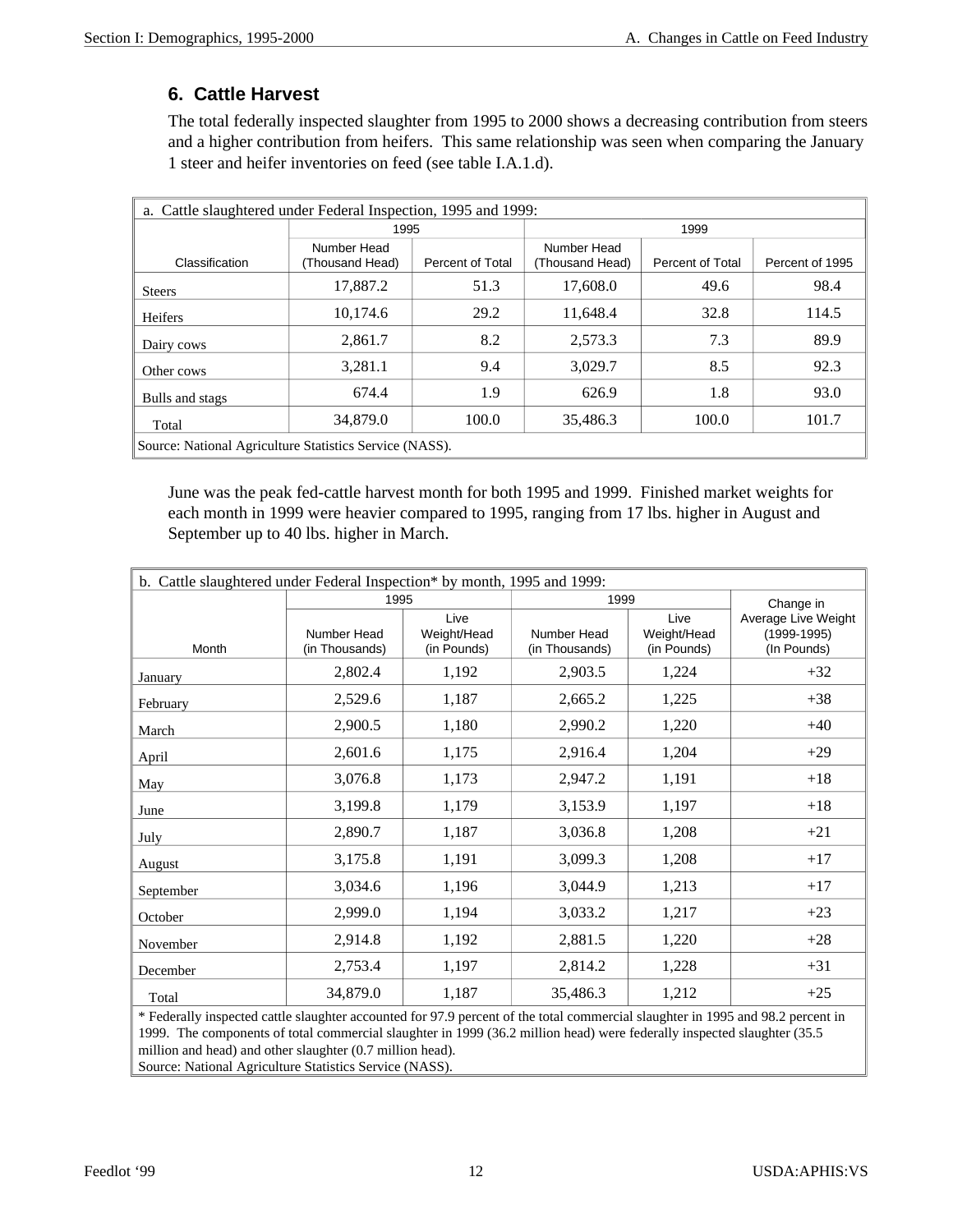#### **6. Cattle Harvest**

The total federally inspected slaughter from 1995 to 2000 shows a decreasing contribution from steers and a higher contribution from heifers. This same relationship was seen when comparing the January 1 steer and heifer inventories on feed (see table I.A.1.d).

| a. Cattle slaughtered under Federal Inspection, 1995 and 1999: |                                |                         |                                |                  |                 |  |  |  |  |  |  |
|----------------------------------------------------------------|--------------------------------|-------------------------|--------------------------------|------------------|-----------------|--|--|--|--|--|--|
|                                                                | 1995                           |                         | 1999                           |                  |                 |  |  |  |  |  |  |
| Classification                                                 | Number Head<br>(Thousand Head) | <b>Percent of Total</b> | Number Head<br>(Thousand Head) | Percent of Total | Percent of 1995 |  |  |  |  |  |  |
| <b>Steers</b>                                                  | 17,887.2                       | 51.3                    | 17,608.0                       | 49.6             | 98.4            |  |  |  |  |  |  |
| Heifers                                                        | 10,174.6                       | 29.2                    | 11,648.4                       | 32.8             | 114.5           |  |  |  |  |  |  |
| Dairy cows                                                     | 2,861.7                        | 8.2                     | 2,573.3                        | 7.3              | 89.9            |  |  |  |  |  |  |
| Other cows                                                     | 3,281.1                        | 9.4                     | 3,029.7                        | 8.5              | 92.3            |  |  |  |  |  |  |
| Bulls and stags                                                | 674.4                          | 1.9                     | 626.9                          | 1.8              | 93.0            |  |  |  |  |  |  |
| 34,879.0<br>101.7<br>100.0<br>35,486.3<br>100.0<br>Total       |                                |                         |                                |                  |                 |  |  |  |  |  |  |
| Source: National Agriculture Statistics Service (NASS).        |                                |                         |                                |                  |                 |  |  |  |  |  |  |

June was the peak fed-cattle harvest month for both 1995 and 1999. Finished market weights for each month in 1999 were heavier compared to 1995, ranging from 17 lbs. higher in August and September up to 40 lbs. higher in March.

| b. Cattle slaughtered under Federal Inspection* by month, 1995 and 1999:                                                        |                               |                                    |                               |                                    |                                                       |
|---------------------------------------------------------------------------------------------------------------------------------|-------------------------------|------------------------------------|-------------------------------|------------------------------------|-------------------------------------------------------|
|                                                                                                                                 | 1995                          |                                    | 1999                          |                                    | Change in                                             |
| Month                                                                                                                           | Number Head<br>(in Thousands) | Live<br>Weight/Head<br>(in Pounds) | Number Head<br>(in Thousands) | Live<br>Weight/Head<br>(in Pounds) | Average Live Weight<br>$(1999 - 1995)$<br>(In Pounds) |
| January                                                                                                                         | 2,802.4                       | 1,192                              | 2,903.5                       | 1,224                              | $+32$                                                 |
| February                                                                                                                        | 2,529.6                       | 1,187                              | 2,665.2                       | 1,225                              | $+38$                                                 |
| March                                                                                                                           | 2,900.5                       | 1,180                              | 2,990.2                       | 1,220                              | $+40$                                                 |
| April                                                                                                                           | 2,601.6                       | 1,175                              | 2,916.4                       | 1,204                              | $+29$                                                 |
| May                                                                                                                             | 3,076.8                       | 1,173                              | 2,947.2                       | 1,191                              | $+18$                                                 |
| June                                                                                                                            | 3,199.8                       | 1,179                              | 3,153.9                       | 1,197                              | $+18$                                                 |
| July                                                                                                                            | 2,890.7                       | 1,187                              | 3,036.8                       | 1,208                              | $+21$                                                 |
| August                                                                                                                          | 3,175.8                       | 1,191                              | 3,099.3                       | 1,208                              | $+17$                                                 |
| September                                                                                                                       | 3,034.6                       | 1,196                              | 3,044.9                       | 1,213                              | $+17$                                                 |
| October                                                                                                                         | 2,999.0                       | 1,194                              | 3,033.2                       | 1,217                              | $+23$                                                 |
| November                                                                                                                        | 2,914.8                       | 1,192                              | 2,881.5                       | 1,220                              | $+28$                                                 |
| December                                                                                                                        | 2,753.4                       | 1,197                              | 2,814.2                       | 1,228                              | $+31$                                                 |
| Total                                                                                                                           | 34,879.0                      | 1,187                              | 35,486.3                      | 1,212                              | $+25$                                                 |
| * Federally inspected cattle slaughter accounted for 97.9 percent of the total commercial slaughter in 1995 and 98.2 percent in |                               |                                    |                               |                                    |                                                       |

\* Federally inspected cattle slaughter accounted for 97.9 percent of the total commercial slaughter in 1995 and 98.2 percent in 1999. The components of total commercial slaughter in 1999 (36.2 million head) were federally inspected slaughter (35.5 million and head) and other slaughter (0.7 million head). Source: National Agriculture Statistics Service (NASS).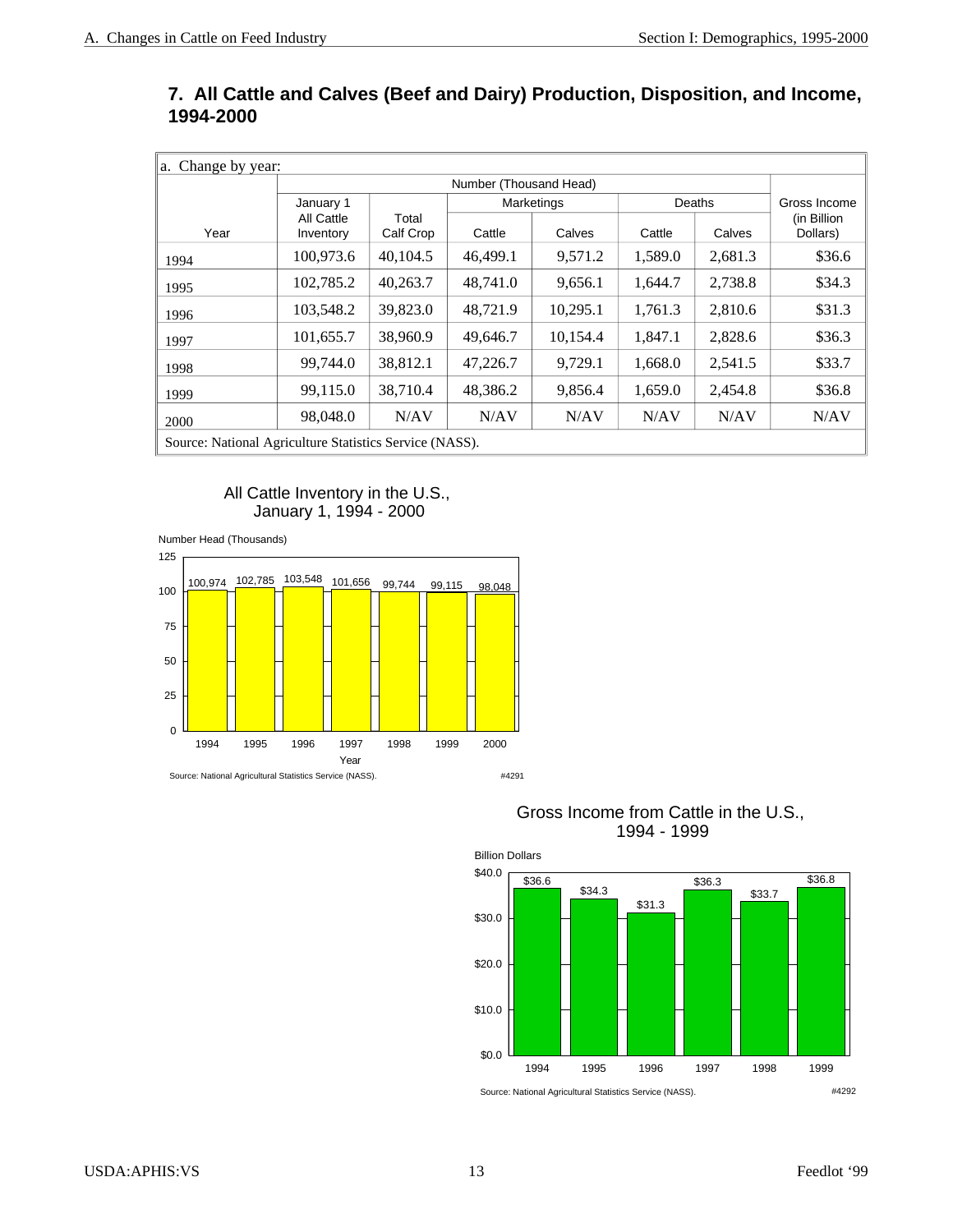#### **7. All Cattle and Calves (Beef and Dairy) Production, Disposition, and Income, 1994-2000**

| Change by year:<br>a.                                   |                         |                    |          |            |                  |         |                         |  |  |  |  |  |
|---------------------------------------------------------|-------------------------|--------------------|----------|------------|------------------|---------|-------------------------|--|--|--|--|--|
|                                                         | Number (Thousand Head)  |                    |          |            |                  |         |                         |  |  |  |  |  |
|                                                         | January 1               |                    |          | Marketings |                  | Deaths  | Gross Income            |  |  |  |  |  |
| Year                                                    | All Cattle<br>Inventory | Total<br>Calf Crop | Cattle   | Calves     | Calves<br>Cattle |         | (in Billion<br>Dollars) |  |  |  |  |  |
| 1994                                                    | 100,973.6               | 40.104.5           | 46.499.1 | 9.571.2    | 1,589.0          | 2,681.3 | \$36.6                  |  |  |  |  |  |
| 1995                                                    | 102,785.2               | 40,263.7           | 48.741.0 | 9,656.1    | 1,644.7          | 2,738.8 | \$34.3                  |  |  |  |  |  |
| 1996                                                    | 103,548.2               | 39,823.0           | 48.721.9 | 10,295.1   | 1,761.3          | 2,810.6 | \$31.3                  |  |  |  |  |  |
| 1997                                                    | 101,655.7               | 38,960.9           | 49,646.7 | 10.154.4   | 1,847.1          | 2,828.6 | \$36.3                  |  |  |  |  |  |
| 1998                                                    | 99,744.0                | 38,812.1           | 47,226.7 | 9.729.1    | 1,668.0          | 2,541.5 | \$33.7                  |  |  |  |  |  |
| 1999                                                    | 99,115.0                | 38,710.4           | 48,386.2 | 9,856.4    | 1,659.0          | 2,454.8 | \$36.8                  |  |  |  |  |  |
| 2000                                                    | 98,048.0                | N/AV               | N/AV     | N/AV       | N/AV             | N/AV    | N/AV                    |  |  |  |  |  |
| Source: National Agriculture Statistics Service (NASS). |                         |                    |          |            |                  |         |                         |  |  |  |  |  |

All Cattle Inventory in the U.S., January 1, 1994 - 2000





#### Gross Income from Cattle in the U.S., 1994 - 1999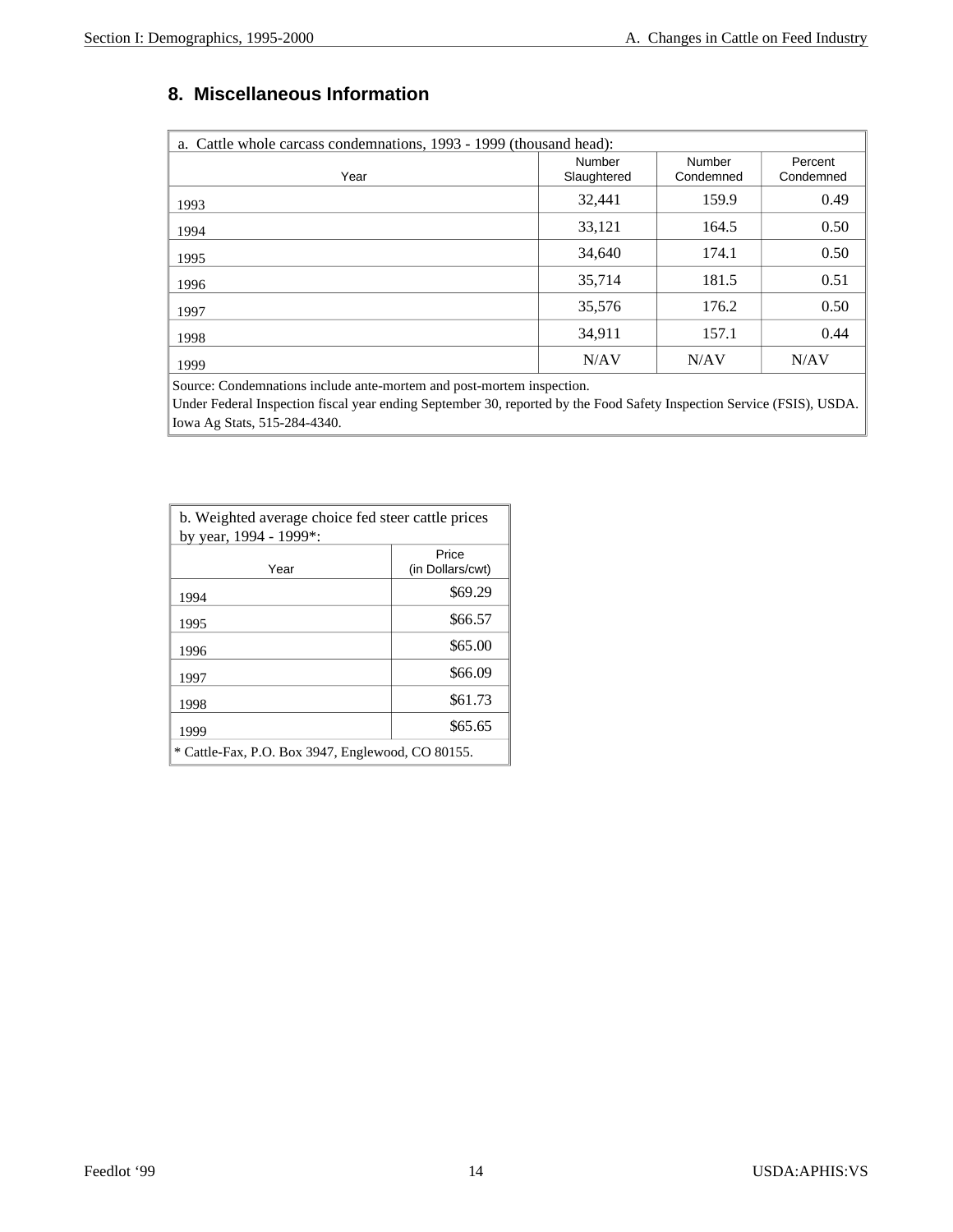#### **8. Miscellaneous Information**

| a. Cattle whole carcass condemnations, 1993 - 1999 (thousand head): |                       |                     |                      |  |  |  |  |  |  |  |  |
|---------------------------------------------------------------------|-----------------------|---------------------|----------------------|--|--|--|--|--|--|--|--|
| Year                                                                | Number<br>Slaughtered | Number<br>Condemned | Percent<br>Condemned |  |  |  |  |  |  |  |  |
| 1993                                                                | 32,441                | 159.9               | 0.49                 |  |  |  |  |  |  |  |  |
| 1994                                                                | 33,121                | 164.5               | 0.50                 |  |  |  |  |  |  |  |  |
| 1995                                                                | 34,640                | 174.1               | 0.50                 |  |  |  |  |  |  |  |  |
| 1996                                                                | 35,714                | 181.5               | 0.51                 |  |  |  |  |  |  |  |  |
| 1997                                                                | 35,576                | 176.2               | 0.50                 |  |  |  |  |  |  |  |  |
| 1998                                                                | 34,911                | 157.1               | 0.44                 |  |  |  |  |  |  |  |  |
| 1999                                                                | N/AV                  | N/AV                | N/AV                 |  |  |  |  |  |  |  |  |

Source: Condemnations include ante-mortem and post-mortem inspection.

Under Federal Inspection fiscal year ending September 30, reported by the Food Safety Inspection Service (FSIS), USDA. Iowa Ag Stats, 515-284-4340.

| b. Weighted average choice fed steer cattle prices<br>by year, 1994 - 1999*: |                           |  |  |  |  |  |  |  |
|------------------------------------------------------------------------------|---------------------------|--|--|--|--|--|--|--|
| Year                                                                         | Price<br>(in Dollars/cwt) |  |  |  |  |  |  |  |
| 1994                                                                         | \$69.29                   |  |  |  |  |  |  |  |
| 1995                                                                         | \$66.57                   |  |  |  |  |  |  |  |
| 1996                                                                         | \$65.00                   |  |  |  |  |  |  |  |
| 1997                                                                         | \$66.09                   |  |  |  |  |  |  |  |
| 1998                                                                         | \$61.73                   |  |  |  |  |  |  |  |
| 1999                                                                         | \$65.65                   |  |  |  |  |  |  |  |
| * Cattle-Fax, P.O. Box 3947, Englewood, CO 80155.                            |                           |  |  |  |  |  |  |  |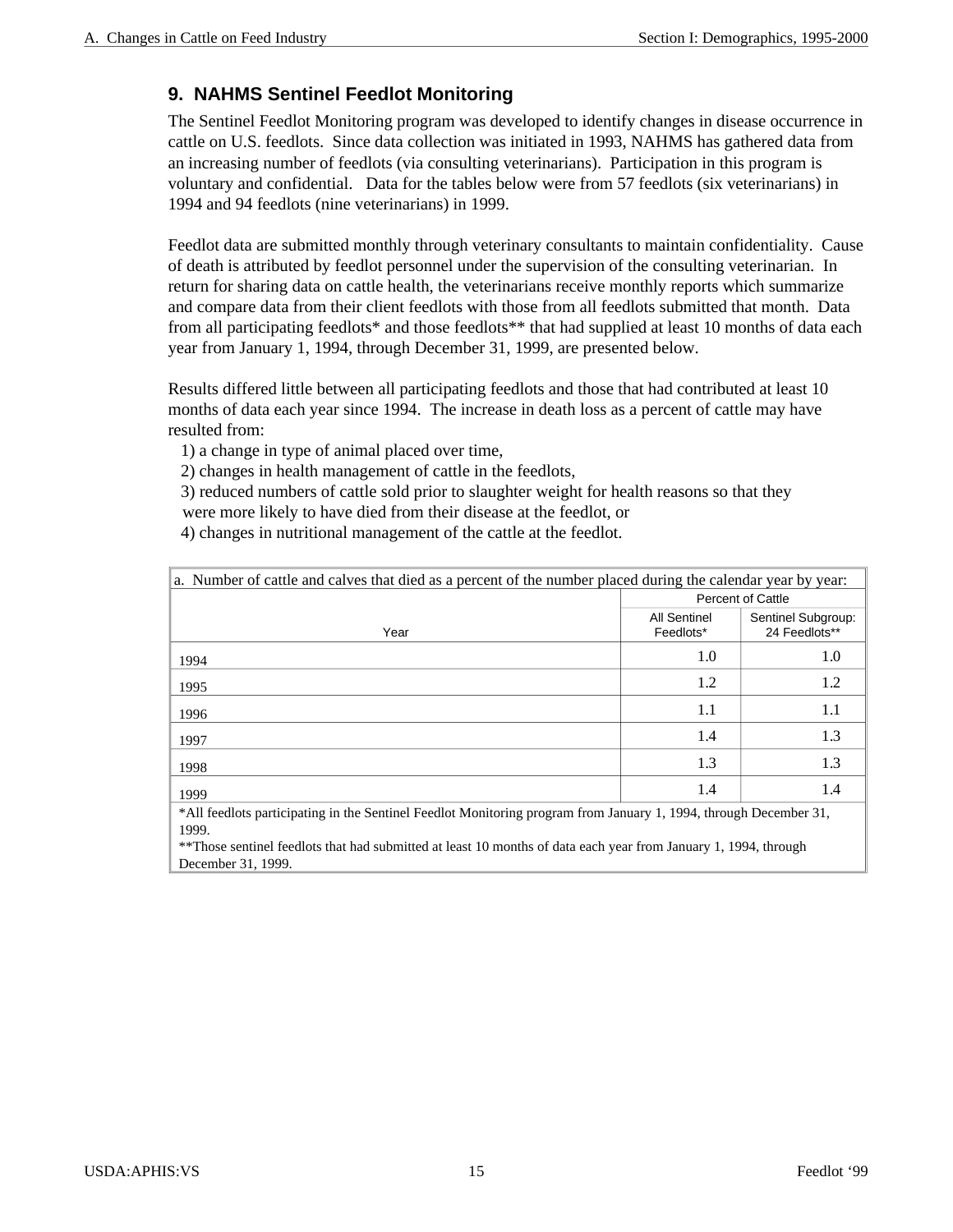#### **9. NAHMS Sentinel Feedlot Monitoring**

The Sentinel Feedlot Monitoring program was developed to identify changes in disease occurrence in cattle on U.S. feedlots. Since data collection was initiated in 1993, NAHMS has gathered data from an increasing number of feedlots (via consulting veterinarians). Participation in this program is voluntary and confidential. Data for the tables below were from 57 feedlots (six veterinarians) in 1994 and 94 feedlots (nine veterinarians) in 1999.

Feedlot data are submitted monthly through veterinary consultants to maintain confidentiality. Cause of death is attributed by feedlot personnel under the supervision of the consulting veterinarian. In return for sharing data on cattle health, the veterinarians receive monthly reports which summarize and compare data from their client feedlots with those from all feedlots submitted that month. Data from all participating feedlots\* and those feedlots\*\* that had supplied at least 10 months of data each year from January 1, 1994, through December 31, 1999, are presented below.

Results differed little between all participating feedlots and those that had contributed at least 10 months of data each year since 1994. The increase in death loss as a percent of cattle may have resulted from:

1) a change in type of animal placed over time,

2) changes in health management of cattle in the feedlots,

3) reduced numbers of cattle sold prior to slaughter weight for health reasons so that they

were more likely to have died from their disease at the feedlot, or

4) changes in nutritional management of the cattle at the feedlot.

| a. Number of cattle and calves that died as a percent of the number placed during the calendar year by year:      |                           |                                     |  |  |  |  |  |  |  |
|-------------------------------------------------------------------------------------------------------------------|---------------------------|-------------------------------------|--|--|--|--|--|--|--|
|                                                                                                                   |                           | <b>Percent of Cattle</b>            |  |  |  |  |  |  |  |
| Year                                                                                                              | All Sentinel<br>Feedlots* | Sentinel Subgroup:<br>24 Feedlots** |  |  |  |  |  |  |  |
| 1994                                                                                                              | 1.0                       | 1.0                                 |  |  |  |  |  |  |  |
| 1995                                                                                                              | 1.2                       | 1.2                                 |  |  |  |  |  |  |  |
| 1996                                                                                                              | 1.1                       | 1.1                                 |  |  |  |  |  |  |  |
| 1997                                                                                                              | 1.4                       | 1.3                                 |  |  |  |  |  |  |  |
| 1998                                                                                                              | 1.3                       | 1.3                                 |  |  |  |  |  |  |  |
| 1999                                                                                                              | 1.4                       | 1.4                                 |  |  |  |  |  |  |  |
| *All feedlots participating in the Sentinel Feedlot Monitoring program from January 1, 1994, through December 31, |                           |                                     |  |  |  |  |  |  |  |
| 1999.                                                                                                             |                           |                                     |  |  |  |  |  |  |  |
| **Those sentinel feedlots that had submitted at least 10 months of data each year from January 1, 1994, through   |                           |                                     |  |  |  |  |  |  |  |
| December 31, 1999.                                                                                                |                           |                                     |  |  |  |  |  |  |  |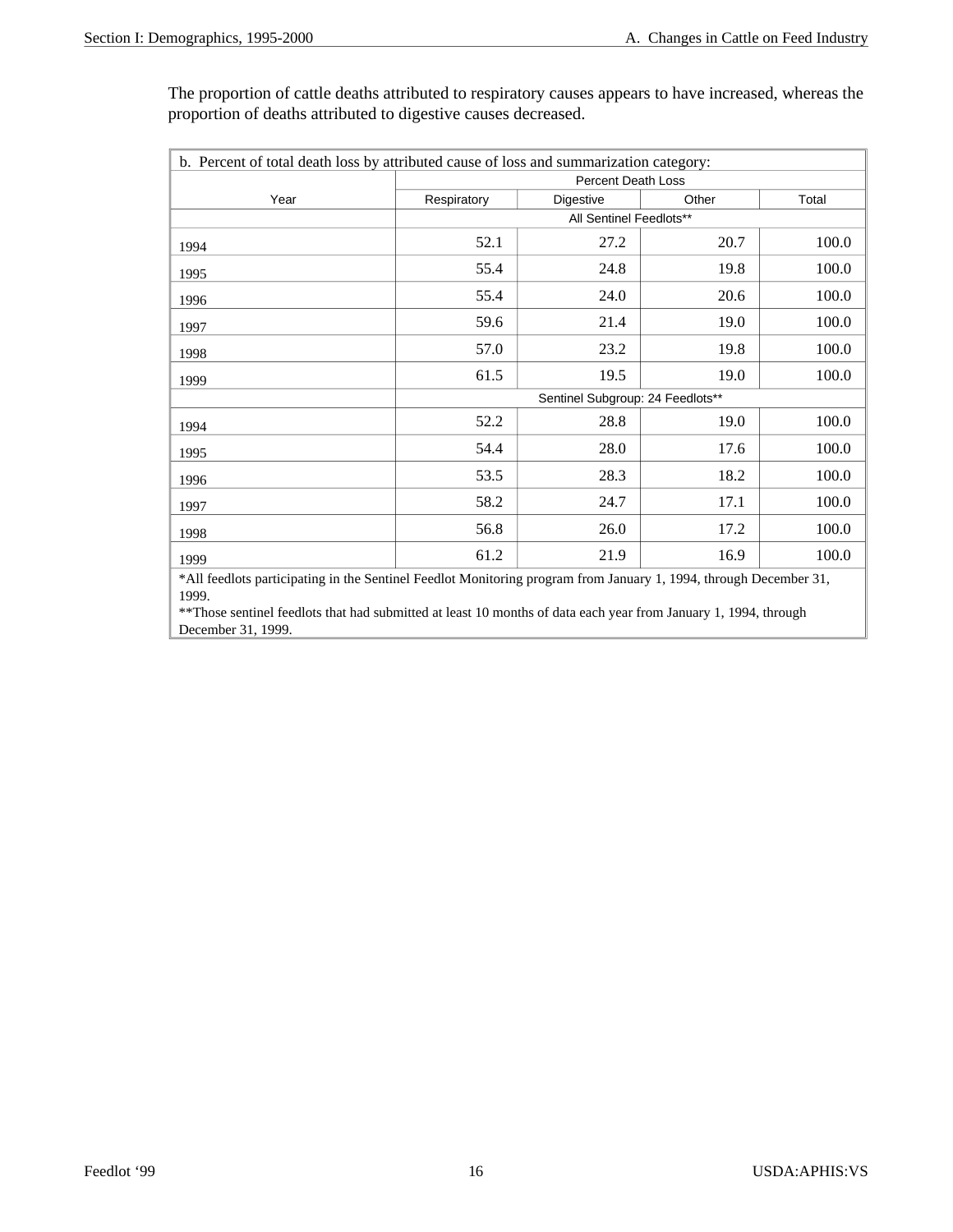The proportion of cattle deaths attributed to respiratory causes appears to have increased, whereas the proportion of deaths attributed to digestive causes decreased.

| b. Percent of total death loss by attributed cause of loss and summarization category: |                                  |                           |       |       |  |  |  |  |  |  |
|----------------------------------------------------------------------------------------|----------------------------------|---------------------------|-------|-------|--|--|--|--|--|--|
|                                                                                        |                                  | <b>Percent Death Loss</b> |       |       |  |  |  |  |  |  |
| Year                                                                                   | Respiratory                      | Digestive                 | Other | Total |  |  |  |  |  |  |
|                                                                                        |                                  | All Sentinel Feedlots**   |       |       |  |  |  |  |  |  |
| 1994                                                                                   | 52.1                             | 27.2                      | 20.7  | 100.0 |  |  |  |  |  |  |
| 1995                                                                                   | 55.4                             | 24.8                      | 19.8  | 100.0 |  |  |  |  |  |  |
| 1996                                                                                   | 55.4                             | 24.0                      | 20.6  | 100.0 |  |  |  |  |  |  |
| 1997                                                                                   | 59.6                             | 21.4                      | 19.0  | 100.0 |  |  |  |  |  |  |
| 1998                                                                                   | 57.0                             | 23.2                      | 19.8  | 100.0 |  |  |  |  |  |  |
| 1999                                                                                   | 61.5                             | 19.5                      | 19.0  | 100.0 |  |  |  |  |  |  |
|                                                                                        | Sentinel Subgroup: 24 Feedlots** |                           |       |       |  |  |  |  |  |  |
| 1994                                                                                   | 52.2                             | 28.8                      | 19.0  | 100.0 |  |  |  |  |  |  |
| 1995                                                                                   | 54.4                             | 28.0                      | 17.6  | 100.0 |  |  |  |  |  |  |
| 1996                                                                                   | 53.5                             | 28.3                      | 18.2  | 100.0 |  |  |  |  |  |  |
| 1997                                                                                   | 58.2                             | 24.7                      | 17.1  | 100.0 |  |  |  |  |  |  |
| 1998                                                                                   | 56.8                             | 26.0                      | 17.2  | 100.0 |  |  |  |  |  |  |
| 1999                                                                                   | 61.2                             | 21.9                      | 16.9  | 100.0 |  |  |  |  |  |  |

\*All feedlots participating in the Sentinel Feedlot Monitoring program from January 1, 1994, through December 31, 1999.

\*\*Those sentinel feedlots that had submitted at least 10 months of data each year from January 1, 1994, through December 31, 1999.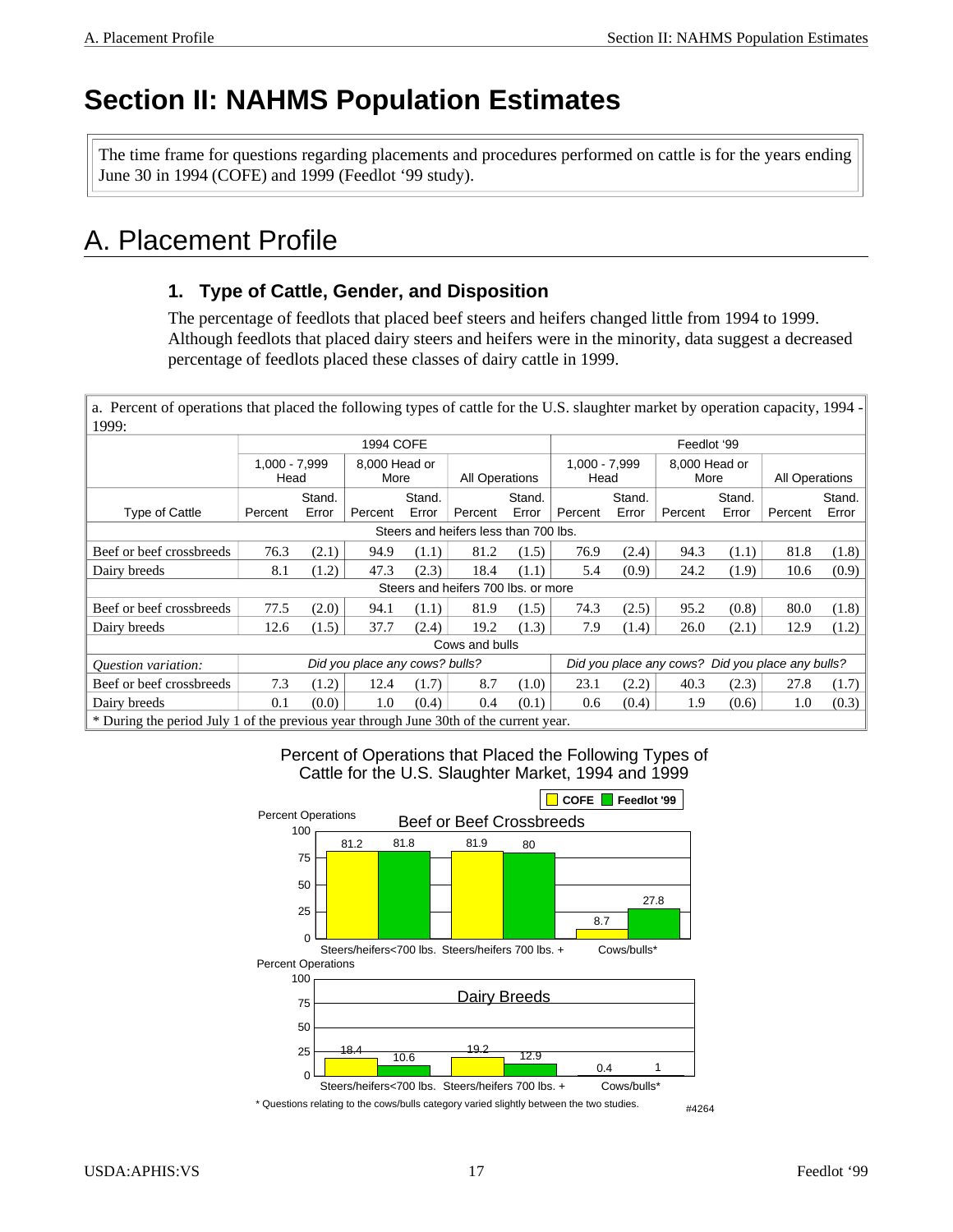## **Section II: NAHMS Population Estimates**

The time frame for questions regarding placements and procedures performed on cattle is for the years ending June 30 in 1994 (COFE) and 1999 (Feedlot '99 study).

### A. Placement Profile

#### **1. Type of Cattle, Gender, and Disposition**

The percentage of feedlots that placed beef steers and heifers changed little from 1994 to 1999. Although feedlots that placed dairy steers and heifers were in the minority, data suggest a decreased percentage of feedlots placed these classes of dairy cattle in 1999.

 a. Percent of operations that placed the following types of cattle for the U.S. slaughter market by operation capacity, 1994 - 1999: 1994 COFE **Feedlot** '99 1,000 - 7,999 **Head** 8,000 Head or More | All Operations 1,000 - 7,999 **Head** 8,000 Head or More | All Operations Type of Cattle | Percent Stand. Error Percent Stand. Error Percent Stand. Error Percent Stand. Error | Percent Stand. Error Percent Stand. Error Steers and heifers less than 700 lbs. Beef or beef crossbreeds  $\begin{vmatrix} 76.3 & (2.1) & 94.9 & (1.1) & 81.2 & (1.5) & 76.9 & (2.4) & 94.3 & (1.1) & 81.8 & (1.8) \end{vmatrix}$ Dairy breeds 8.1 (1.2) 47.3 (2.3) 18.4 (1.1) 5.4 (0.9) 24.2 (1.9) 10.6 (0.9) Steers and heifers 700 lbs. or more Beef or beef crossbreeds 77.5 (2.0) 94.1 (1.1) 81.9 (1.5) 74.3 (2.5) 95.2 (0.8) 80.0 (1.8) Dairy breeds 12.6 (1.5) 37.7 (2.4) 19.2 (1.3) 7.9 (1.4) 26.0 (2.1) 12.9 (1.2) Cows and bulls *Question variation: Did you place any cows? bulls? Did you place any cows? Did you place any bulls?* Beef or beef crossbreeds 7.3 (1.2) 12.4 (1.7) 8.7 (1.0) 23.1 (2.2) 40.3 (2.3) 27.8 (1.7) Dairy breeds  $0.1 \t(0.0)$  1.0  $(0.4)$  0.4  $(0.1)$  0.6  $(0.4)$  1.9  $(0.6)$  1.0  $(0.3)$ \* During the period July 1 of the previous year through June 30th of the current year.

Percent of Operations that Placed the Following Types of

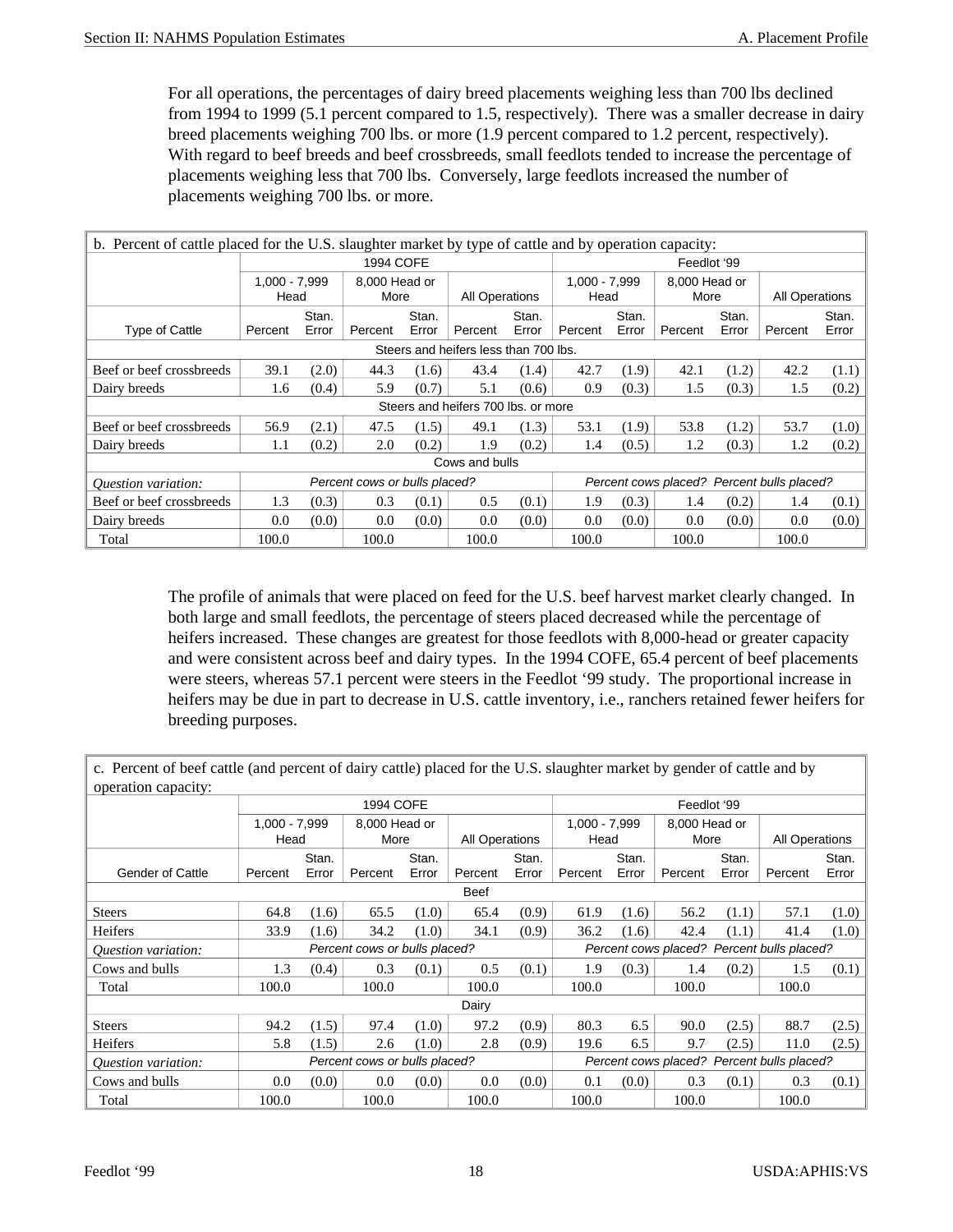For all operations, the percentages of dairy breed placements weighing less than 700 lbs declined from 1994 to 1999 (5.1 percent compared to 1.5, respectively). There was a smaller decrease in dairy breed placements weighing 700 lbs. or more (1.9 percent compared to 1.2 percent, respectively). With regard to beef breeds and beef crossbreeds, small feedlots tended to increase the percentage of placements weighing less that 700 lbs. Conversely, large feedlots increased the number of placements weighing 700 lbs. or more.

| b. Percent of cattle placed for the U.S. slaughter market by type of cattle and by operation capacity: |                         |                  |                               |                |                                     |                |                       |                |                       |                |                                            |                |  |
|--------------------------------------------------------------------------------------------------------|-------------------------|------------------|-------------------------------|----------------|-------------------------------------|----------------|-----------------------|----------------|-----------------------|----------------|--------------------------------------------|----------------|--|
|                                                                                                        |                         | <b>1994 COFE</b> |                               |                |                                     |                |                       | Feedlot '99    |                       |                |                                            |                |  |
|                                                                                                        | $1,000 - 7,999$<br>Head |                  | 8,000 Head or<br>More         |                | All Operations                      |                | 1,000 - 7,999<br>Head |                | 8,000 Head or<br>More |                | All Operations                             |                |  |
| <b>Type of Cattle</b>                                                                                  | Percent                 | Stan.<br>Error   | Percent                       | Stan.<br>Error | Percent                             | Stan.<br>Error | Percent               | Stan.<br>Error | Percent               | Stan.<br>Error | Percent                                    | Stan.<br>Error |  |
| Steers and heifers less than 700 lbs.                                                                  |                         |                  |                               |                |                                     |                |                       |                |                       |                |                                            |                |  |
| Beef or beef crossbreeds                                                                               | 39.1                    | (2.0)            | 44.3                          | (1.6)          | 43.4                                | (1.4)          | 42.7                  | (1.9)          | 42.1                  | (1.2)          | 42.2                                       | (1.1)          |  |
| Dairy breeds                                                                                           | 1.6                     | (0.4)            | 5.9                           | (0.7)          | 5.1                                 | (0.6)          | 0.9                   | (0.3)          | 1.5                   | (0.3)          | 1.5                                        | (0.2)          |  |
|                                                                                                        |                         |                  |                               |                | Steers and heifers 700 lbs, or more |                |                       |                |                       |                |                                            |                |  |
| Beef or beef crossbreeds                                                                               | 56.9                    | (2.1)            | 47.5                          | (1.5)          | 49.1                                | (1.3)          | 53.1                  | (1.9)          | 53.8                  | (1.2)          | 53.7                                       | (1.0)          |  |
| Dairy breeds                                                                                           | 1.1                     | (0.2)            | 2.0                           | (0.2)          | 1.9                                 | (0.2)          | 1.4                   | (0.5)          | 1.2                   | (0.3)          | 1.2                                        | (0.2)          |  |
|                                                                                                        |                         |                  |                               |                | Cows and bulls                      |                |                       |                |                       |                |                                            |                |  |
| <i><b>Ouestion variation:</b></i>                                                                      |                         |                  | Percent cows or bulls placed? |                |                                     |                |                       |                |                       |                | Percent cows placed? Percent bulls placed? |                |  |
| Beef or beef crossbreeds                                                                               | 1.3                     | (0.3)            | 0.3                           | (0.1)          | 0.5                                 | (0.1)          | 1.9                   | (0.3)          | 1.4                   | (0.2)          | 1.4                                        | (0.1)          |  |
| Dairy breeds                                                                                           | 0.0                     | (0.0)            | 0.0                           | (0.0)          | 0.0                                 | (0.0)          | 0.0                   | (0.0)          | 0.0                   | (0.0)          | 0.0                                        | (0.0)          |  |
| Total                                                                                                  | 100.0                   |                  | 100.0                         |                | 100.0                               |                | 100.0                 |                | 100.0                 |                | 100.0                                      |                |  |

The profile of animals that were placed on feed for the U.S. beef harvest market clearly changed. In both large and small feedlots, the percentage of steers placed decreased while the percentage of heifers increased. These changes are greatest for those feedlots with 8,000-head or greater capacity and were consistent across beef and dairy types. In the 1994 COFE, 65.4 percent of beef placements were steers, whereas 57.1 percent were steers in the Feedlot '99 study. The proportional increase in heifers may be due in part to decrease in U.S. cattle inventory, i.e., ranchers retained fewer heifers for breeding purposes.

c. Percent of beef cattle (and percent of dairy cattle) placed for the U.S. slaughter market by gender of cattle and by operation capacity:

| operation capacity.     |                               |       |           |               |                |       |                                            |       |               |       |                                            |       |
|-------------------------|-------------------------------|-------|-----------|---------------|----------------|-------|--------------------------------------------|-------|---------------|-------|--------------------------------------------|-------|
|                         |                               |       | 1994 COFE |               |                |       |                                            |       | Feedlot '99   |       |                                            |       |
|                         | $1,000 - 7,999$               |       |           | 8.000 Head or |                |       | 1,000 - 7,999                              |       | 8.000 Head or |       |                                            |       |
|                         | Head                          |       | More      |               | All Operations |       | Head                                       |       | More          |       | <b>All Operations</b>                      |       |
|                         |                               | Stan. |           | Stan.         |                | Stan. |                                            | Stan. |               | Stan. |                                            | Stan. |
| <b>Gender of Cattle</b> | Percent                       | Error | Percent   | Error         | Percent        | Error | Percent                                    | Error | Percent       | Error | Percent                                    | Error |
|                         |                               |       |           |               | <b>Beef</b>    |       |                                            |       |               |       |                                            |       |
| <b>Steers</b>           | 64.8                          | (1.6) | 65.5      | (1.0)         | 65.4           | (0.9) | 61.9                                       | (1.6) | 56.2          | (1.1) | 57.1                                       | (1.0) |
| Heifers                 | 33.9                          | (1.6) | 34.2      | (1.0)         | 34.1           | (0.9) | 36.2                                       | (1.6) | 42.4          | (1.1) | 41.4                                       | (1.0) |
| Question variation:     | Percent cows or bulls placed? |       |           |               |                |       |                                            |       |               |       | Percent cows placed? Percent bulls placed? |       |
| Cows and bulls          | 1.3                           | (0.4) | 0.3       | (0.1)         | 0.5            | (0.1) | 1.9                                        | (0.3) | 1.4           | (0.2) | 1.5                                        | (0.1) |
| Total                   | 100.0                         |       | 100.0     |               | 100.0          |       | 100.0                                      |       | 100.0         |       | 100.0                                      |       |
|                         |                               |       |           |               | Dairy          |       |                                            |       |               |       |                                            |       |
| <b>Steers</b>           | 94.2                          | (1.5) | 97.4      | (1.0)         | 97.2           | (0.9) | 80.3                                       | 6.5   | 90.0          | (2.5) | 88.7                                       | (2.5) |
| Heifers                 | 5.8                           | (1.5) | 2.6       | (1.0)         | 2.8            | (0.9) | 19.6                                       | 6.5   | 9.7           | (2.5) | 11.0                                       | (2.5) |
| Question variation:     | Percent cows or bulls placed? |       |           |               |                |       | Percent cows placed? Percent bulls placed? |       |               |       |                                            |       |
| Cows and bulls          | 0.0                           | (0.0) | 0.0       | (0.0)         | 0.0            | (0.0) | 0.1                                        | (0.0) | 0.3           | (0.1) | 0.3                                        | (0.1) |
| Total                   | 100.0                         |       | 100.0     |               | 100.0          |       | 100.0                                      |       | 100.0         |       | 100.0                                      |       |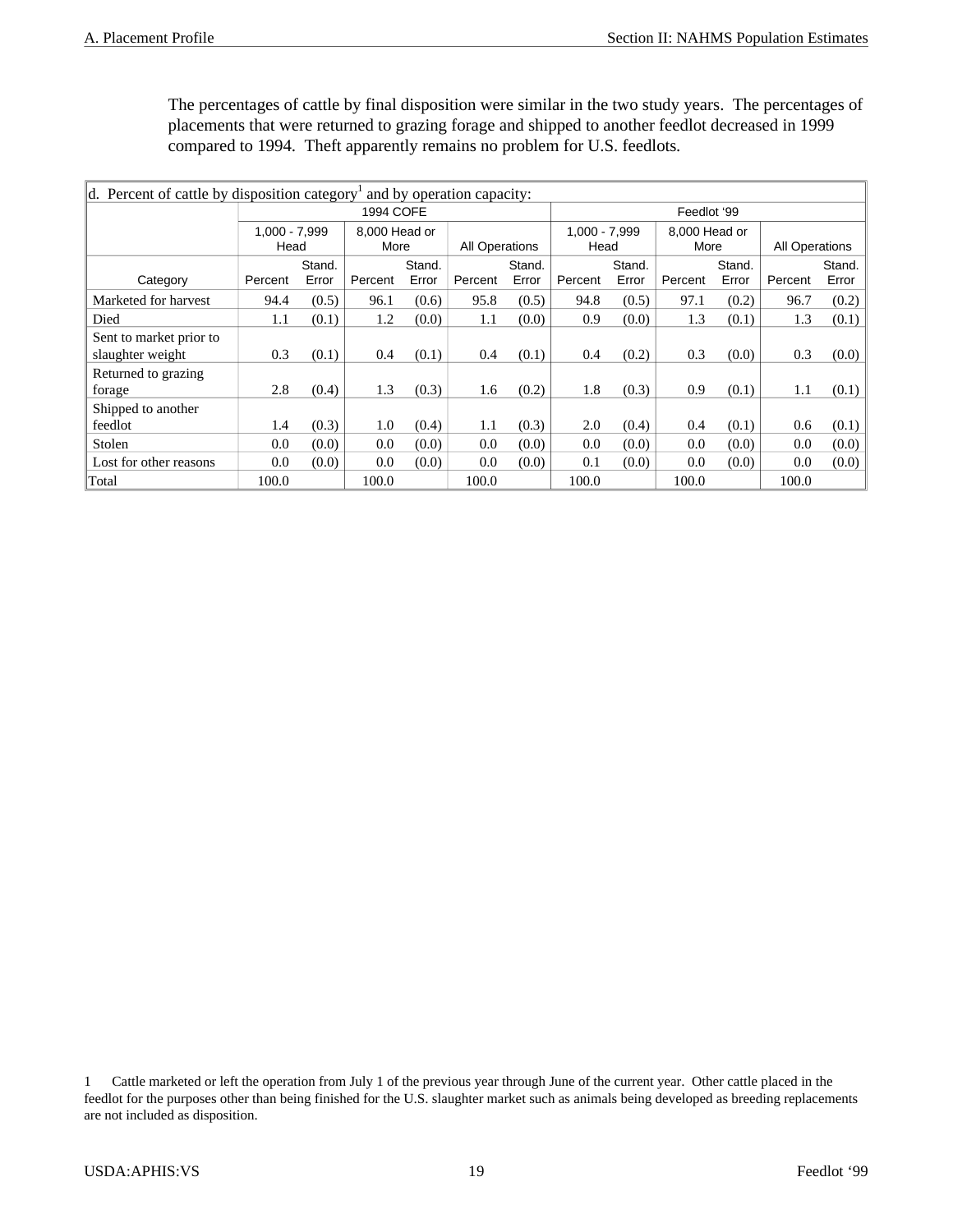The percentages of cattle by final disposition were similar in the two study years. The percentages of placements that were returned to grazing forage and shipped to another feedlot decreased in 1999 compared to 1994. Theft apparently remains no problem for U.S. feedlots*.*

| d. Percent of cattle by disposition category<br>and by operation capacity: |                         |       |                       |        |         |                |             |                         |         |                       |         |                |  |
|----------------------------------------------------------------------------|-------------------------|-------|-----------------------|--------|---------|----------------|-------------|-------------------------|---------|-----------------------|---------|----------------|--|
|                                                                            |                         |       | 1994 COFE             |        |         |                | Feedlot '99 |                         |         |                       |         |                |  |
|                                                                            | $1.000 - 7.999$<br>Head |       | 8.000 Head or<br>More |        |         | All Operations |             | $1.000 - 7.999$<br>Head |         | 8,000 Head or<br>More |         | All Operations |  |
|                                                                            | Stand.                  |       |                       | Stand. | Stand.  |                |             | Stand.                  |         | Stand.                |         | Stand.         |  |
| Category                                                                   | Percent                 | Error | Percent               | Error  | Percent | Error          | Percent     | Error                   | Percent | Error                 | Percent | Error          |  |
| Marketed for harvest                                                       | 94.4                    | (0.5) | 96.1                  | (0.6)  | 95.8    | (0.5)          | 94.8        | (0.5)                   | 97.1    | (0.2)                 | 96.7    | (0.2)          |  |
| Died                                                                       | 1.1                     | (0.1) | 1.2                   | (0.0)  | 1.1     | (0.0)          | 0.9         | (0.0)                   | 1.3     | (0.1)                 | 1.3     | (0.1)          |  |
| Sent to market prior to                                                    |                         |       |                       |        |         |                |             |                         |         |                       |         |                |  |
| slaughter weight                                                           | 0.3                     | (0.1) | 0.4                   | (0.1)  | 0.4     | (0.1)          | 0.4         | (0.2)                   | 0.3     | (0.0)                 | 0.3     | (0.0)          |  |
| Returned to grazing<br>forage                                              | 2.8                     | (0.4) | 1.3                   | (0.3)  | 1.6     | (0.2)          | 1.8         | (0.3)                   | 0.9     | (0.1)                 | 1.1     | (0.1)          |  |
| Shipped to another                                                         |                         |       |                       |        |         |                |             |                         |         |                       |         |                |  |
| feedlot                                                                    | 1.4                     | (0.3) | 1.0                   | (0.4)  | 1.1     | (0.3)          | 2.0         | (0.4)                   | 0.4     | (0.1)                 | 0.6     | (0.1)          |  |
| Stolen                                                                     | 0.0                     | (0.0) | 0.0                   | (0.0)  | 0.0     | (0.0)          | 0.0         | (0.0)                   | 0.0     | (0.0)                 | 0.0     | (0.0)          |  |
| Lost for other reasons                                                     | 0.0                     | (0.0) | 0.0                   | (0.0)  | 0.0     | (0.0)          | 0.1         | (0.0)                   | 0.0     | (0.0)                 | 0.0     | (0.0)          |  |
| Total                                                                      | 100.0                   |       | 100.0                 |        | 100.0   |                | 100.0       |                         | 100.0   |                       | 100.0   |                |  |

<sup>1</sup> Cattle marketed or left the operation from July 1 of the previous year through June of the current year. Other cattle placed in the feedlot for the purposes other than being finished for the U.S. slaughter market such as animals being developed as breeding replacements are not included as disposition.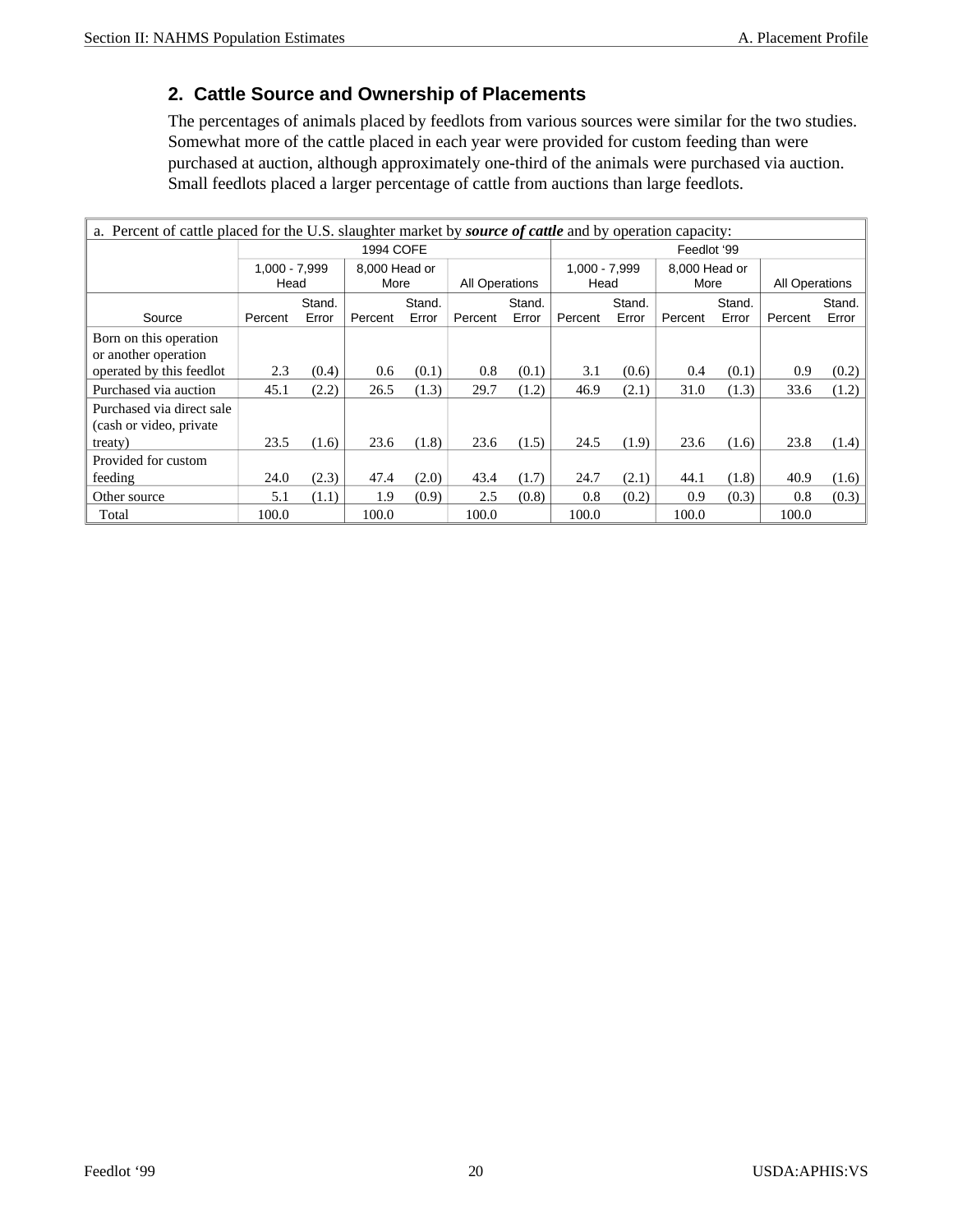#### **2. Cattle Source and Ownership of Placements**

The percentages of animals placed by feedlots from various sources were similar for the two studies. Somewhat more of the cattle placed in each year were provided for custom feeding than were purchased at auction, although approximately one-third of the animals were purchased via auction. Small feedlots placed a larger percentage of cattle from auctions than large feedlots.

| a. Percent of cattle placed for the U.S. slaughter market by <i>source of cattle</i> and by operation capacity: |                         |       |                       |        |         |                |         |                       |         |                       |         |                |
|-----------------------------------------------------------------------------------------------------------------|-------------------------|-------|-----------------------|--------|---------|----------------|---------|-----------------------|---------|-----------------------|---------|----------------|
|                                                                                                                 |                         |       | 1994 COFE             |        |         | Feedlot '99    |         |                       |         |                       |         |                |
|                                                                                                                 | $1,000 - 7,999$<br>Head |       | 8,000 Head or<br>More |        |         | All Operations |         | 1.000 - 7.999<br>Head |         | 8,000 Head or<br>More |         | All Operations |
|                                                                                                                 | Stand.                  |       |                       | Stand. | Stand.  |                |         | Stand.                |         | Stand.                | Stand.  |                |
| Source                                                                                                          | Percent                 | Error | Percent               | Error  | Percent | Error          | Percent | Error                 | Percent | Error                 | Percent | Error          |
| Born on this operation<br>or another operation                                                                  |                         |       |                       |        |         |                |         |                       |         |                       |         |                |
| operated by this feedlot                                                                                        | 2.3                     | (0.4) | 0.6                   | (0.1)  | 0.8     | (0.1)          | 3.1     | (0.6)                 | 0.4     | (0.1)                 | 0.9     | (0.2)          |
| Purchased via auction                                                                                           | 45.1                    | (2.2) | 26.5                  | (1.3)  | 29.7    | (1.2)          | 46.9    | (2.1)                 | 31.0    | (1.3)                 | 33.6    | (1.2)          |
| Purchased via direct sale<br>(cash or video, private)                                                           |                         |       |                       |        |         |                |         |                       |         |                       |         |                |
| treaty)                                                                                                         | 23.5                    | (1.6) | 23.6                  | (1.8)  | 23.6    | (1.5)          | 24.5    | (1.9)                 | 23.6    | (1.6)                 | 23.8    | (1.4)          |
| Provided for custom                                                                                             |                         |       |                       |        |         |                |         |                       |         |                       |         |                |
| feeding                                                                                                         | 24.0                    | (2.3) | 47.4                  | (2.0)  | 43.4    | (1.7)          | 24.7    | (2.1)                 | 44.1    | (1.8)                 | 40.9    | (1.6)          |
| Other source                                                                                                    | 5.1                     | (1.1) | 1.9                   | (0.9)  | 2.5     | (0.8)          | 0.8     | (0.2)                 | 0.9     | (0.3)                 | 0.8     | (0.3)          |
| Total                                                                                                           | 100.0                   |       | 100.0                 |        | 100.0   |                | 100.0   |                       | 100.0   |                       | 100.0   |                |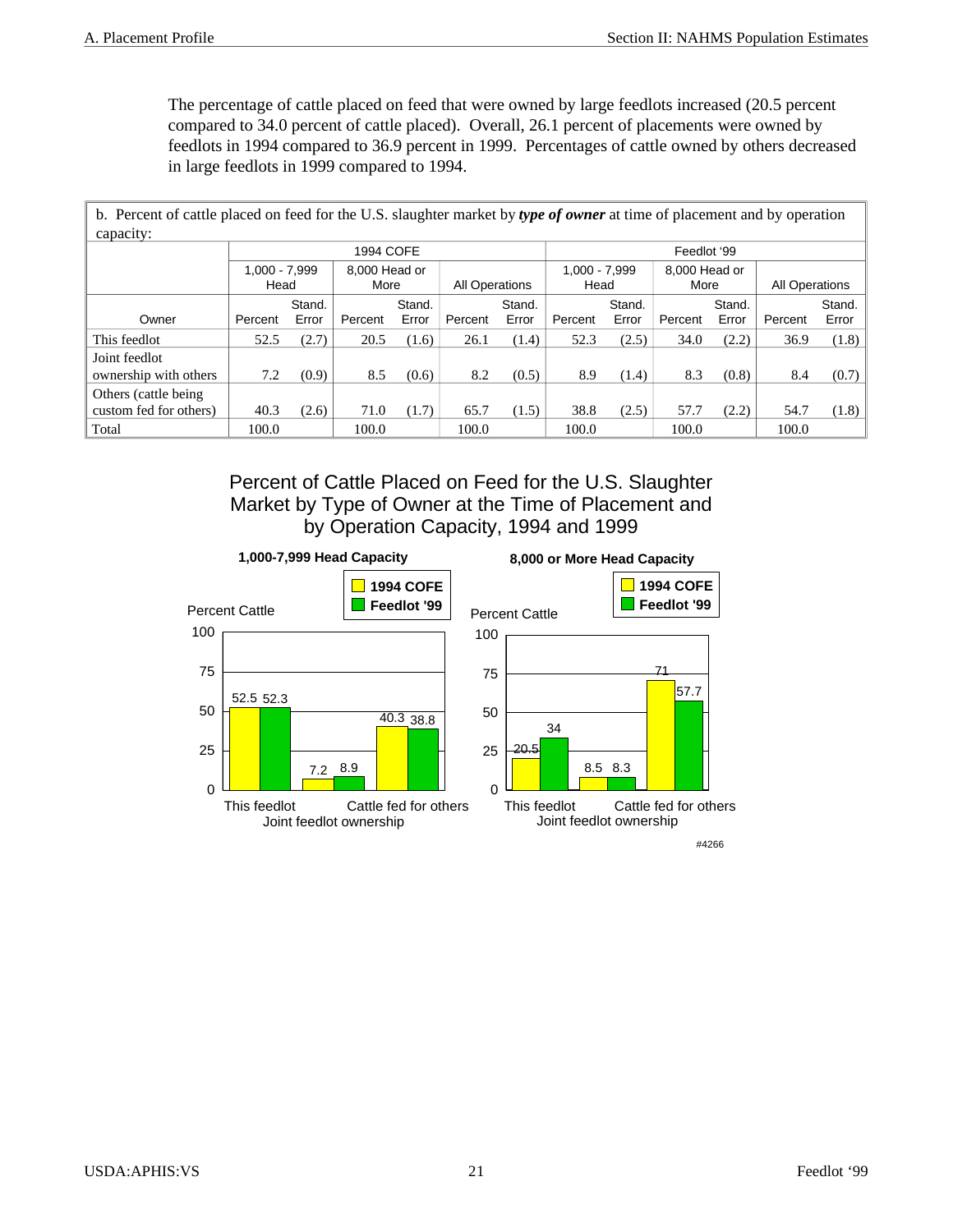The percentage of cattle placed on feed that were owned by large feedlots increased (20.5 percent compared to 34.0 percent of cattle placed). Overall, 26.1 percent of placements were owned by feedlots in 1994 compared to 36.9 percent in 1999. Percentages of cattle owned by others decreased in large feedlots in 1999 compared to 1994.

 b. Percent of cattle placed on feed for the U.S. slaughter market by *type of owner* at time of placement and by operation capacity: 1994 COFE **Feedlot** '99 1,000 - 7,999 Head 8,000 Head or More | All Operations 1,000 - 7,999 Head 8,000 Head or More | All Operations Owner | Percent Stand. Error | Percent Stand. Error | Percent Stand.  $Error$  Percent Stand. Error Percent Stand. Error | Percent Stand. Error This feedlot 52.5 (2.7) 20.5 (1.6) 26.1 (1.4) 52.3 (2.5) 34.0 (2.2) 36.9 (1.8) Joint feedlot ownership with others  $\begin{vmatrix} 7.2 & (0.9) \end{vmatrix}$  8.5 (0.6) 8.2 (0.5) 8.9 (1.4) 8.3 (0.8) 8.4 (0.7) Others (cattle being custom fed for others)  $\begin{vmatrix} 40.3 & (2.6) & 71.0 & (1.7) & 65.7 & (1.5) & 38.8 & (2.5) & 57.7 & (2.2) & 54.7 & (1.8) \end{vmatrix}$ Total 100.0 100.0 100.0 100.0 100.0 100.0 100.0

> Percent of Cattle Placed on Feed for the U.S. Slaughter Market by Type of Owner at the Time of Placement and by Operation Capacity, 1994 and 1999

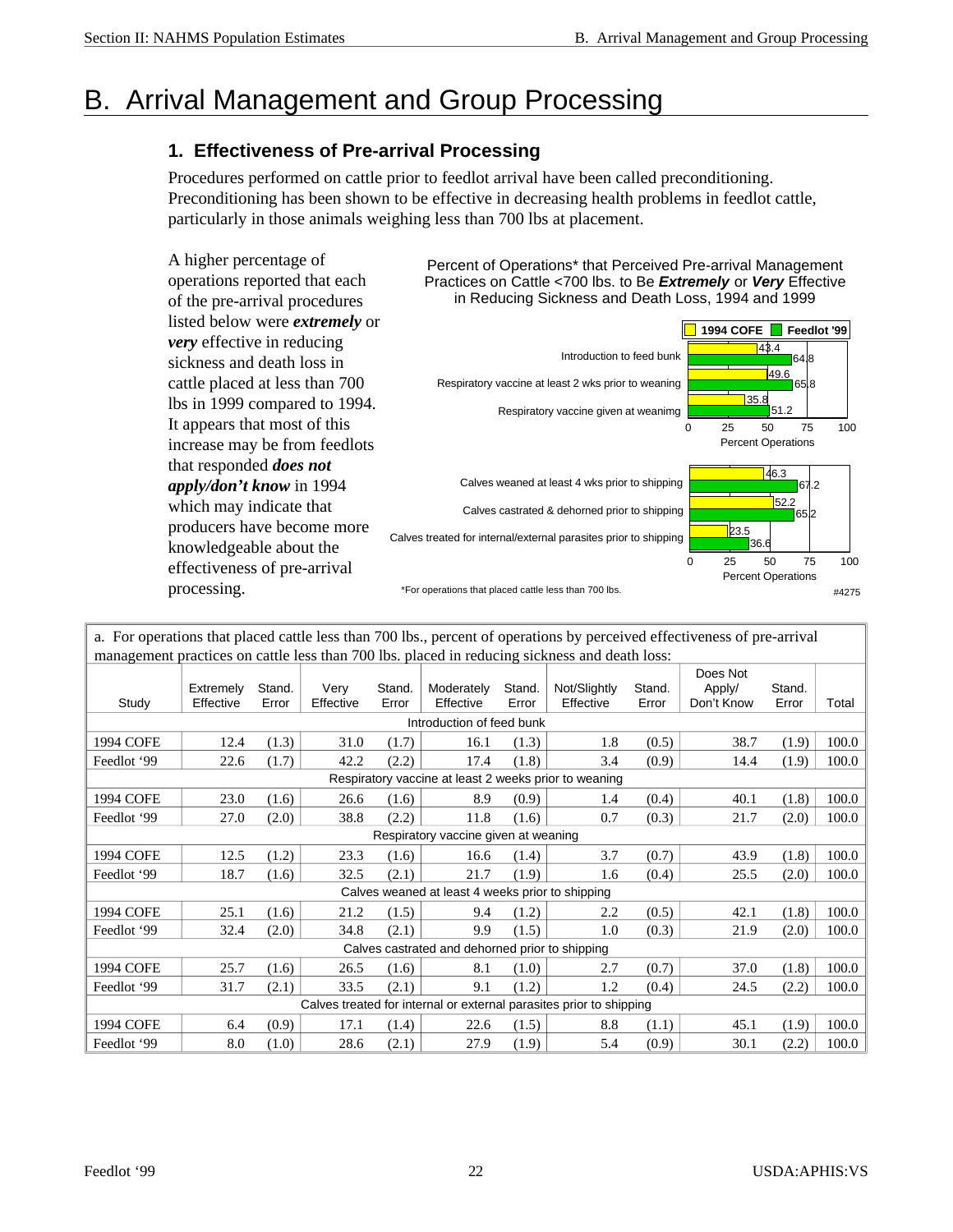### B. Arrival Management and Group Processing

#### **1. Effectiveness of Pre-arrival Processing**

Procedures performed on cattle prior to feedlot arrival have been called preconditioning. Preconditioning has been shown to be effective in decreasing health problems in feedlot cattle, particularly in those animals weighing less than 700 lbs at placement.

A higher percentage of operations reported that each of the pre-arrival procedures listed below were *extremely* or *very* effective in reducing sickness and death loss in cattle placed at less than 700 lbs in 1999 compared to 1994. It appears that most of this increase may be from feedlots that responded *does not apply/don't know* in 1994 which may indicate that producers have become more knowledgeable about the effectiveness of pre-arrival processing.

Percent of Operations\* that Perceived Pre-arrival Management Practices on Cattle <700 lbs. to Be *Extremely* or *Very* Effective in Reducing Sickness and Death Loss, 1994 and 1999



| a. For operations that placed cattle less than 700 lbs., percent of operations by perceived effectiveness of pre-arrival |                        |                 |                   |                 |                                                  |                 |                                                                     |                 |                                  |                 |       |
|--------------------------------------------------------------------------------------------------------------------------|------------------------|-----------------|-------------------|-----------------|--------------------------------------------------|-----------------|---------------------------------------------------------------------|-----------------|----------------------------------|-----------------|-------|
| management practices on cattle less than 700 lbs. placed in reducing sickness and death loss:                            |                        |                 |                   |                 |                                                  |                 |                                                                     |                 |                                  |                 |       |
| Study                                                                                                                    | Extremely<br>Effective | Stand.<br>Error | Verv<br>Effective | Stand.<br>Error | Moderately<br>Effective                          | Stand.<br>Error | Not/Slightly<br>Effective                                           | Stand.<br>Error | Does Not<br>Apply/<br>Don't Know | Stand.<br>Error | Total |
|                                                                                                                          |                        |                 |                   |                 | Introduction of feed bunk                        |                 |                                                                     |                 |                                  |                 |       |
| 1994 COFE                                                                                                                | 12.4                   | (1.3)           | 31.0              | (1.7)           | 16.1                                             | (1.3)           | 1.8                                                                 | (0.5)           | 38.7                             | (1.9)           | 100.0 |
| Feedlot '99                                                                                                              | 22.6                   | (1.7)           | 42.2              | (2.2)           | 17.4                                             | (1.8)           | 3.4                                                                 | (0.9)           | 14.4                             | (1.9)           | 100.0 |
|                                                                                                                          |                        |                 |                   |                 |                                                  |                 | Respiratory vaccine at least 2 weeks prior to weaning               |                 |                                  |                 |       |
| 1994 COFE                                                                                                                | 23.0                   | (1.6)           | 26.6              | (1.6)           | 8.9                                              | (0.9)           | 1.4                                                                 | (0.4)           | 40.1                             | (1.8)           | 100.0 |
| Feedlot '99                                                                                                              | 27.0                   | (2.0)           | 38.8              | (2.2)           | 11.8                                             | (1.6)           | 0.7                                                                 | (0.3)           | 21.7                             | (2.0)           | 100.0 |
|                                                                                                                          |                        |                 |                   |                 | Respiratory vaccine given at weaning             |                 |                                                                     |                 |                                  |                 |       |
| 1994 COFE                                                                                                                | 12.5                   | (1.2)           | 23.3              | (1.6)           | 16.6                                             | (1.4)           | 3.7                                                                 | (0.7)           | 43.9                             | (1.8)           | 100.0 |
| Feedlot '99                                                                                                              | 18.7                   | (1.6)           | 32.5              | (2.1)           | 21.7                                             | (1.9)           | 1.6                                                                 | (0.4)           | 25.5                             | (2.0)           | 100.0 |
|                                                                                                                          |                        |                 |                   |                 | Calves weaned at least 4 weeks prior to shipping |                 |                                                                     |                 |                                  |                 |       |
| 1994 COFE                                                                                                                | 25.1                   | (1.6)           | 21.2              | (1.5)           | 9.4                                              | (1.2)           | 2.2                                                                 | (0.5)           | 42.1                             | (1.8)           | 100.0 |
| Feedlot '99                                                                                                              | 32.4                   | (2.0)           | 34.8              | (2.1)           | 9.9                                              | (1.5)           | 1.0                                                                 | (0.3)           | 21.9                             | (2.0)           | 100.0 |
|                                                                                                                          |                        |                 |                   |                 | Calves castrated and dehorned prior to shipping  |                 |                                                                     |                 |                                  |                 |       |
| 1994 COFE                                                                                                                | 25.7                   | (1.6)           | 26.5              | (1.6)           | 8.1                                              | (1.0)           | 2.7                                                                 | (0.7)           | 37.0                             | (1.8)           | 100.0 |
| Feedlot '99                                                                                                              | 31.7                   | (2.1)           | 33.5              | (2.1)           | 9.1                                              | (1.2)           | 1.2                                                                 | (0.4)           | 24.5                             | (2.2)           | 100.0 |
|                                                                                                                          |                        |                 |                   |                 |                                                  |                 | Calves treated for internal or external parasites prior to shipping |                 |                                  |                 |       |
| 1994 COFE                                                                                                                | 6.4                    | (0.9)           | 17.1              | (1.4)           | 22.6                                             | (1.5)           | 8.8                                                                 | (1.1)           | 45.1                             | (1.9)           | 100.0 |
| Feedlot '99                                                                                                              | 8.0                    | (1.0)           | 28.6              | (2.1)           | 27.9                                             | (1.9)           | 5.4                                                                 | (0.9)           | 30.1                             | (2.2)           | 100.0 |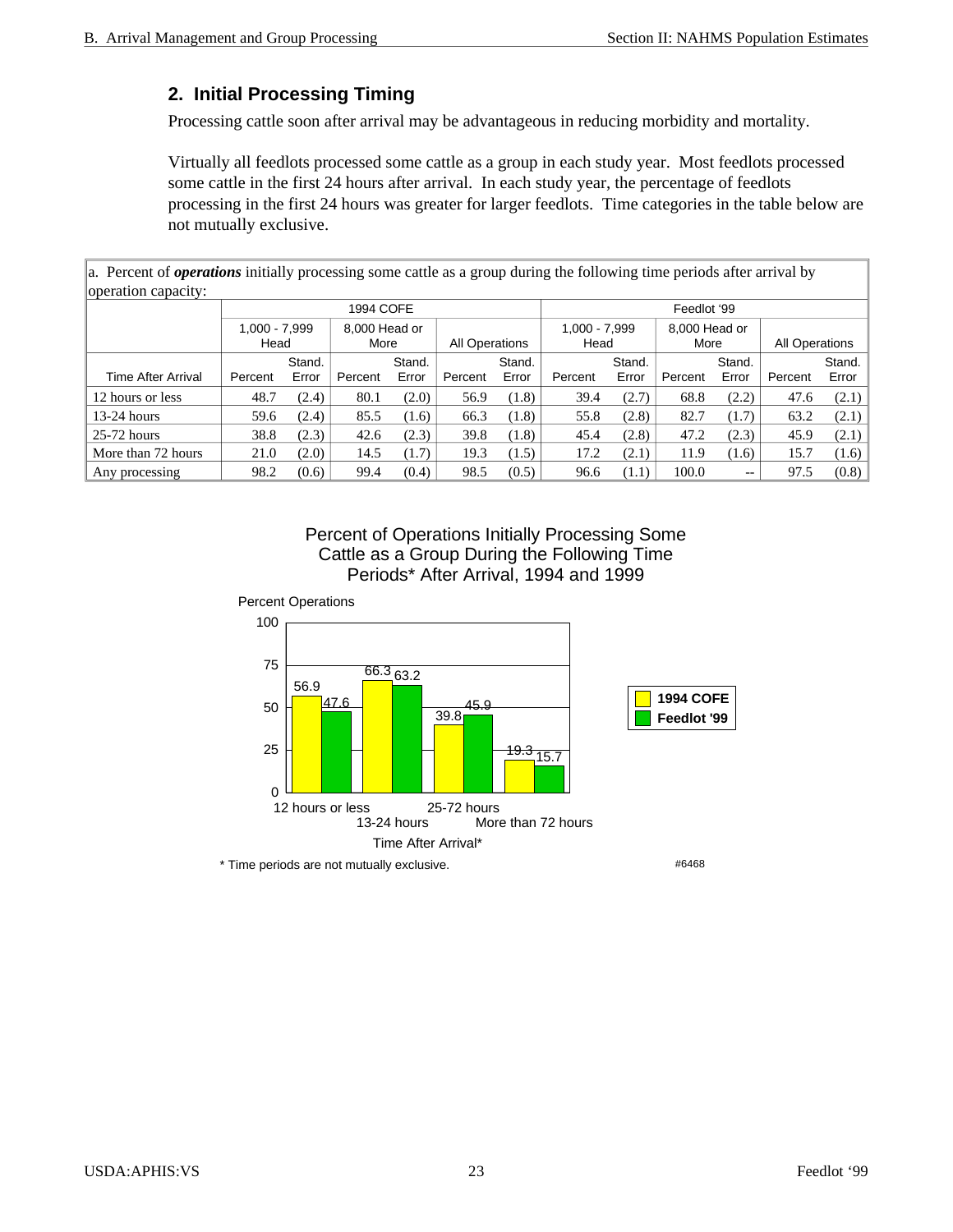#### **2. Initial Processing Timing**

Processing cattle soon after arrival may be advantageous in reducing morbidity and mortality.

Virtually all feedlots processed some cattle as a group in each study year. Most feedlots processed some cattle in the first 24 hours after arrival. In each study year, the percentage of feedlots processing in the first 24 hours was greater for larger feedlots. Time categories in the table below are not mutually exclusive.

a. Percent of *operations* initially processing some cattle as a group during the following time periods after arrival by operation capacity:

|                       |         | 1994 COFE             |         |                |         |                         |         | Feedlot '99           |         |                |         |        |  |  |
|-----------------------|---------|-----------------------|---------|----------------|---------|-------------------------|---------|-----------------------|---------|----------------|---------|--------|--|--|
| 1,000 - 7,999<br>Head |         | 8,000 Head or<br>More |         | All Operations |         | $1,000 - 7,999$<br>Head |         | 8,000 Head or<br>More |         | All Operations |         |        |  |  |
|                       |         | Stand.                |         | Stand.         |         | Stand.                  |         | Stand.                |         | Stand.         |         | Stand. |  |  |
| Time After Arrival    | Percent | Error                 | Percent | Error          | Percent | Error                   | Percent | Error                 | Percent | Error          | Percent | Error  |  |  |
| 12 hours or less      | 48.7    | (2.4)                 | 80.1    | (2.0)          | 56.9    | (1.8)                   | 39.4    | (2.7)                 | 68.8    | (2.2)          | 47.6    | (2.1)  |  |  |
| $13-24$ hours         | 59.6    | (2.4)                 | 85.5    | (1.6)          | 66.3    | (1.8)                   | 55.8    | (2.8)                 | 82.7    | (1.7)          | 63.2    | (2.1)  |  |  |
| $25-72$ hours         | 38.8    | (2.3)                 | 42.6    | (2.3)          | 39.8    | (1.8)                   | 45.4    | (2.8)                 | 47.2    | (2.3)          | 45.9    | (2.1)  |  |  |
| More than 72 hours    | 21.0    | (2.0)                 | 14.5    | (1.7)          | 19.3    | (1.5)                   | 17.2    | (2.1)                 | 11.9    | (1.6)          | 15.7    | (1.6)  |  |  |
| Any processing        | 98.2    | (0.6)                 | 99.4    | (0.4)          | 98.5    | (0.5)                   | 96.6    | (1.1)                 | 100.0   | $- -$          | 97.5    | (0.8)  |  |  |

Percent of Operations Initially Processing Some Cattle as a Group During the Following Time Periods\* After Arrival, 1994 and 1999

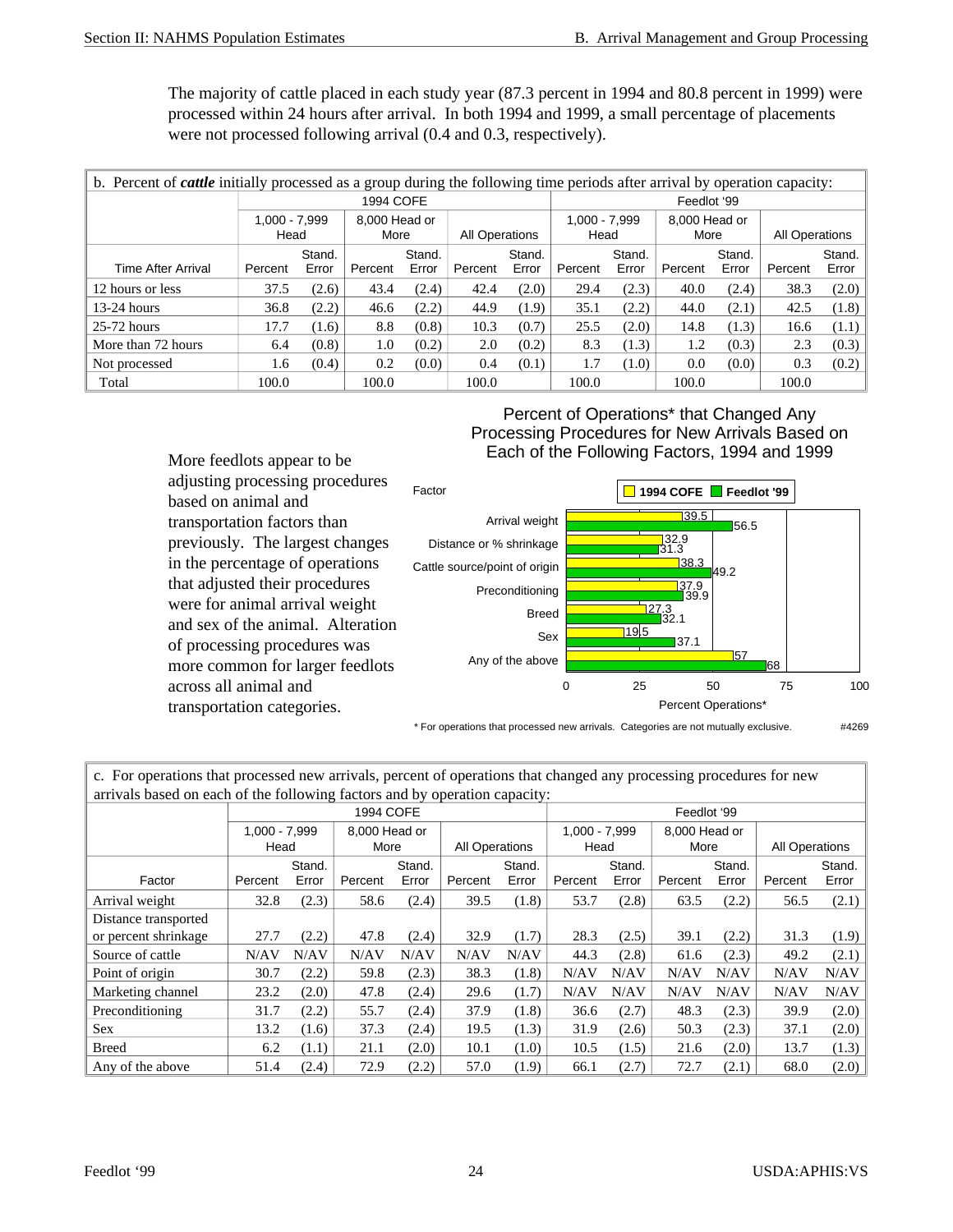The majority of cattle placed in each study year (87.3 percent in 1994 and 80.8 percent in 1999) were processed within 24 hours after arrival. In both 1994 and 1999, a small percentage of placements were not processed following arrival (0.4 and 0.3, respectively).

| b. Percent of <i>cattle</i> initially processed as a group during the following time periods after arrival by operation capacity: |                                                |       |                       |       |                       |       |                         |       |                       |        |                       |       |
|-----------------------------------------------------------------------------------------------------------------------------------|------------------------------------------------|-------|-----------------------|-------|-----------------------|-------|-------------------------|-------|-----------------------|--------|-----------------------|-------|
|                                                                                                                                   |                                                |       | 1994 COFE             |       |                       |       |                         |       | Feedlot '99           |        |                       |       |
|                                                                                                                                   | $1.000 - 7.999$<br>Head                        |       | 8,000 Head or<br>More |       | <b>All Operations</b> |       | $1.000 - 7.999$<br>Head |       | 8.000 Head or<br>More |        | <b>All Operations</b> |       |
|                                                                                                                                   | Stand.<br>Stand.<br>Stand.<br>Stand.<br>Stand. |       |                       |       |                       |       |                         |       |                       | Stand. |                       |       |
| <b>Time After Arrival</b>                                                                                                         | Percent                                        | Error | Percent               | Error | Percent               | Error | Percent                 | Error | Percent               | Error  | Percent               | Error |
| 12 hours or less                                                                                                                  | 37.5                                           | (2.6) | 43.4                  | (2.4) | 42.4                  | (2.0) | 29.4                    | (2.3) | 40.0                  | (2.4)  | 38.3                  | (2.0) |
| $13-24$ hours                                                                                                                     | 36.8                                           | (2.2) | 46.6                  | (2.2) | 44.9                  | (1.9) | 35.1                    | (2.2) | 44.0                  | (2.1)  | 42.5                  | (1.8) |
| $25-72$ hours                                                                                                                     | 17.7                                           | (1.6) | 8.8                   | (0.8) | 10.3                  | (0.7) | 25.5                    | (2.0) | 14.8                  | (1.3)  | 16.6                  | (1.1) |
| More than 72 hours                                                                                                                | 6.4                                            | (0.8) | 1.0                   | (0.2) | 2.0                   | (0.2) | 8.3                     | (1.3) | 1.2                   | (0.3)  | 2.3                   | (0.3) |
| Not processed                                                                                                                     | 1.6                                            | (0.4) | 0.2                   | (0.0) | 0.4                   | (0.1) | 1.7                     | (1.0) | 0.0                   | (0.0)  | 0.3                   | (0.2) |
| Total                                                                                                                             | 100.0                                          |       | 100.0                 |       | 100.0                 |       | 100.0                   |       | 100.0                 |        | 100.0                 |       |

Percent of Operations\* that Changed Any Processing Procedures for New Arrivals Based on Each of the Following Factors, 1994 and 1999



\* For operations that processed new arrivals. Categories are not mutually exclusive. #4269

c. For operations that processed new arrivals, percent of operations that changed any processing procedures for new arrivals based on each of the following factors and by operation capacity:

| allivals based on each of the following factors and by operation capacity. |               |                  |               |       |                       |       |                 |        |               |       |                |       |  |  |
|----------------------------------------------------------------------------|---------------|------------------|---------------|-------|-----------------------|-------|-----------------|--------|---------------|-------|----------------|-------|--|--|
|                                                                            |               | 1994 COFE        |               |       |                       |       |                 |        | Feedlot '99   |       |                |       |  |  |
|                                                                            | 1.000 - 7.999 |                  | 8.000 Head or |       |                       |       | $1.000 - 7.999$ |        | 8.000 Head or |       |                |       |  |  |
|                                                                            |               | Head             |               | More  | <b>All Operations</b> |       |                 | Head   |               | More  | All Operations |       |  |  |
|                                                                            |               | Stand.<br>Stand. |               |       | Stand.                |       | Stand.          | Stand. |               |       | Stand.         |       |  |  |
| Factor                                                                     | Percent       | Error            | Percent       | Error | Percent               | Error | Percent         | Error  | Percent       | Error | Percent        | Error |  |  |
| Arrival weight                                                             | 32.8          | (2.3)            | 58.6          | (2.4) | 39.5                  | (1.8) | 53.7            | (2.8)  | 63.5          | (2.2) | 56.5           | (2.1) |  |  |
| Distance transported                                                       |               |                  |               |       |                       |       |                 |        |               |       |                |       |  |  |
| or percent shrinkage                                                       | 27.7          | (2.2)            | 47.8          | (2.4) | 32.9                  | (1.7) | 28.3            | (2.5)  | 39.1          | (2.2) | 31.3           | (1.9) |  |  |
| Source of cattle                                                           | N/AV          | N/AV             | N/AV          | N/AV  | N/AV                  | N/AV  | 44.3            | (2.8)  | 61.6          | (2.3) | 49.2           | (2.1) |  |  |
| Point of origin                                                            | 30.7          | (2.2)            | 59.8          | (2.3) | 38.3                  | (1.8) | N/AV            | N/AV   | N/AV          | N/AV  | N/AV           | N/AV  |  |  |
| Marketing channel                                                          | 23.2          | (2.0)            | 47.8          | (2.4) | 29.6                  | (1.7) | N/AV            | N/AV   | N/AV          | N/AV  | N/AV           | N/AV  |  |  |
| Preconditioning                                                            | 31.7          | (2.2)            | 55.7          | (2.4) | 37.9                  | (1.8) | 36.6            | (2.7)  | 48.3          | (2.3) | 39.9           | (2.0) |  |  |
| <b>Sex</b>                                                                 | 13.2          | (1.6)            | 37.3          | (2.4) | 19.5                  | (1.3) | 31.9            | (2.6)  | 50.3          | (2.3) | 37.1           | (2.0) |  |  |
| <b>Breed</b>                                                               | 6.2           | (1.1)            | 21.1          | (2.0) | 10.1                  | (1.0) | 10.5            | (1.5)  | 21.6          | (2.0) | 13.7           | (1.3) |  |  |
| Any of the above                                                           | 51.4          | (2.4)            | 72.9          | (2.2) | 57.0                  | (1.9) | 66.1            | (2.7)  | 72.7          | (2.1) | 68.0           | (2.0) |  |  |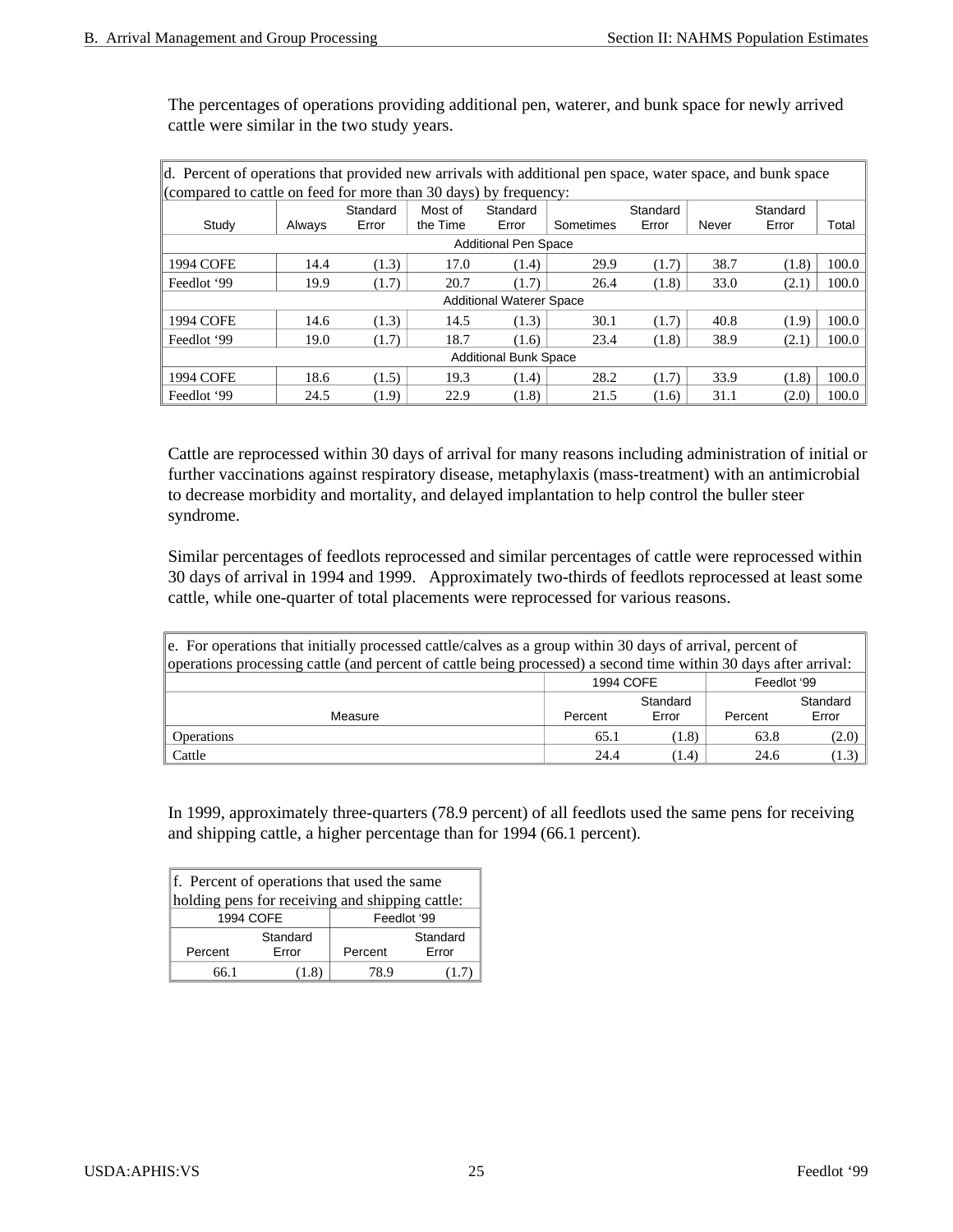The percentages of operations providing additional pen, waterer, and bunk space for newly arrived cattle were similar in the two study years.

| $\vert$ d. Percent of operations that provided new arrivals with additional pen space, water space, and bunk space |        |          |          |                                 |           |          |       |          |       |  |
|--------------------------------------------------------------------------------------------------------------------|--------|----------|----------|---------------------------------|-----------|----------|-------|----------|-------|--|
| (compared to cattle on feed for more than 30 days) by frequency:                                                   |        |          |          |                                 |           |          |       |          |       |  |
|                                                                                                                    |        | Standard | Most of  | Standard                        |           | Standard |       | Standard |       |  |
| Study                                                                                                              | Always | Error    | the Time | Error                           | Sometimes | Error    | Never | Error    | Total |  |
| <b>Additional Pen Space</b>                                                                                        |        |          |          |                                 |           |          |       |          |       |  |
| 1994 COFE                                                                                                          | 14.4   | (1.3)    | 17.0     | (1.4)                           | 29.9      | (1.7)    | 38.7  | (1.8)    | 100.0 |  |
| Feedlot '99                                                                                                        | 19.9   | (1.7)    | 20.7     | (1.7)                           | 26.4      | (1.8)    | 33.0  | (2.1)    | 100.0 |  |
|                                                                                                                    |        |          |          | <b>Additional Waterer Space</b> |           |          |       |          |       |  |
| 1994 COFE                                                                                                          | 14.6   | (1.3)    | 14.5     | (1.3)                           | 30.1      | (1.7)    | 40.8  | (1.9)    | 100.0 |  |
| Feedlot '99                                                                                                        | 19.0   | (1.7)    | 18.7     | (1.6)                           | 23.4      | (1.8)    | 38.9  | (2.1)    | 100.0 |  |
| <b>Additional Bunk Space</b>                                                                                       |        |          |          |                                 |           |          |       |          |       |  |
| 1994 COFE                                                                                                          | 18.6   | (1.5)    | 19.3     | (1.4)                           | 28.2      | (1.7)    | 33.9  | (1.8)    | 100.0 |  |
| Feedlot '99                                                                                                        | 24.5   | (1.9)    | 22.9     | (1.8)                           | 21.5      | (1.6)    | 31.1  | (2.0)    | 100.0 |  |

Cattle are reprocessed within 30 days of arrival for many reasons including administration of initial or further vaccinations against respiratory disease, metaphylaxis (mass-treatment) with an antimicrobial to decrease morbidity and mortality, and delayed implantation to help control the buller steer syndrome.

Similar percentages of feedlots reprocessed and similar percentages of cattle were reprocessed within 30 days of arrival in 1994 and 1999. Approximately two-thirds of feedlots reprocessed at least some cattle, while one-quarter of total placements were reprocessed for various reasons.

| $\ e\ $ . For operations that initially processed cattle/calves as a group within 30 days of arrival, percent of<br>operations processing cattle (and percent of cattle being processed) a second time within 30 days after arrival: |                      |       |         |         |  |  |  |  |  |
|--------------------------------------------------------------------------------------------------------------------------------------------------------------------------------------------------------------------------------------|----------------------|-------|---------|---------|--|--|--|--|--|
| Feedlot '99<br>1994 COFE                                                                                                                                                                                                             |                      |       |         |         |  |  |  |  |  |
|                                                                                                                                                                                                                                      | Standard<br>Standard |       |         |         |  |  |  |  |  |
| Measure                                                                                                                                                                                                                              | Percent              | Error | Percent | Error   |  |  |  |  |  |
| <b>Operations</b>                                                                                                                                                                                                                    | 65.1                 | (1.8) | 63.8    | (2.0)   |  |  |  |  |  |
| Cattle                                                                                                                                                                                                                               | 24.4                 | (1.4) | 24.6    | $(1.3)$ |  |  |  |  |  |

In 1999, approximately three-quarters (78.9 percent) of all feedlots used the same pens for receiving and shipping cattle, a higher percentage than for 1994 (66.1 percent).

| f. Percent of operations that used the same     |          |                  |          |  |  |  |  |  |
|-------------------------------------------------|----------|------------------|----------|--|--|--|--|--|
| holding pens for receiving and shipping cattle: |          |                  |          |  |  |  |  |  |
| 1994 COFE<br>Feedlot '99                        |          |                  |          |  |  |  |  |  |
|                                                 | Standard |                  | Standard |  |  |  |  |  |
| Percent                                         | Error    | Error<br>Percent |          |  |  |  |  |  |
| 78 9<br>66 1<br>(1.8)<br>(1.7)                  |          |                  |          |  |  |  |  |  |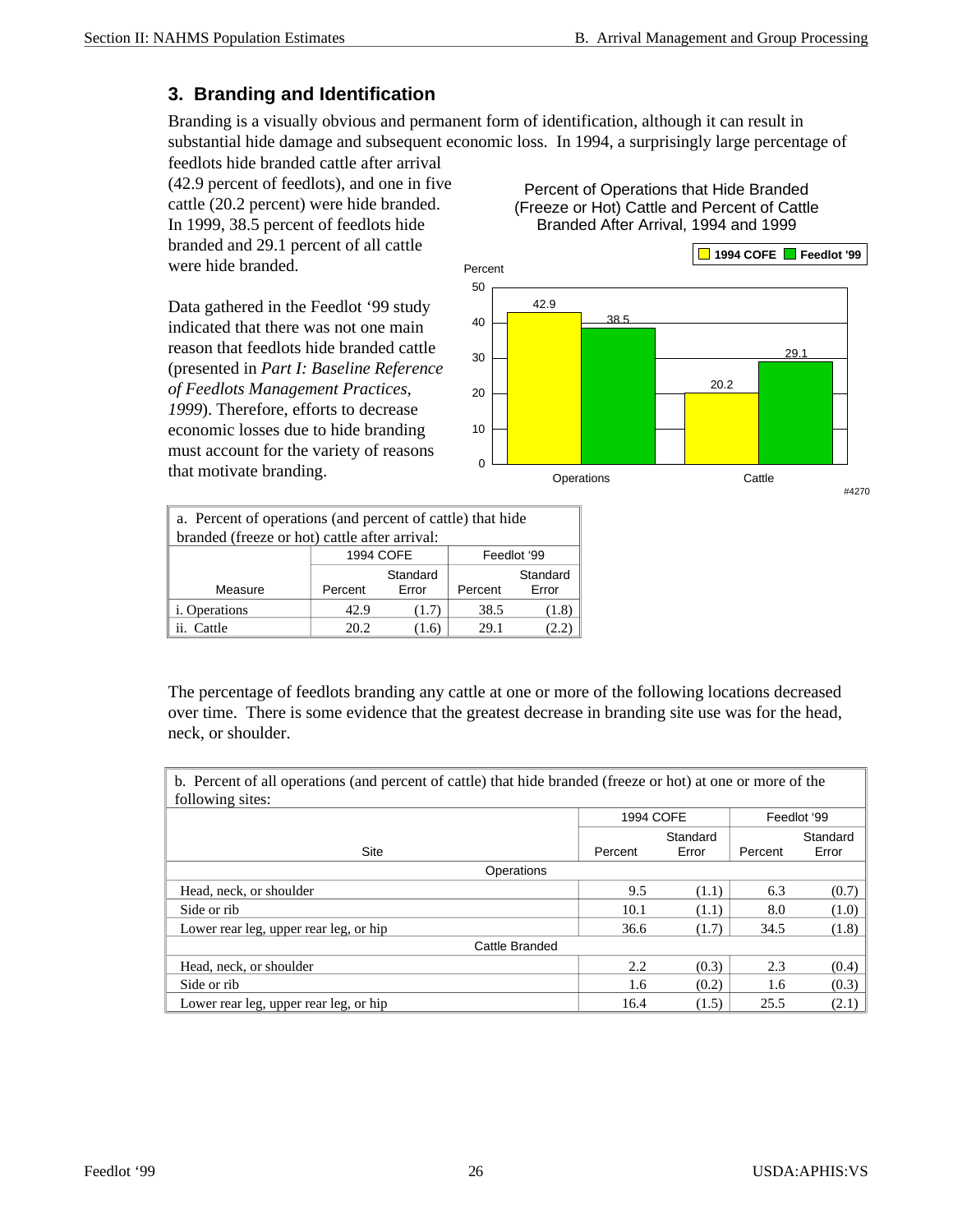#### **3. Branding and Identification**

Branding is a visually obvious and permanent form of identification, although it can result in substantial hide damage and subsequent economic loss. In 1994, a surprisingly large percentage of

feedlots hide branded cattle after arrival (42.9 percent of feedlots), and one in five cattle (20.2 percent) were hide branded. In 1999, 38.5 percent of feedlots hide branded and 29.1 percent of all cattle were hide branded.

Data gathered in the Feedlot '99 study indicated that there was not one main reason that feedlots hide branded cattle (presented in *Part I: Baseline Reference of Feedlots Management Practices, 1999*). Therefore, efforts to decrease economic losses due to hide branding must account for the variety of reasons that motivate branding.

Percent of Operations that Hide Branded (Freeze or Hot) Cattle and Percent of Cattle Branded After Arrival, 1994 and 1999



| a. Percent of operations (and percent of cattle) that hide |                                                              |       |      |       |  |  |  |  |  |
|------------------------------------------------------------|--------------------------------------------------------------|-------|------|-------|--|--|--|--|--|
| branded (freeze or hot) cattle after arrival:              |                                                              |       |      |       |  |  |  |  |  |
| 1994 COFE<br>Feedlot '99                                   |                                                              |       |      |       |  |  |  |  |  |
| Measure                                                    | Standard<br>Standard<br>Error<br>Error<br>Percent<br>Percent |       |      |       |  |  |  |  |  |
| <i>i</i> . Operations                                      | 42.9                                                         | (1.7) | 38.5 | (1.8) |  |  |  |  |  |
| Cattle<br>20.2<br>29.1<br>(1.6)<br>(2.2)<br>11.            |                                                              |       |      |       |  |  |  |  |  |

The percentage of feedlots branding any cattle at one or more of the following locations decreased over time. There is some evidence that the greatest decrease in branding site use was for the head, neck, or shoulder.

b. Percent of all operations (and percent of cattle) that hide branded (freeze or hot) at one or more of the following sites:

| $10110$ will $600$ .                   |           |          |         |             |
|----------------------------------------|-----------|----------|---------|-------------|
|                                        | 1994 COFE |          |         | Feedlot '99 |
|                                        |           | Standard |         | Standard    |
| Site                                   | Percent   | Error    | Percent | Error       |
| Operations                             |           |          |         |             |
| Head, neck, or shoulder                | 9.5       | (1.1)    | 6.3     | (0.7)       |
| Side or rib                            | 10.1      | (1.1)    | 8.0     | (1.0)       |
| Lower rear leg, upper rear leg, or hip | 36.6      | (1.7)    | 34.5    | (1.8)       |
| Cattle Branded                         |           |          |         |             |
| Head, neck, or shoulder                | 2.2       | (0.3)    | 2.3     | (0.4)       |
| Side or rib                            | 1.6       | (0.2)    | 1.6     | (0.3)       |
| Lower rear leg, upper rear leg, or hip | 16.4      | (1.5)    | 25.5    | (2.1)       |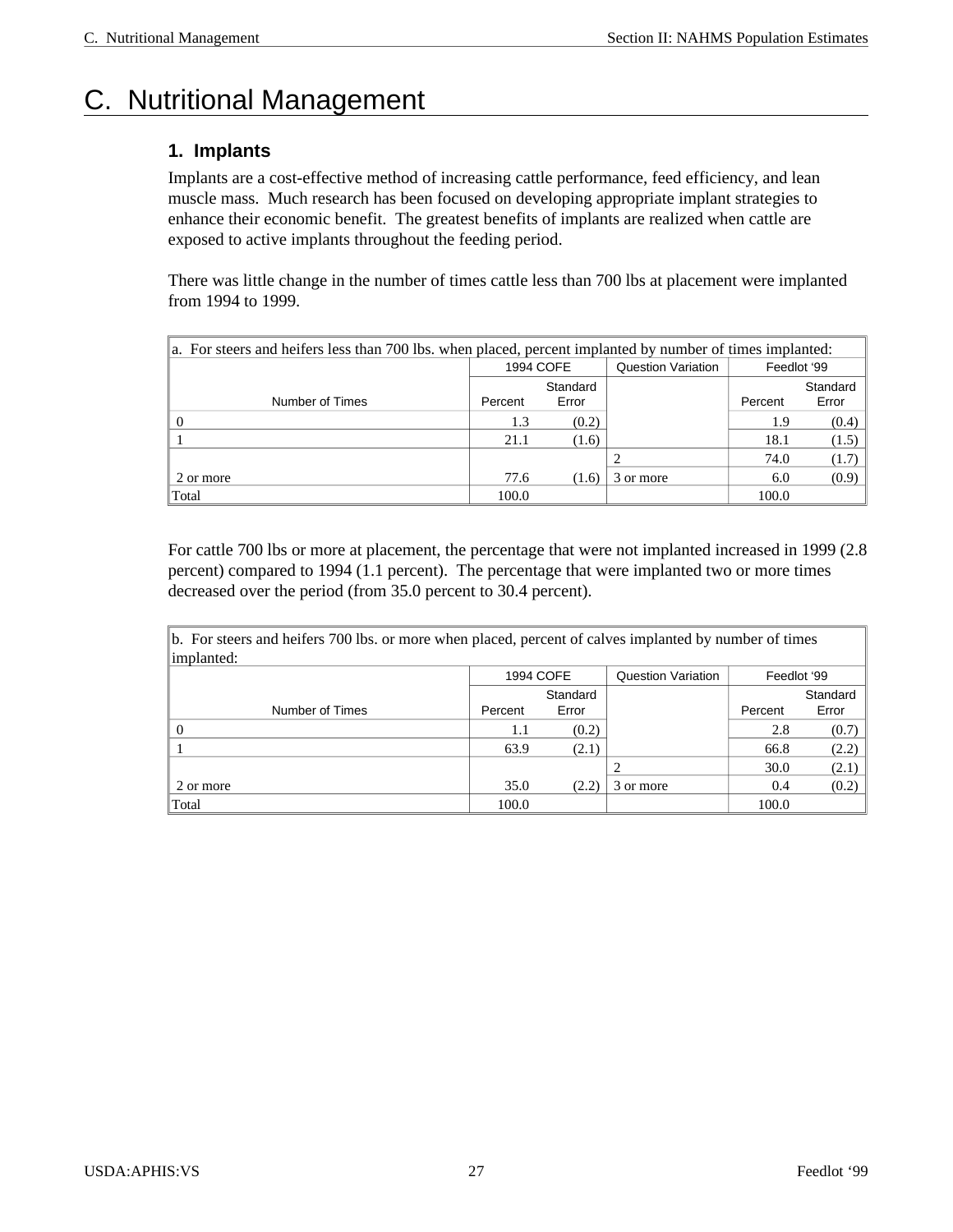## C. Nutritional Management

#### **1. Implants**

Implants are a cost-effective method of increasing cattle performance, feed efficiency, and lean muscle mass. Much research has been focused on developing appropriate implant strategies to enhance their economic benefit. The greatest benefits of implants are realized when cattle are exposed to active implants throughout the feeding period.

There was little change in the number of times cattle less than 700 lbs at placement were implanted from 1994 to 1999.

| a. For steers and heifers less than 700 lbs. when placed, percent implanted by number of times implanted: |           |       |                           |             |          |  |  |  |  |
|-----------------------------------------------------------------------------------------------------------|-----------|-------|---------------------------|-------------|----------|--|--|--|--|
|                                                                                                           | 1994 COFE |       | <b>Question Variation</b> | Feedlot '99 |          |  |  |  |  |
|                                                                                                           | Standard  |       |                           |             | Standard |  |  |  |  |
| Number of Times                                                                                           | Percent   | Error |                           | Percent     | Error    |  |  |  |  |
|                                                                                                           | 1.3       | (0.2) |                           | 1.9         | (0.4)    |  |  |  |  |
|                                                                                                           | 21.1      | (1.6) |                           | 18.1        | (1.5)    |  |  |  |  |
|                                                                                                           |           |       |                           | 74.0        | (1.7)    |  |  |  |  |
| 2 or more                                                                                                 | 77.6      | (1.6) | 3 or more                 | 6.0         | (0.9)    |  |  |  |  |
| Total                                                                                                     | 100.0     |       |                           | 100.0       |          |  |  |  |  |

For cattle 700 lbs or more at placement, the percentage that were not implanted increased in 1999 (2.8 percent) compared to 1994 (1.1 percent). The percentage that were implanted two or more times decreased over the period (from 35.0 percent to 30.4 percent).

| $\ b$ . For steers and heifers 700 lbs. or more when placed, percent of calves implanted by number of times<br>implanted: |         |           |                           |             |          |  |  |  |
|---------------------------------------------------------------------------------------------------------------------------|---------|-----------|---------------------------|-------------|----------|--|--|--|
|                                                                                                                           |         | 1994 COFE | <b>Question Variation</b> | Feedlot '99 |          |  |  |  |
|                                                                                                                           |         | Standard  |                           |             | Standard |  |  |  |
| Number of Times                                                                                                           | Percent | Error     |                           | Percent     | Error    |  |  |  |
|                                                                                                                           | 1.1     | (0.2)     |                           | 2.8         | (0.7)    |  |  |  |
|                                                                                                                           | 63.9    | (2.1)     |                           | 66.8        | (2.2)    |  |  |  |
|                                                                                                                           |         |           |                           | 30.0        | (2.1)    |  |  |  |
| 2 or more                                                                                                                 | 35.0    | (2.2)     | 3 or more                 | 0.4         | (0.2)    |  |  |  |
| Total                                                                                                                     | 100.0   |           |                           | 100.0       |          |  |  |  |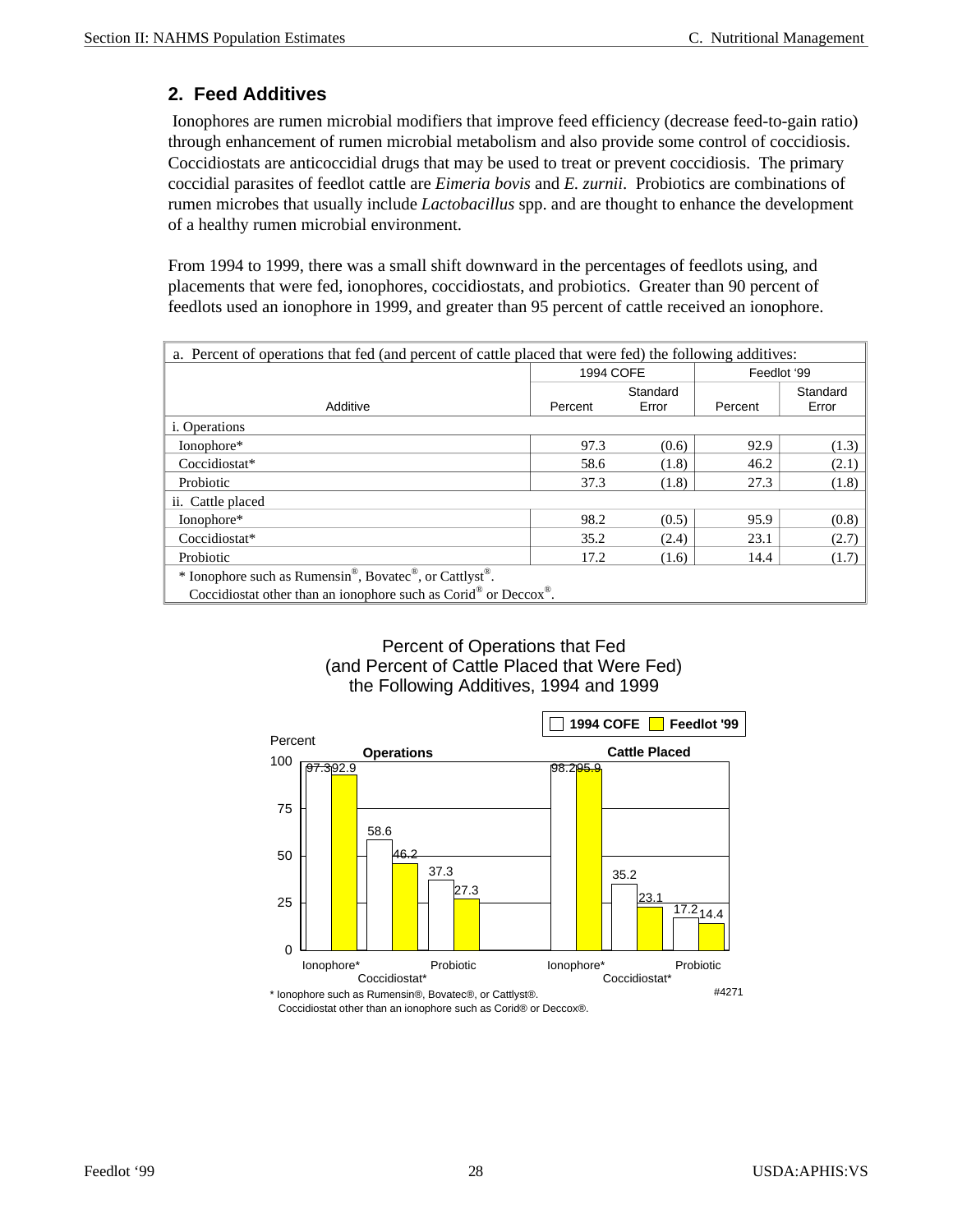#### **2. Feed Additives**

 Ionophores are rumen microbial modifiers that improve feed efficiency (decrease feed-to-gain ratio) through enhancement of rumen microbial metabolism and also provide some control of coccidiosis. Coccidiostats are anticoccidial drugs that may be used to treat or prevent coccidiosis. The primary coccidial parasites of feedlot cattle are *Eimeria bovis* and *E. zurnii*. Probiotics are combinations of rumen microbes that usually include *Lactobacillus* spp. and are thought to enhance the development of a healthy rumen microbial environment.

From 1994 to 1999, there was a small shift downward in the percentages of feedlots using, and placements that were fed, ionophores, coccidiostats, and probiotics. Greater than 90 percent of feedlots used an ionophore in 1999, and greater than 95 percent of cattle received an ionophore.

| a. Percent of operations that fed (and percent of cattle placed that were fed) the following additives:      |                          |       |         |       |  |  |  |  |
|--------------------------------------------------------------------------------------------------------------|--------------------------|-------|---------|-------|--|--|--|--|
|                                                                                                              | 1994 COFE<br>Feedlot '99 |       |         |       |  |  |  |  |
|                                                                                                              | Standard<br>Standard     |       |         |       |  |  |  |  |
| Additive                                                                                                     | Percent                  | Error | Percent | Error |  |  |  |  |
| <i>i</i> . Operations                                                                                        |                          |       |         |       |  |  |  |  |
| Ionophore*                                                                                                   | 97.3                     | (0.6) | 92.9    | (1.3) |  |  |  |  |
| Coccidiostat*                                                                                                | 58.6                     | (1.8) | 46.2    | (2.1) |  |  |  |  |
| Probiotic                                                                                                    | 37.3                     | (1.8) | 27.3    | (1.8) |  |  |  |  |
| ii. Cattle placed                                                                                            |                          |       |         |       |  |  |  |  |
| Ionophore*                                                                                                   | 98.2                     | (0.5) | 95.9    | (0.8) |  |  |  |  |
| Coccidiostat*                                                                                                | 35.2                     | (2.4) | 23.1    | (2.7) |  |  |  |  |
| Probiotic                                                                                                    | 17.2                     | (1.6) | 14.4    | (1.7) |  |  |  |  |
| * Ionophore such as Rumensin®, Bovatec®, or Cattlyst®.                                                       |                          |       |         |       |  |  |  |  |
| Coccidiostat other than an ionophore such as $\text{Corid}^{\circledast}$ or $\text{Deccox}^{\circledast}$ . |                          |       |         |       |  |  |  |  |

#### Percent of Operations that Fed (and Percent of Cattle Placed that Were Fed) the Following Additives, 1994 and 1999



Coccidiostat other than an ionophore such as Corid® or Deccox®.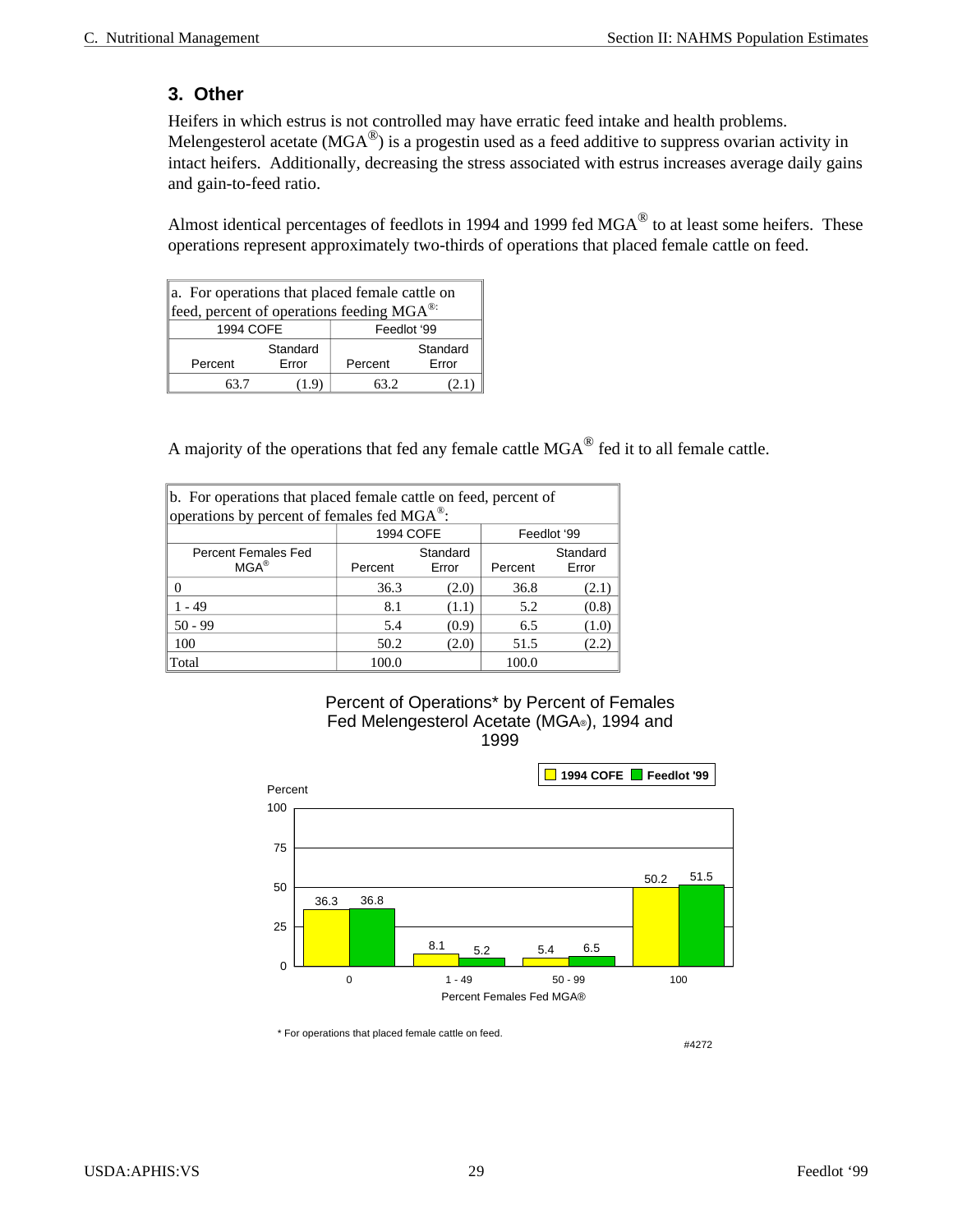#### **3. Other**

Heifers in which estrus is not controlled may have erratic feed intake and health problems. Melengesterol acetate (MGA $^{\circledR}$ ) is a progestin used as a feed additive to suppress ovarian activity in intact heifers. Additionally, decreasing the stress associated with estrus increases average daily gains and gain-to-feed ratio.

Almost identical percentages of feedlots in 1994 and 1999 fed  $MGA^{\circledR}$  to at least some heifers. These operations represent approximately two-thirds of operations that placed female cattle on feed.

| a. For operations that placed female cattle on        |          |                         |          |  |  |  |
|-------------------------------------------------------|----------|-------------------------|----------|--|--|--|
| feed, percent of operations feeding MGA <sup>®:</sup> |          |                         |          |  |  |  |
| 1994 COFE                                             |          | Feedlot '99             |          |  |  |  |
|                                                       | Standard |                         | Standard |  |  |  |
| Percent                                               | Error    | <b>Frror</b><br>Percent |          |  |  |  |
| 63 7                                                  | (1.9)    | 63 2                    |          |  |  |  |

A majority of the operations that fed any female cattle  $MGA^{\circledR}$  fed it to all female cattle.

| b. For operations that placed female cattle on feed, percent of |         |                   |                              |       |  |  |  |
|-----------------------------------------------------------------|---------|-------------------|------------------------------|-------|--|--|--|
| operations by percent of females fed MGA <sup>®</sup> :         |         |                   |                              |       |  |  |  |
| 1994 COFE<br>Feedlot '99                                        |         |                   |                              |       |  |  |  |
| Percent Females Fed<br>$MGA^{\circledR}$                        | Percent | Standard<br>Error | Standard<br>Error<br>Percent |       |  |  |  |
| 0                                                               | 36.3    | (2.0)             | 36.8                         | (2.1) |  |  |  |
| 1 - 49                                                          | 8.1     | (1.1)             | 5.2                          | (0.8) |  |  |  |
| $50 - 99$                                                       | 5.4     | (0.9)             | 6.5                          | (1.0) |  |  |  |
| 100                                                             | 50.2    | (2.0)             | 51.5                         | (2.2) |  |  |  |
| Total                                                           | 100.0   |                   | 100.0                        |       |  |  |  |

#### Percent of Operations\* by Percent of Females Fed Melengesterol Acetate (MGA®), 1994 and 1999



\* For operations that placed female cattle on feed.

#4272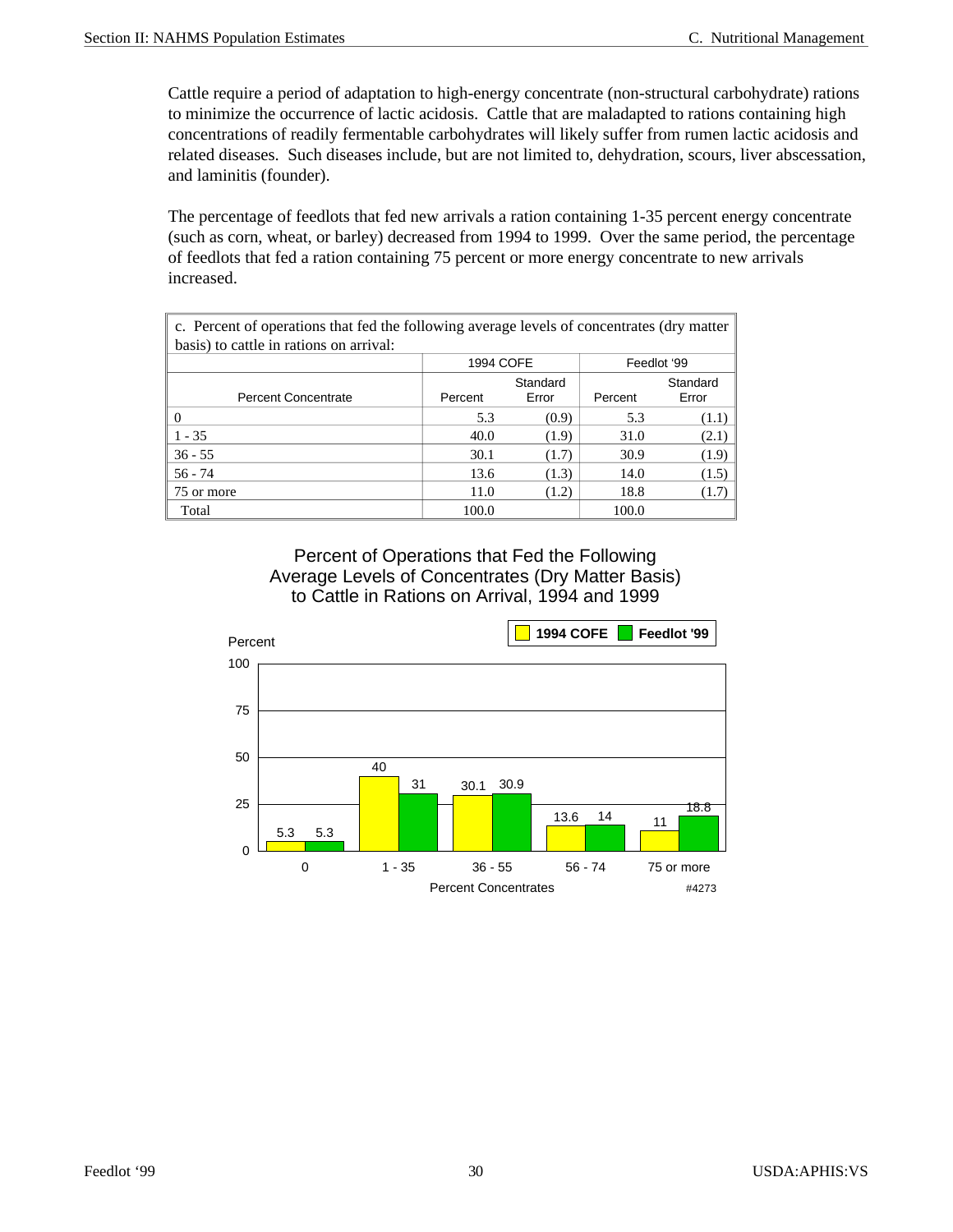Cattle require a period of adaptation to high-energy concentrate (non-structural carbohydrate) rations to minimize the occurrence of lactic acidosis. Cattle that are maladapted to rations containing high concentrations of readily fermentable carbohydrates will likely suffer from rumen lactic acidosis and related diseases. Such diseases include, but are not limited to, dehydration, scours, liver abscessation, and laminitis (founder).

The percentage of feedlots that fed new arrivals a ration containing 1-35 percent energy concentrate (such as corn, wheat, or barley) decreased from 1994 to 1999. Over the same period, the percentage of feedlots that fed a ration containing 75 percent or more energy concentrate to new arrivals increased.

| c. Percent of operations that fed the following average levels of concentrates (dry matter |                          |          |         |          |  |  |  |  |
|--------------------------------------------------------------------------------------------|--------------------------|----------|---------|----------|--|--|--|--|
| basis) to cattle in rations on arrival:                                                    |                          |          |         |          |  |  |  |  |
|                                                                                            | 1994 COFE<br>Feedlot '99 |          |         |          |  |  |  |  |
|                                                                                            |                          | Standard |         | Standard |  |  |  |  |
| <b>Percent Concentrate</b>                                                                 | Percent                  | Error    | Percent | Error    |  |  |  |  |
| $\Omega$                                                                                   | 5.3                      | (0.9)    | 5.3     | (1.1)    |  |  |  |  |
| $1 - 35$                                                                                   | 40.0                     | (1.9)    | 31.0    | (2.1)    |  |  |  |  |
| $36 - 55$                                                                                  | 30.1                     | (1.7)    | 30.9    | (1.9)    |  |  |  |  |
| $56 - 74$                                                                                  | 13.6                     | (1.3)    | 14.0    | (1.5)    |  |  |  |  |
| 75 or more                                                                                 | 11.0                     | (1.2)    | 18.8    | (1.7)    |  |  |  |  |
| Total                                                                                      | 100.0                    |          | 100.0   |          |  |  |  |  |

Percent of Operations that Fed the Following Average Levels of Concentrates (Dry Matter Basis) to Cattle in Rations on Arrival, 1994 and 1999

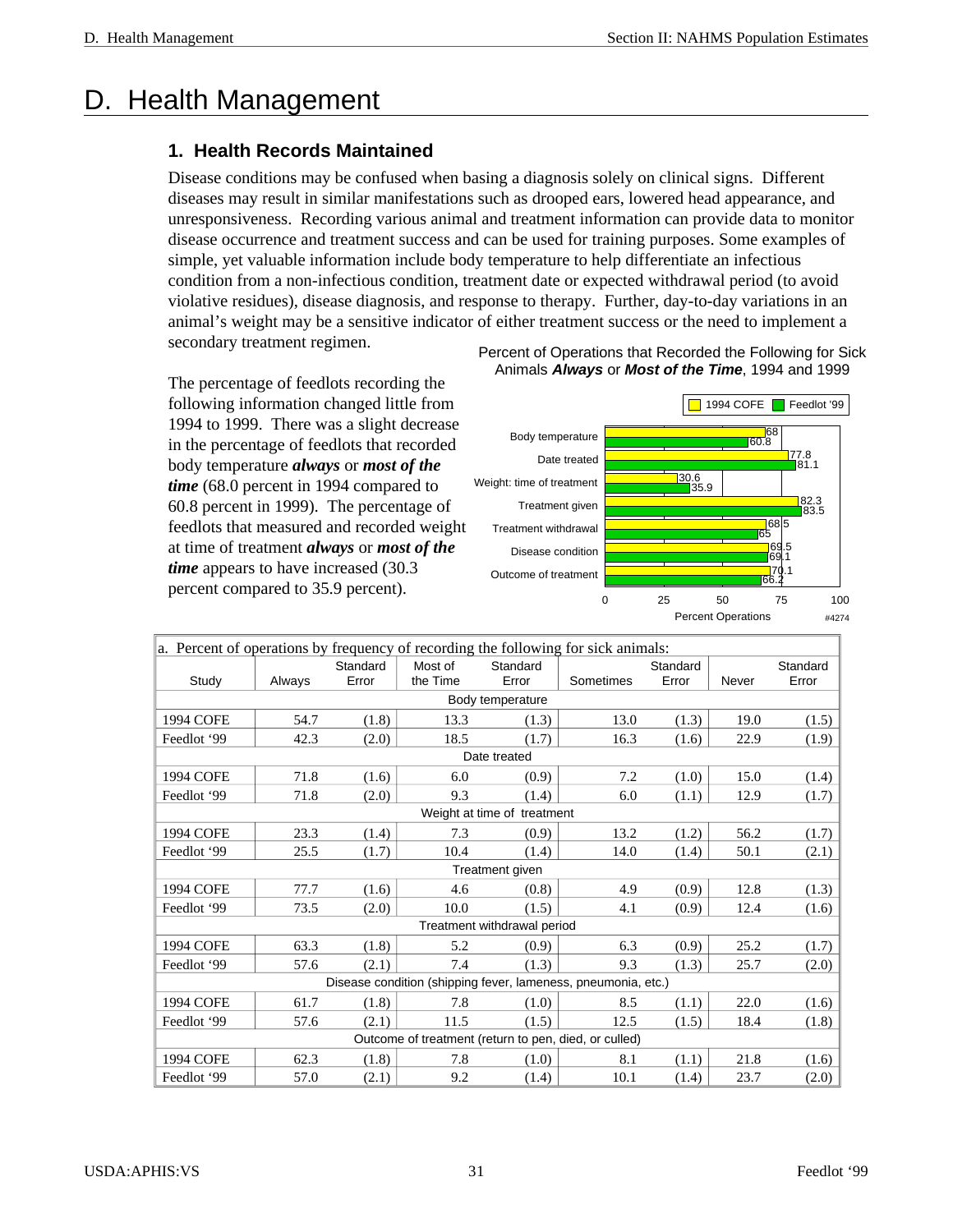## D. Health Management

#### **1. Health Records Maintained**

Disease conditions may be confused when basing a diagnosis solely on clinical signs. Different diseases may result in similar manifestations such as drooped ears, lowered head appearance, and unresponsiveness. Recording various animal and treatment information can provide data to monitor disease occurrence and treatment success and can be used for training purposes. Some examples of simple, yet valuable information include body temperature to help differentiate an infectious condition from a non-infectious condition, treatment date or expected withdrawal period (to avoid violative residues), disease diagnosis, and response to therapy. Further, day-to-day variations in an animal's weight may be a sensitive indicator of either treatment success or the need to implement a secondary treatment regimen.

The percentage of feedlots recording the following information changed little from 1994 to 1999. There was a slight decrease in the percentage of feedlots that recorded body temperature *always* or *most of the time* (68.0 percent in 1994 compared to 60.8 percent in 1999). The percentage of feedlots that measured and recorded weight at time of treatment *always* or *most of the time* appears to have increased (30.3) percent compared to 35.9 percent).



| a. Percent of operations by frequency of recording the following for sick animals: |        |          |          |                             |                                                               |          |       |          |
|------------------------------------------------------------------------------------|--------|----------|----------|-----------------------------|---------------------------------------------------------------|----------|-------|----------|
|                                                                                    |        | Standard | Most of  | Standard                    |                                                               | Standard |       | Standard |
| Study                                                                              | Always | Error    | the Time | Error                       | Sometimes                                                     | Error    | Never | Error    |
|                                                                                    |        |          |          | Body temperature            |                                                               |          |       |          |
| 1994 COFE                                                                          | 54.7   | (1.8)    | 13.3     | (1.3)                       | 13.0                                                          | (1.3)    | 19.0  | (1.5)    |
| Feedlot '99                                                                        | 42.3   | (2.0)    | 18.5     | (1.7)                       | 16.3                                                          | (1.6)    | 22.9  | (1.9)    |
|                                                                                    |        |          |          | Date treated                |                                                               |          |       |          |
| 1994 COFE                                                                          | 71.8   | (1.6)    | 6.0      | (0.9)                       | 7.2                                                           | (1.0)    | 15.0  | (1.4)    |
| Feedlot '99                                                                        | 71.8   | (2.0)    | 9.3      | (1.4)                       | 6.0                                                           | (1.1)    | 12.9  | (1.7)    |
|                                                                                    |        |          |          | Weight at time of treatment |                                                               |          |       |          |
| 1994 COFE                                                                          | 23.3   | (1.4)    | 7.3      | (0.9)                       | 13.2                                                          | (1.2)    | 56.2  | (1.7)    |
| Feedlot '99                                                                        | 25.5   | (1.7)    | 10.4     | (1.4)                       | 14.0                                                          | (1.4)    | 50.1  | (2.1)    |
|                                                                                    |        |          |          | Treatment given             |                                                               |          |       |          |
| 1994 COFE                                                                          | 77.7   | (1.6)    | 4.6      | (0.8)                       | 4.9                                                           | (0.9)    | 12.8  | (1.3)    |
| Feedlot '99                                                                        | 73.5   | (2.0)    | 10.0     | (1.5)                       | 4.1                                                           | (0.9)    | 12.4  | (1.6)    |
|                                                                                    |        |          |          | Treatment withdrawal period |                                                               |          |       |          |
| 1994 COFE                                                                          | 63.3   | (1.8)    | 5.2      | (0.9)                       | 6.3                                                           | (0.9)    | 25.2  | (1.7)    |
| Feedlot '99                                                                        | 57.6   | (2.1)    | 7.4      | (1.3)                       | 9.3                                                           | (1.3)    | 25.7  | (2.0)    |
|                                                                                    |        |          |          |                             | Disease condition (shipping fever, lameness, pneumonia, etc.) |          |       |          |
| <b>1994 COFE</b>                                                                   | 61.7   | (1.8)    | 7.8      | (1.0)                       | 8.5                                                           | (1.1)    | 22.0  | (1.6)    |
| Feedlot '99                                                                        | 57.6   | (2.1)    | 11.5     | (1.5)                       | 12.5                                                          | (1.5)    | 18.4  | (1.8)    |
|                                                                                    |        |          |          |                             | Outcome of treatment (return to pen, died, or culled)         |          |       |          |
| 1994 COFE                                                                          | 62.3   | (1.8)    | 7.8      | (1.0)                       | 8.1                                                           | (1.1)    | 21.8  | (1.6)    |
| Feedlot '99                                                                        | 57.0   | (2.1)    | 9.2      | (1.4)                       | 10.1                                                          | (1.4)    | 23.7  | (2.0)    |

Percent of Operations that Recorded the Following for Sick Animals *Always* or *Most of the Time*, 1994 and 1999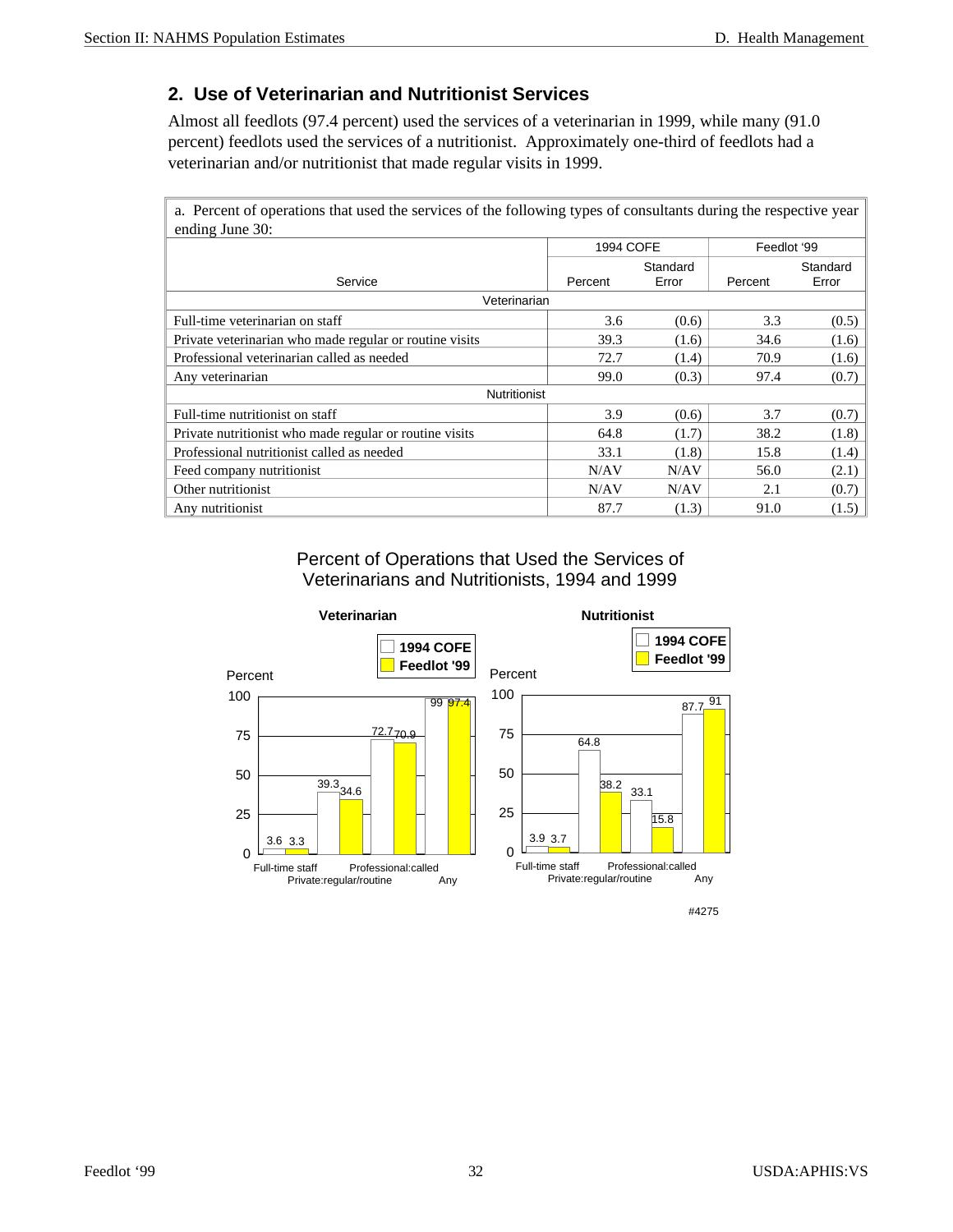#### **2. Use of Veterinarian and Nutritionist Services**

Almost all feedlots (97.4 percent) used the services of a veterinarian in 1999, while many (91.0 percent) feedlots used the services of a nutritionist. Approximately one-third of feedlots had a veterinarian and/or nutritionist that made regular visits in 1999.

a. Percent of operations that used the services of the following types of consultants during the respective year ending June 30:

|                                                         | 1994 COFE |       | Feedlot '99 |          |
|---------------------------------------------------------|-----------|-------|-------------|----------|
|                                                         | Standard  |       |             | Standard |
| Service                                                 | Percent   | Error | Percent     | Error    |
| Veterinarian                                            |           |       |             |          |
| Full-time veterinarian on staff                         | 3.6       | (0.6) | 3.3         | (0.5)    |
| Private veterinarian who made regular or routine visits | 39.3      | (1.6) | 34.6        | (1.6)    |
| Professional veterinarian called as needed              | 72.7      | (1.4) | 70.9        | (1.6)    |
| Any veterinarian                                        | 99.0      | (0.3) | 97.4        | (0.7)    |
| Nutritionist                                            |           |       |             |          |
| Full-time nutritionist on staff                         | 3.9       | (0.6) | 3.7         | (0.7)    |
| Private nutritionist who made regular or routine visits | 64.8      | (1.7) | 38.2        | (1.8)    |
| Professional nutritionist called as needed              | 33.1      | (1.8) | 15.8        | (1.4)    |
| Feed company nutritionist                               | N/AV      | N/AV  | 56.0        | (2.1)    |
| Other nutritionist                                      | N/AV      | N/AV  | 2.1         | (0.7)    |
| Any nutritionist                                        | 87.7      | (1.3) | 91.0        | (1.5)    |

Percent of Operations that Used the Services of Veterinarians and Nutritionists, 1994 and 1999

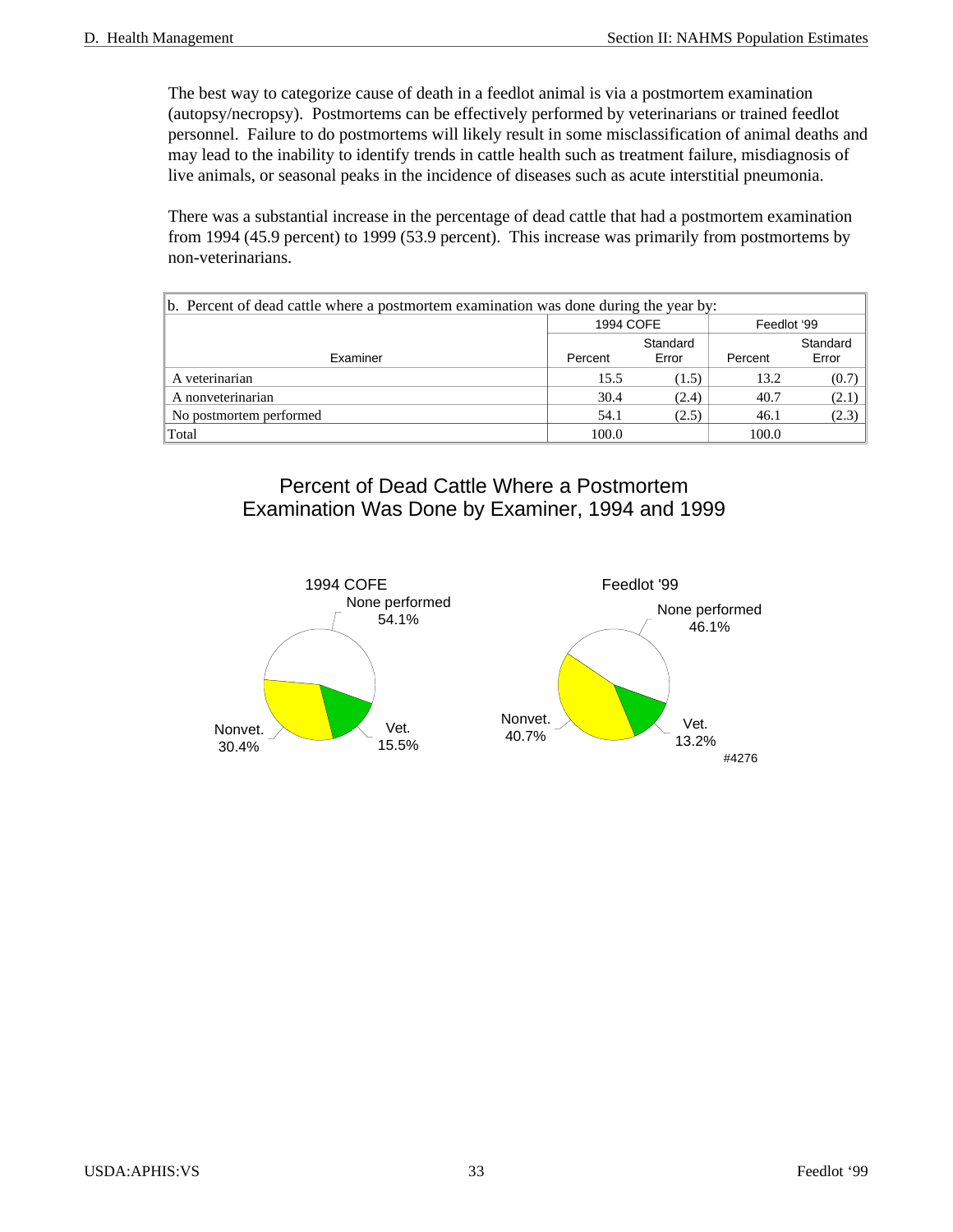The best way to categorize cause of death in a feedlot animal is via a postmortem examination (autopsy/necropsy). Postmortems can be effectively performed by veterinarians or trained feedlot personnel. Failure to do postmortems will likely result in some misclassification of animal deaths and may lead to the inability to identify trends in cattle health such as treatment failure, misdiagnosis of live animals, or seasonal peaks in the incidence of diseases such as acute interstitial pneumonia.

There was a substantial increase in the percentage of dead cattle that had a postmortem examination from 1994 (45.9 percent) to 1999 (53.9 percent). This increase was primarily from postmortems by non-veterinarians.

| $\ b$ . Percent of dead cattle where a postmortem examination was done during the year by: |           |          |             |       |  |  |
|--------------------------------------------------------------------------------------------|-----------|----------|-------------|-------|--|--|
|                                                                                            | 1994 COFE |          | Feedlot '99 |       |  |  |
|                                                                                            |           | Standard | Standard    |       |  |  |
| Examiner                                                                                   | Percent   | Error    | Percent     | Error |  |  |
| A veterinarian                                                                             | 15.5      | (1.5)    | 13.2        | (0.7) |  |  |
| A nonveterinarian                                                                          | 30.4      | (2.4)    | 40.7        | (2.1) |  |  |
| No postmortem performed                                                                    | 54.1      | (2.5)    | 46.1        | (2.3) |  |  |
| Total                                                                                      | 100.0     |          | 100.0       |       |  |  |

#### Percent of Dead Cattle Where a Postmortem Examination Was Done by Examiner, 1994 and 1999

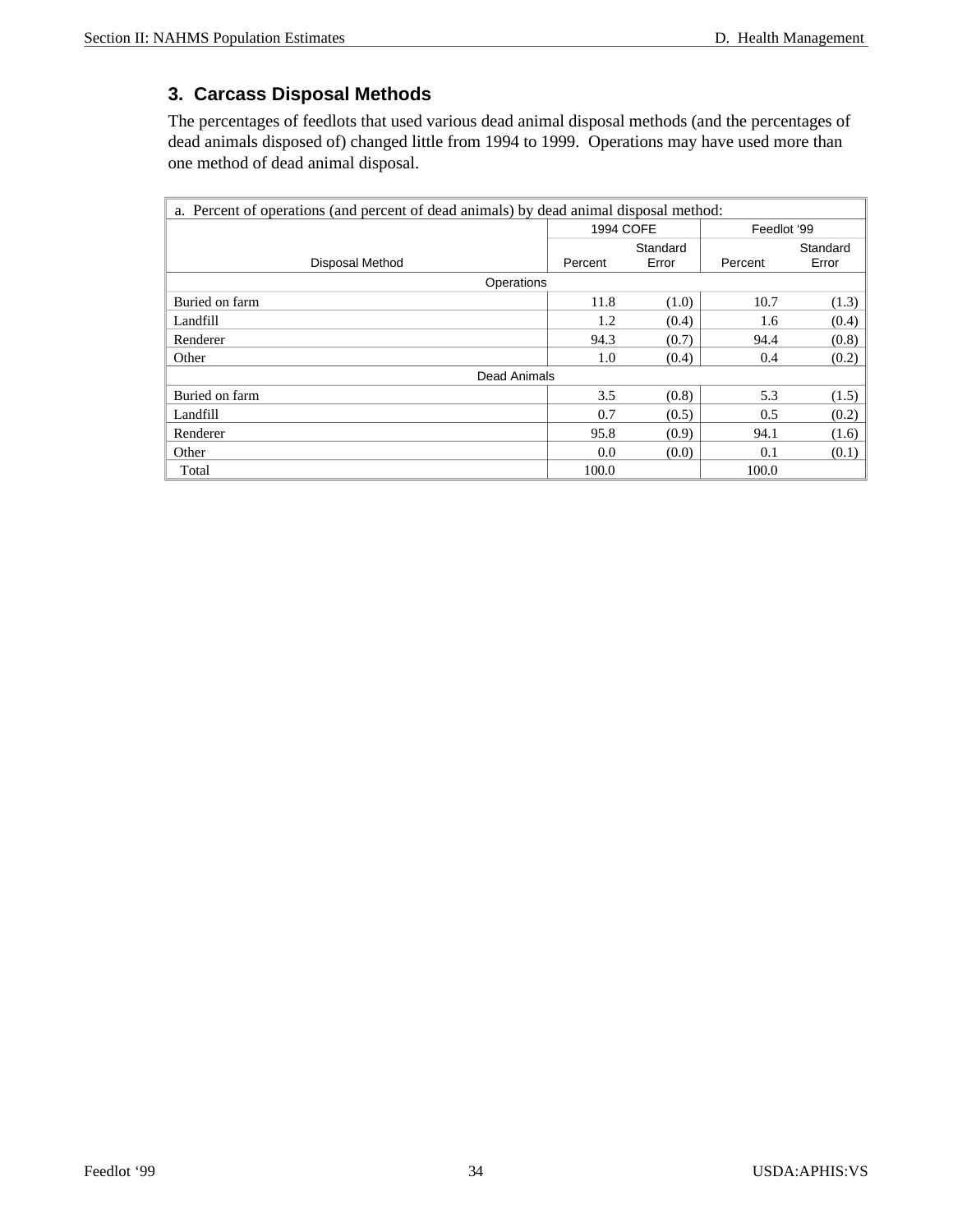#### **3. Carcass Disposal Methods**

The percentages of feedlots that used various dead animal disposal methods (and the percentages of dead animals disposed of) changed little from 1994 to 1999. Operations may have used more than one method of dead animal disposal.

| a. Percent of operations (and percent of dead animals) by dead animal disposal method: |           |          |             |          |  |
|----------------------------------------------------------------------------------------|-----------|----------|-------------|----------|--|
|                                                                                        | 1994 COFE |          | Feedlot '99 |          |  |
|                                                                                        |           | Standard |             | Standard |  |
| Disposal Method                                                                        | Percent   | Error    | Percent     | Error    |  |
| Operations                                                                             |           |          |             |          |  |
| Buried on farm                                                                         | 11.8      | (1.0)    | 10.7        | (1.3)    |  |
| Landfill                                                                               | 1.2       | (0.4)    | 1.6         | (0.4)    |  |
| Renderer                                                                               | 94.3      | (0.7)    | 94.4        | (0.8)    |  |
| Other                                                                                  | 1.0       | (0.4)    | 0.4         | (0.2)    |  |
| Dead Animals                                                                           |           |          |             |          |  |
| Buried on farm                                                                         | 3.5       | (0.8)    | 5.3         | (1.5)    |  |
| Landfill                                                                               | 0.7       | (0.5)    | 0.5         | (0.2)    |  |
| Renderer                                                                               | 95.8      | (0.9)    | 94.1        | (1.6)    |  |
| Other                                                                                  | 0.0       | (0.0)    | 0.1         | (0.1)    |  |
| Total                                                                                  | 100.0     |          | 100.0       |          |  |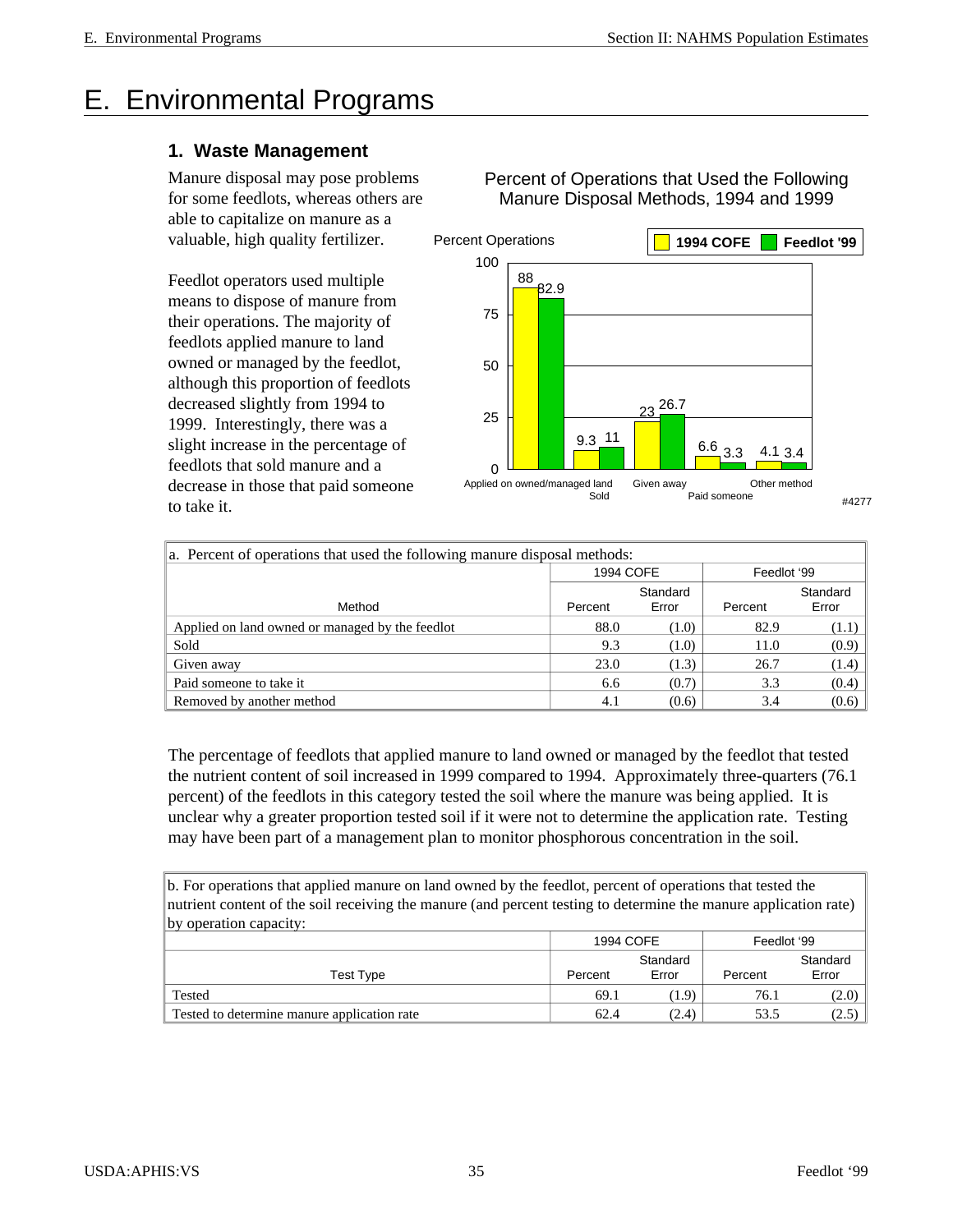# E. Environmental Programs

#### **1. Waste Management**

Manure disposal may pose problems for some feedlots, whereas others are able to capitalize on manure as a valuable, high quality fertilizer.

Feedlot operators used multiple means to dispose of manure from their operations. The majority of feedlots applied manure to land owned or managed by the feedlot, although this proportion of feedlots decreased slightly from 1994 to 1999. Interestingly, there was a slight increase in the percentage of feedlots that sold manure and a decrease in those that paid someone to take it.

82.9 9.3 11 26.7 3.3 3.4 88 23  $6.6$  3.3 Applied on owned/managed land Sold Given away Paid someone Other method 0 25 50 75 100 Percent Operations **1994 COFE Feedlot '99** #4277

Percent of Operations that Used the Following Manure Disposal Methods, 1994 and 1999

| a. Percent of operations that used the following manure disposal methods: |           |          |             |          |  |  |
|---------------------------------------------------------------------------|-----------|----------|-------------|----------|--|--|
|                                                                           | 1994 COFE |          | Feedlot '99 |          |  |  |
|                                                                           |           | Standard |             | Standard |  |  |
| Method                                                                    | Percent   | Error    | Percent     | Error    |  |  |
| Applied on land owned or managed by the feedlot                           | 88.0      | (1.0)    | 82.9        | (1.1)    |  |  |
| Sold                                                                      | 9.3       | (1.0)    | 11.0        | (0.9)    |  |  |
| Given away                                                                | 23.0      | (1.3)    | 26.7        | (1.4)    |  |  |
| Paid someone to take it                                                   | 6.6       | (0.7)    | 3.3         | (0.4)    |  |  |
| Removed by another method                                                 | 4.1       | (0.6)    | 3.4         | (0.6)    |  |  |

The percentage of feedlots that applied manure to land owned or managed by the feedlot that tested the nutrient content of soil increased in 1999 compared to 1994. Approximately three-quarters (76.1 percent) of the feedlots in this category tested the soil where the manure was being applied. It is unclear why a greater proportion tested soil if it were not to determine the application rate. Testing may have been part of a management plan to monitor phosphorous concentration in the soil.

b. For operations that applied manure on land owned by the feedlot, percent of operations that tested the nutrient content of the soil receiving the manure (and percent testing to determine the manure application rate) by operation capacity:

|                                             | 1994 COFE |       | Feedlot '99 |          |
|---------------------------------------------|-----------|-------|-------------|----------|
|                                             | Standard  |       |             | Standard |
| Test Type                                   | Percent   | Error | Percent     | Error    |
| Tested                                      | 69.1      | 1.9)  | 76.1        | (2.0)    |
| Tested to determine manure application rate | 62.4      | (2.4) | 53.5        | (2.5)    |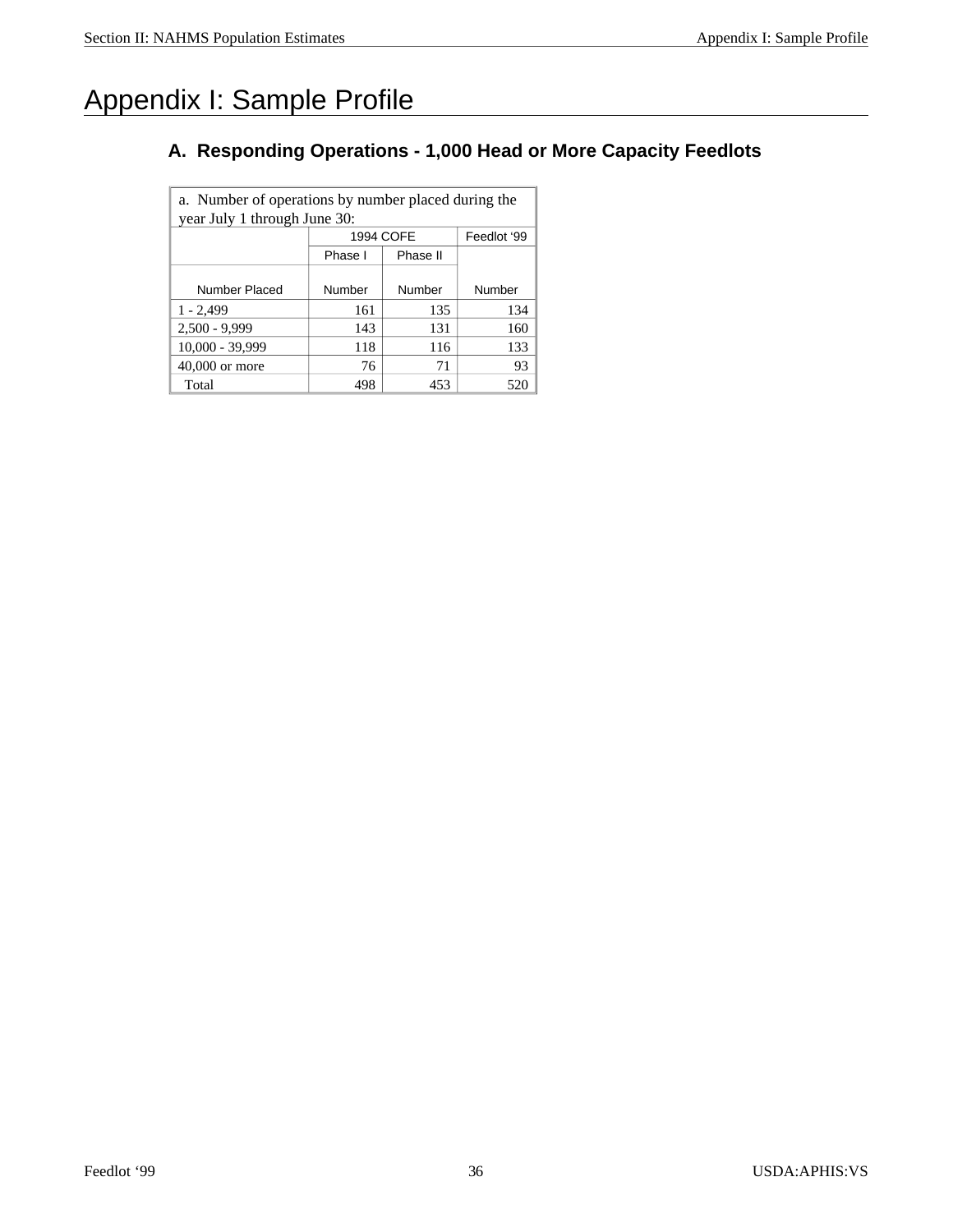## Appendix I: Sample Profile

#### **A. Responding Operations - 1,000 Head or More Capacity Feedlots**

a. Number of operations by number placed during the year July 1 through June 30: 1994 COFE | Feedlot '99 Phase I Phase II Number Placed Number Number Number  $1 - 2,499$  161 135 134  $2,500 - 9,999$  143 131 160 10,000 - 39,999 118 116 133 40,000 or more 76 71 93 Total  $498$  453 520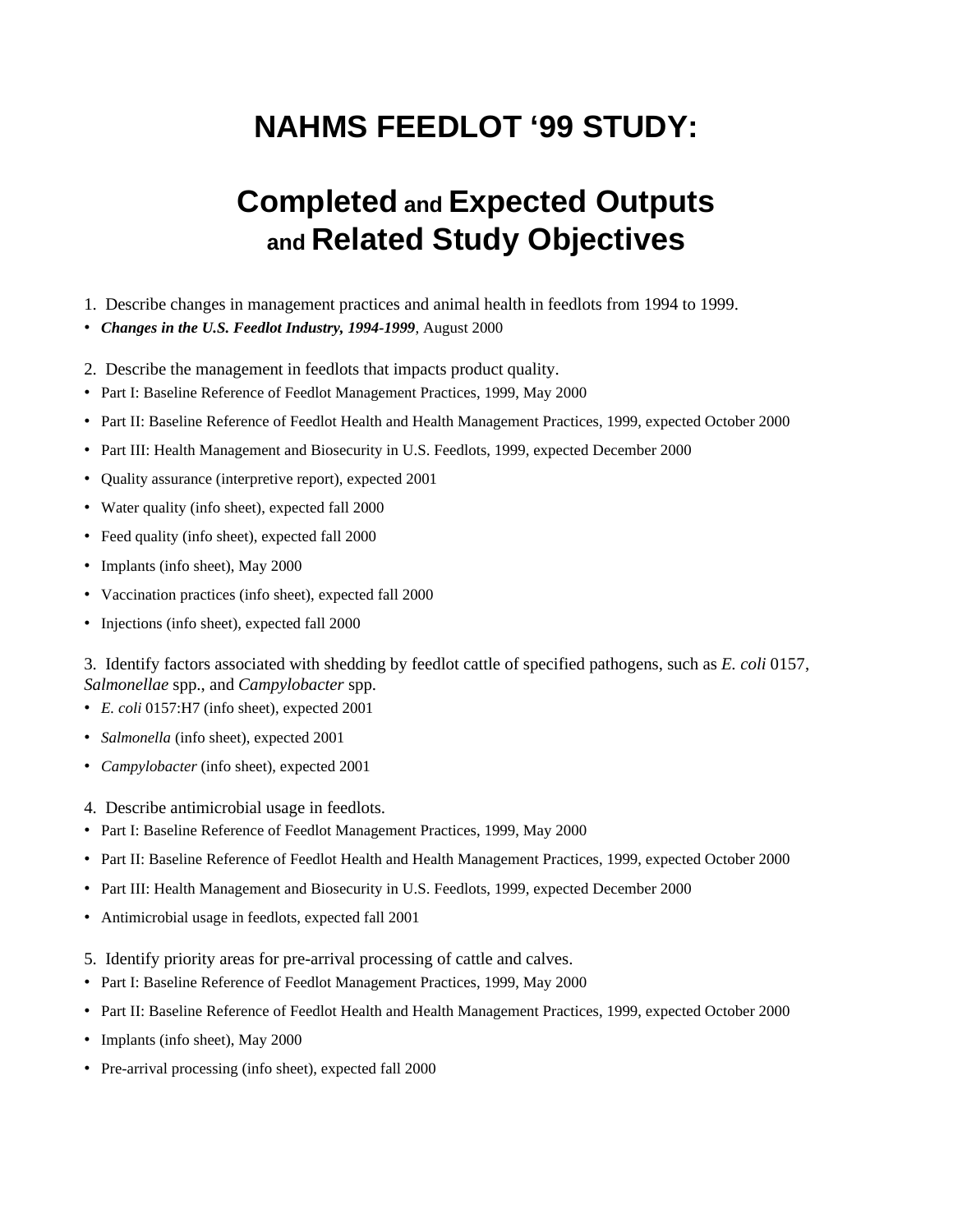# **NAHMS FEEDLOT '99 STUDY:**

# **Completed and Expected Outputs and Related Study Objectives**

- 1. Describe changes in management practices and animal health in feedlots from 1994 to 1999.
- *Changes in the U.S. Feedlot Industry, 1994-1999*, August 2000
- 2. Describe the management in feedlots that impacts product quality.
- Part I: Baseline Reference of Feedlot Management Practices, 1999, May 2000
- Part II: Baseline Reference of Feedlot Health and Health Management Practices, 1999, expected October 2000
- Part III: Health Management and Biosecurity in U.S. Feedlots, 1999, expected December 2000
- Quality assurance (interpretive report), expected 2001
- Water quality (info sheet), expected fall 2000
- Feed quality (info sheet), expected fall 2000
- Implants (info sheet), May 2000
- Vaccination practices (info sheet), expected fall 2000
- Injections (info sheet), expected fall 2000

3. Identify factors associated with shedding by feed lot cattle of specified pathogens, such as *E. coli* 0157, Salmonellae spp., and *Campylobacter* spp.

- *E. coli* 0157:H7 (info sheet), expected 2001
- *Salmonella* (info sheet), expected 2001
- *Campylobacter* (info sheet), expected 2001
- 4. Describe antimicrobial usage in feedlots.
- Part I: Baseline Reference of Feedlot Management Practices, 1999, May 2000
- Part II: Baseline Reference of Feedlot Health and Health Management Practices, 1999, expected October 2000
- Part III: Health Management and Biosecurity in U.S. Feedlots, 1999, expected December 2000
- Antimicrobial usage in feedlots, expected fall 2001
- 5. Identify priority areas for pre-arrival processing of cattle and calves.
- Part I: Baseline Reference of Feedlot Management Practices, 1999, May 2000
- Part II: Baseline Reference of Feedlot Health and Health Management Practices, 1999, expected October 2000
- Implants (info sheet), May 2000
- Pre-arrival processing (info sheet), expected fall 2000